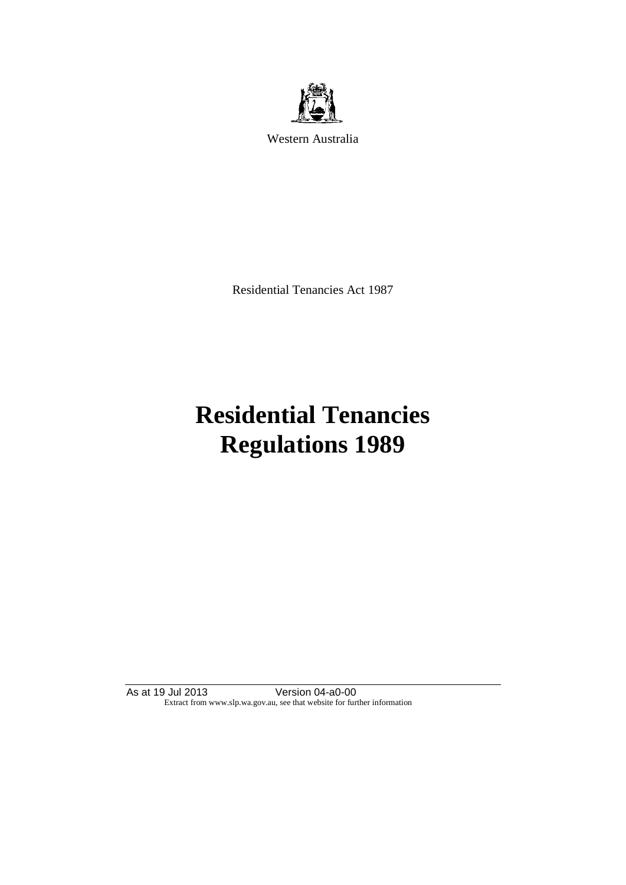

Western Australia

Residential Tenancies Act 1987

# **Residential Tenancies Regulations 1989**

As at 19 Jul 2013 Version 04-a0-00 Extract from www.slp.wa.gov.au, see that website for further information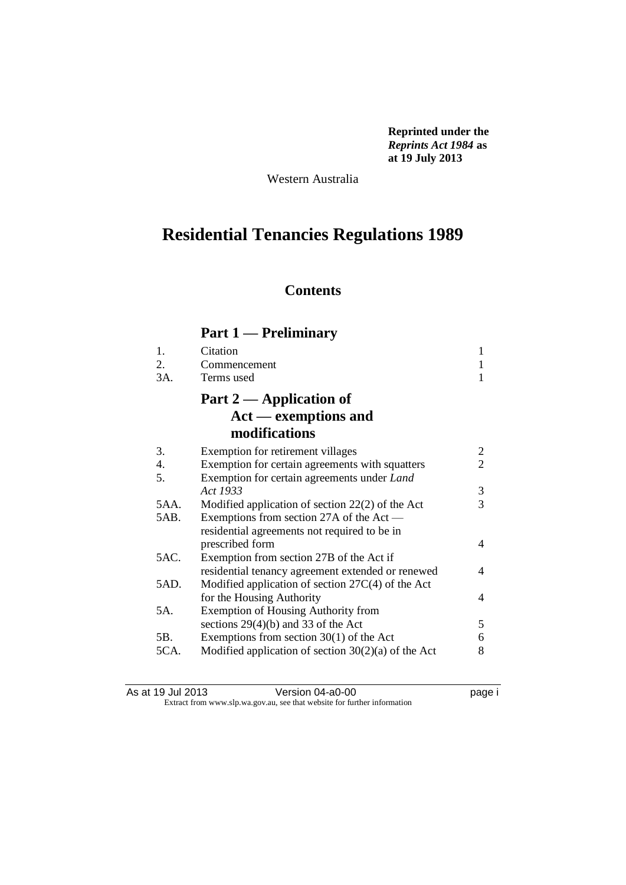**Reprinted under the**  *Reprints Act 1984* **as at 19 July 2013**

Western Australia

## **Residential Tenancies Regulations 1989**

### **Contents**

### **Part 1 — Preliminary**

| $\mathbf{1}$ . | Citation                                              | 1              |
|----------------|-------------------------------------------------------|----------------|
| 2.             | Commencement                                          |                |
| 3A.            | Terms used                                            | 1              |
|                | Part $2$ — Application of                             |                |
|                | $Act$ — exemptions and                                |                |
|                | modifications                                         |                |
| 3.             | Exemption for retirement villages                     | 2              |
| 4.             | Exemption for certain agreements with squatters       | $\overline{2}$ |
| 5.             | Exemption for certain agreements under Land           |                |
|                | Act 1933                                              | 3              |
| 5AA.           | Modified application of section $22(2)$ of the Act    | $\overline{3}$ |
| 5AB.           | Exemptions from section 27A of the Act —              |                |
|                | residential agreements not required to be in          |                |
|                | prescribed form                                       | 4              |
| 5AC.           | Exemption from section 27B of the Act if              |                |
|                | residential tenancy agreement extended or renewed     | 4              |
| 5AD.           | Modified application of section $27C(4)$ of the Act   |                |
|                | for the Housing Authority                             | 4              |
| 5A.            | <b>Exemption of Housing Authority from</b>            |                |
|                | sections $29(4)(b)$ and 33 of the Act                 | 5              |
| 5B.            | Exemptions from section $30(1)$ of the Act            | 6              |
| 5CA.           | Modified application of section $30(2)(a)$ of the Act | 8              |
|                |                                                       |                |

| As at 19 Jul 2013 | Version 04-a0-00                                                         | page i |
|-------------------|--------------------------------------------------------------------------|--------|
|                   | Extract from www.slp.wa.gov.au, see that website for further information |        |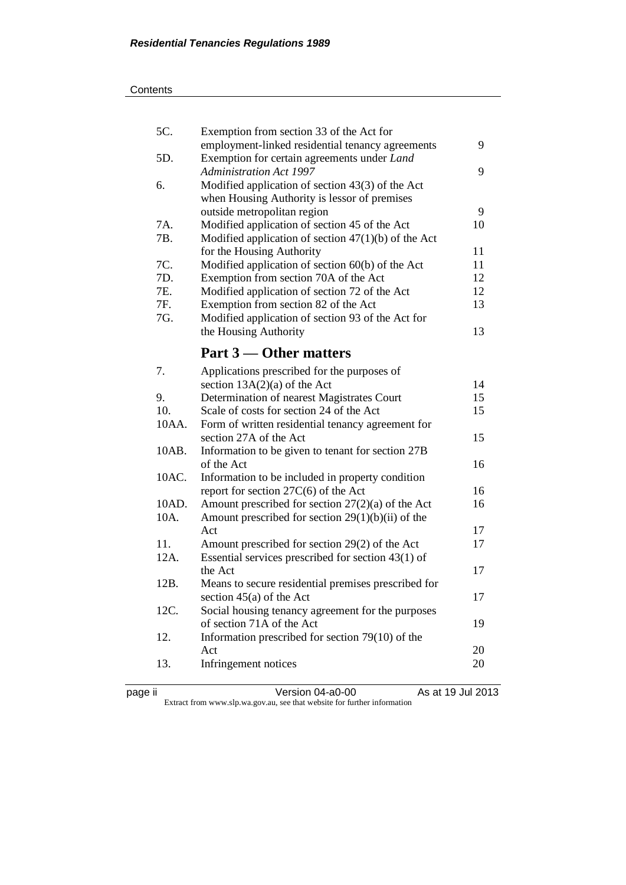| 5C.   | Exemption from section 33 of the Act for              |    |
|-------|-------------------------------------------------------|----|
|       | employment-linked residential tenancy agreements      | 9  |
| 5D.   | Exemption for certain agreements under Land           |    |
|       | <b>Administration Act 1997</b>                        | 9  |
| 6.    | Modified application of section $43(3)$ of the Act    |    |
|       | when Housing Authority is lessor of premises          |    |
|       | outside metropolitan region                           | 9  |
| 7A.   | Modified application of section 45 of the Act         | 10 |
| 7B.   | Modified application of section $47(1)(b)$ of the Act |    |
|       | for the Housing Authority                             | 11 |
| 7C.   | Modified application of section 60(b) of the Act      | 11 |
| 7D.   | Exemption from section 70A of the Act                 | 12 |
| 7E.   | Modified application of section 72 of the Act         | 12 |
| 7F.   | Exemption from section 82 of the Act                  | 13 |
| 7G.   | Modified application of section 93 of the Act for     |    |
|       | the Housing Authority                                 | 13 |
|       |                                                       |    |
|       | Part 3 — Other matters                                |    |
| 7.    | Applications prescribed for the purposes of           |    |
|       | section $13A(2)(a)$ of the Act                        | 14 |
| 9.    | Determination of nearest Magistrates Court            | 15 |
| 10.   | Scale of costs for section 24 of the Act              | 15 |
| 10AA. | Form of written residential tenancy agreement for     |    |
|       | section 27A of the Act                                | 15 |
| 10AB. | Information to be given to tenant for section 27B     |    |
|       | of the Act                                            | 16 |
| 10AC. | Information to be included in property condition      |    |
|       | report for section $27C(6)$ of the Act                | 16 |
| 10AD. | Amount prescribed for section $27(2)(a)$ of the Act   | 16 |
| 10A.  | Amount prescribed for section $29(1)(b)(ii)$ of the   |    |
|       | Act                                                   | 17 |
| 11.   | Amount prescribed for section 29(2) of the Act        | 17 |
| 12A.  | Essential services prescribed for section $43(1)$ of  |    |
|       | the Act                                               | 17 |
| 12B.  | Means to secure residential premises prescribed for   |    |
|       | section $45(a)$ of the Act                            | 17 |
| 12C.  | Social housing tenancy agreement for the purposes     |    |
|       | of section 71A of the Act                             | 19 |
| 12.   | Information prescribed for section $79(10)$ of the    |    |
|       | Act                                                   | 20 |
| 13.   | Infringement notices                                  | 20 |
|       |                                                       |    |
|       |                                                       |    |

| . .<br>ı |  |
|----------|--|
|          |  |
|          |  |
|          |  |

page ii Version 04-a0-00 As at 19 Jul 2013 Extract from www.slp.wa.gov.au, see that website for further information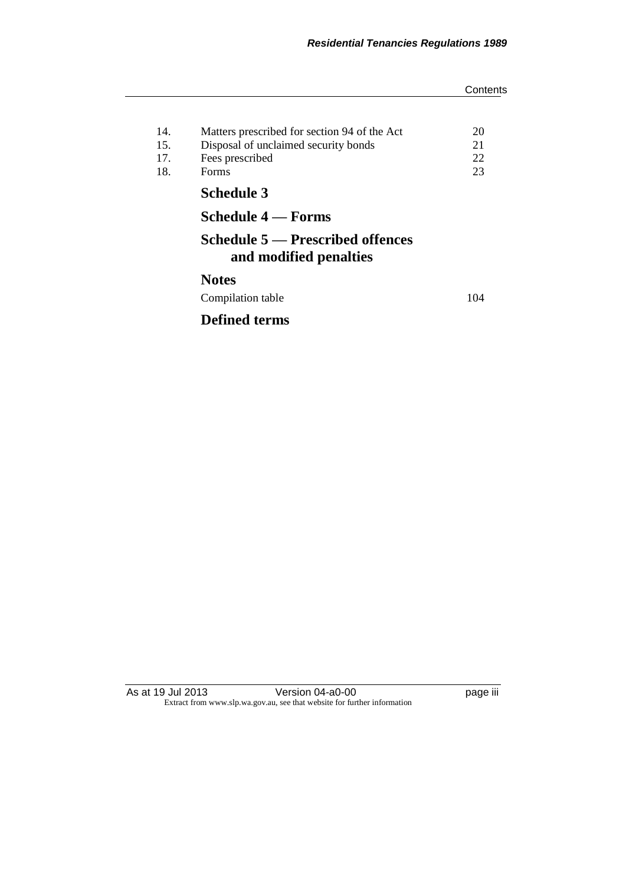|     |                                                            | Contents |
|-----|------------------------------------------------------------|----------|
|     |                                                            |          |
| 14. | Matters prescribed for section 94 of the Act               | 20       |
| 15. | Disposal of unclaimed security bonds                       | 21       |
| 17. | Fees prescribed                                            | 22       |
| 18. | Forms                                                      | 23       |
|     | <b>Schedule 3</b>                                          |          |
|     | Schedule 4 — Forms                                         |          |
|     | Schedule 5 — Prescribed offences<br>and modified penalties |          |
|     | <b>Notes</b>                                               |          |
|     | Compilation table                                          | 104      |
|     | <b>Defined terms</b>                                       |          |

As at 19 Jul 2013 Version 04-a0-00 page iii Extract from www.slp.wa.gov.au, see that website for further information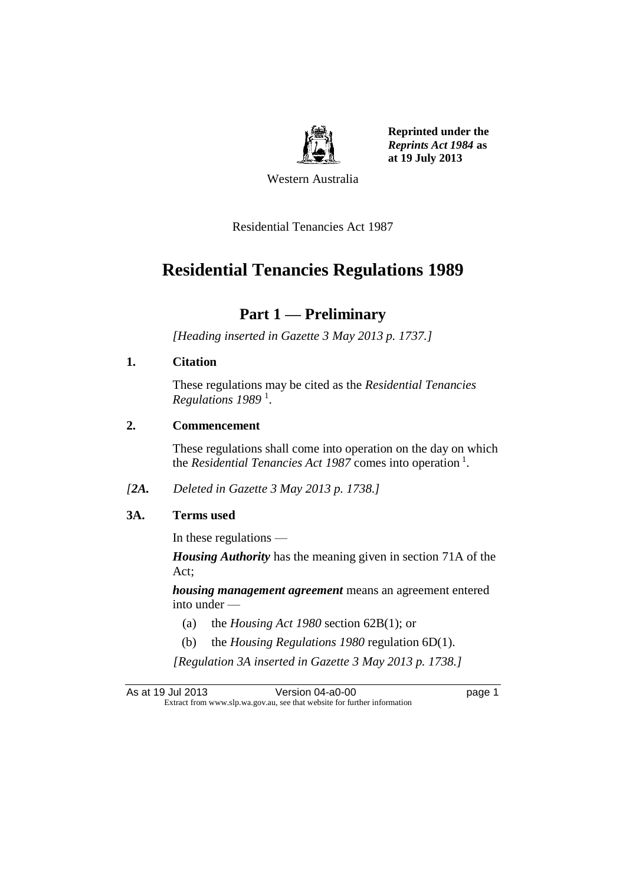

**Reprinted under the**  *Reprints Act 1984* **as at 19 July 2013**

Western Australia

Residential Tenancies Act 1987

### **Residential Tenancies Regulations 1989**

### **Part 1 — Preliminary**

*[Heading inserted in Gazette 3 May 2013 p. 1737.]*

#### **1. Citation**

These regulations may be cited as the *Residential Tenancies Regulations 1989* <sup>1</sup> .

#### **2. Commencement**

These regulations shall come into operation on the day on which the *Residential Tenancies Act 1987* comes into operation<sup>1</sup>.

*[2A. Deleted in Gazette 3 May 2013 p. 1738.]*

#### **3A. Terms used**

In these regulations —

*Housing Authority* has the meaning given in section 71A of the Act;

*housing management agreement* means an agreement entered into under —

- (a) the *Housing Act 1980* section 62B(1); or
- (b) the *Housing Regulations 1980* regulation 6D(1).

*[Regulation 3A inserted in Gazette 3 May 2013 p. 1738.]*

As at 19 Jul 2013 **Version 04-a0-00 Page 1** Extract from www.slp.wa.gov.au, see that website for further information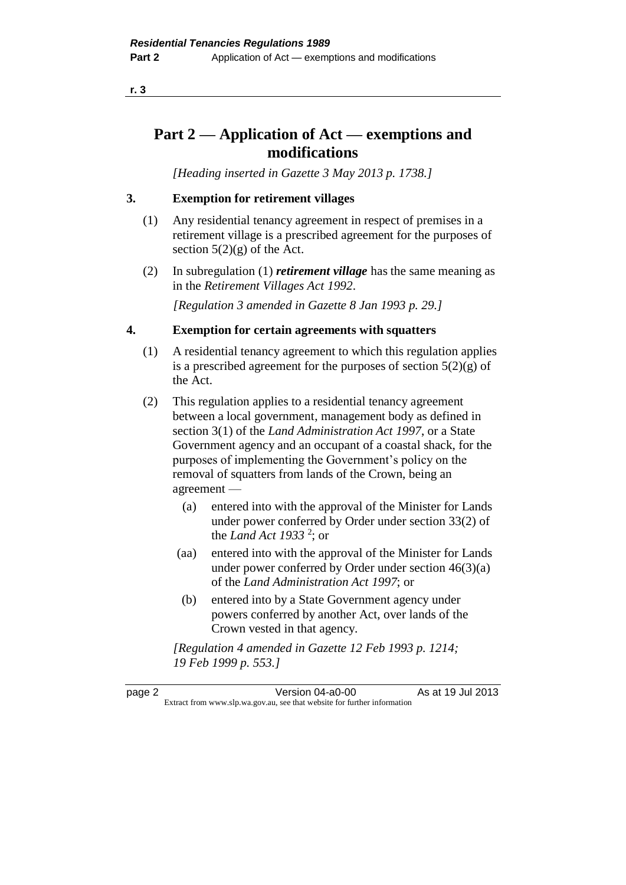**r. 3**

### **Part 2 — Application of Act — exemptions and modifications**

*[Heading inserted in Gazette 3 May 2013 p. 1738.]*

#### **3. Exemption for retirement villages**

- (1) Any residential tenancy agreement in respect of premises in a retirement village is a prescribed agreement for the purposes of section  $5(2)(g)$  of the Act.
- (2) In subregulation (1) *retirement village* has the same meaning as in the *Retirement Villages Act 1992*.

*[Regulation 3 amended in Gazette 8 Jan 1993 p. 29.]* 

#### **4. Exemption for certain agreements with squatters**

- (1) A residential tenancy agreement to which this regulation applies is a prescribed agreement for the purposes of section  $5(2)(g)$  of the Act.
- (2) This regulation applies to a residential tenancy agreement between a local government, management body as defined in section 3(1) of the *Land Administration Act 1997*, or a State Government agency and an occupant of a coastal shack, for the purposes of implementing the Government's policy on the removal of squatters from lands of the Crown, being an agreement —
	- (a) entered into with the approval of the Minister for Lands under power conferred by Order under section 33(2) of the *Land Act 1933* <sup>2</sup> ; or
	- (aa) entered into with the approval of the Minister for Lands under power conferred by Order under section 46(3)(a) of the *Land Administration Act 1997*; or
	- (b) entered into by a State Government agency under powers conferred by another Act, over lands of the Crown vested in that agency.

*[Regulation 4 amended in Gazette 12 Feb 1993 p. 1214; 19 Feb 1999 p. 553.]* 

page 2 Version 04-a0-00 As at 19 Jul 2013 Extract from www.slp.wa.gov.au, see that website for further information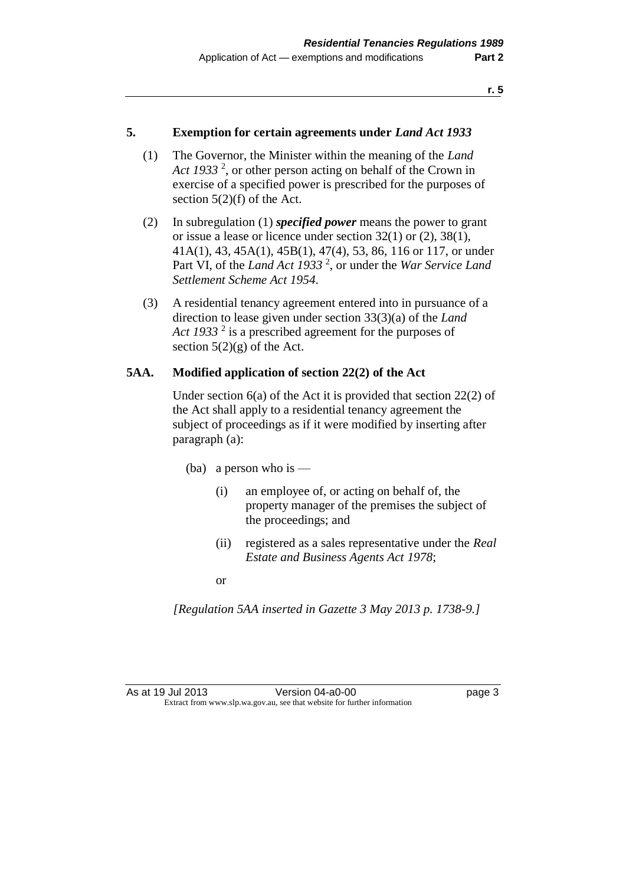#### **5. Exemption for certain agreements under** *Land Act 1933*

- (1) The Governor, the Minister within the meaning of the *Land*  Act 1933<sup>2</sup>, or other person acting on behalf of the Crown in exercise of a specified power is prescribed for the purposes of section 5(2)(f) of the Act.
- (2) In subregulation (1) *specified power* means the power to grant or issue a lease or licence under section 32(1) or (2), 38(1), 41A(1), 43, 45A(1), 45B(1), 47(4), 53, 86, 116 or 117, or under Part VI, of the *Land Act 1933<sup>2</sup>*, or under the *War Service Land Settlement Scheme Act 1954*.
- (3) A residential tenancy agreement entered into in pursuance of a direction to lease given under section 33(3)(a) of the *Land*  Act 1933<sup>2</sup> is a prescribed agreement for the purposes of section  $5(2)(g)$  of the Act.

#### **5AA. Modified application of section 22(2) of the Act**

Under section 6(a) of the Act it is provided that section 22(2) of the Act shall apply to a residential tenancy agreement the subject of proceedings as if it were modified by inserting after paragraph (a):

- (ba) a person who is
	- (i) an employee of, or acting on behalf of, the property manager of the premises the subject of the proceedings; and
	- (ii) registered as a sales representative under the *Real Estate and Business Agents Act 1978*;

or

*[Regulation 5AA inserted in Gazette 3 May 2013 p. 1738-9.]*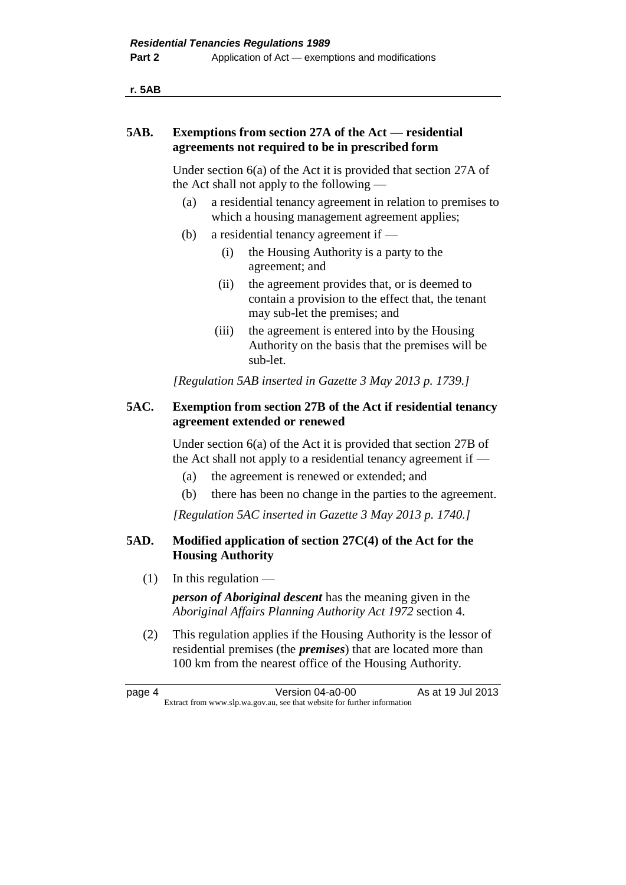**r. 5AB**

#### **5AB. Exemptions from section 27A of the Act — residential agreements not required to be in prescribed form**

Under section 6(a) of the Act it is provided that section 27A of the Act shall not apply to the following —

- (a) a residential tenancy agreement in relation to premises to which a housing management agreement applies;
- (b) a residential tenancy agreement if
	- (i) the Housing Authority is a party to the agreement; and
	- (ii) the agreement provides that, or is deemed to contain a provision to the effect that, the tenant may sub-let the premises; and
	- (iii) the agreement is entered into by the Housing Authority on the basis that the premises will be sub-let.

*[Regulation 5AB inserted in Gazette 3 May 2013 p. 1739.]*

#### **5AC. Exemption from section 27B of the Act if residential tenancy agreement extended or renewed**

Under section 6(a) of the Act it is provided that section 27B of the Act shall not apply to a residential tenancy agreement if —

- (a) the agreement is renewed or extended; and
- (b) there has been no change in the parties to the agreement.

*[Regulation 5AC inserted in Gazette 3 May 2013 p. 1740.]*

#### **5AD. Modified application of section 27C(4) of the Act for the Housing Authority**

 $(1)$  In this regulation —

*person of Aboriginal descent* has the meaning given in the *Aboriginal Affairs Planning Authority Act 1972* section 4.

(2) This regulation applies if the Housing Authority is the lessor of residential premises (the *premises*) that are located more than 100 km from the nearest office of the Housing Authority.

page 4 Version 04-a0-00 As at 19 Jul 2013 Extract from www.slp.wa.gov.au, see that website for further information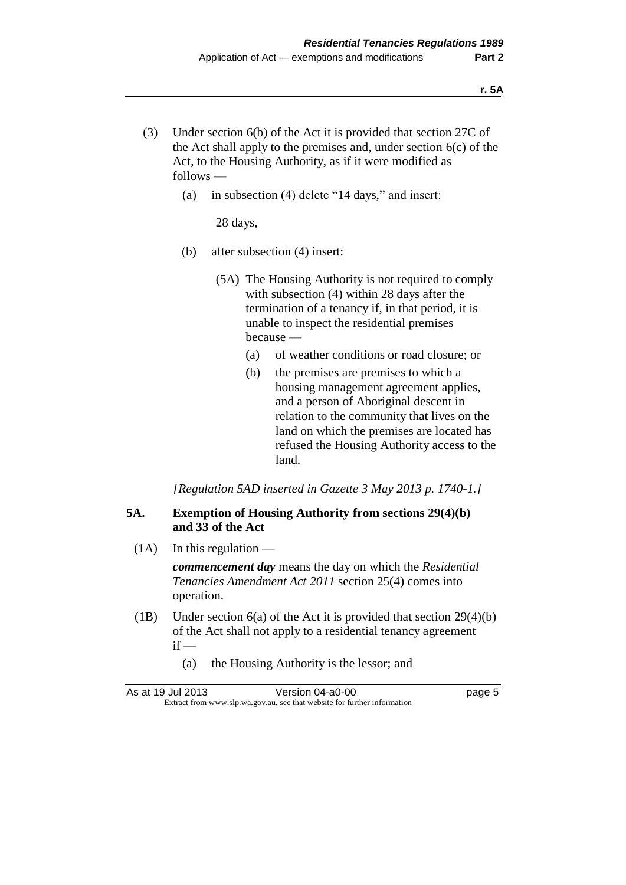- (3) Under section 6(b) of the Act it is provided that section 27C of the Act shall apply to the premises and, under section 6(c) of the Act, to the Housing Authority, as if it were modified as follows —
	- (a) in subsection (4) delete "14 days," and insert:

28 days,

- (b) after subsection (4) insert:
	- (5A) The Housing Authority is not required to comply with subsection (4) within 28 days after the termination of a tenancy if, in that period, it is unable to inspect the residential premises because —
		- (a) of weather conditions or road closure; or
		- (b) the premises are premises to which a housing management agreement applies, and a person of Aboriginal descent in relation to the community that lives on the land on which the premises are located has refused the Housing Authority access to the land.

*[Regulation 5AD inserted in Gazette 3 May 2013 p. 1740-1.]*

#### **5A. Exemption of Housing Authority from sections 29(4)(b) and 33 of the Act**

 $(1A)$  In this regulation —

*commencement day* means the day on which the *Residential Tenancies Amendment Act 2011* section 25(4) comes into operation.

- (1B) Under section 6(a) of the Act it is provided that section 29(4)(b) of the Act shall not apply to a residential tenancy agreement  $if -$ 
	- (a) the Housing Authority is the lessor; and

As at 19 Jul 2013 Version 04-a0-00 Page 5 Extract from www.slp.wa.gov.au, see that website for further information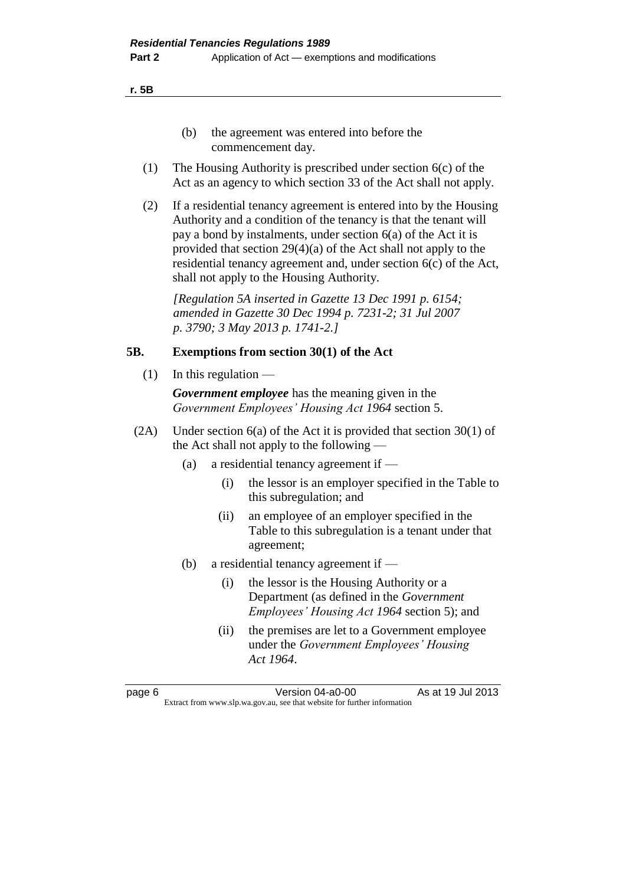**r. 5B**

- (b) the agreement was entered into before the commencement day.
- (1) The Housing Authority is prescribed under section 6(c) of the Act as an agency to which section 33 of the Act shall not apply.
- (2) If a residential tenancy agreement is entered into by the Housing Authority and a condition of the tenancy is that the tenant will pay a bond by instalments, under section 6(a) of the Act it is provided that section 29(4)(a) of the Act shall not apply to the residential tenancy agreement and, under section 6(c) of the Act, shall not apply to the Housing Authority.

*[Regulation 5A inserted in Gazette 13 Dec 1991 p. 6154; amended in Gazette 30 Dec 1994 p. 7231-2; 31 Jul 2007 p. 3790; 3 May 2013 p. 1741-2.]* 

#### **5B. Exemptions from section 30(1) of the Act**

 $(1)$  In this regulation —

*Government employee* has the meaning given in the *Government Employees' Housing Act 1964* section 5.

- (2A) Under section 6(a) of the Act it is provided that section 30(1) of the Act shall not apply to the following —
	- (a) a residential tenancy agreement if
		- (i) the lessor is an employer specified in the Table to this subregulation; and
		- (ii) an employee of an employer specified in the Table to this subregulation is a tenant under that agreement;
	- (b) a residential tenancy agreement if
		- (i) the lessor is the Housing Authority or a Department (as defined in the *Government Employees' Housing Act 1964* section 5); and
		- (ii) the premises are let to a Government employee under the *Government Employees' Housing Act 1964*.

page 6 Version 04-a0-00 As at 19 Jul 2013 Extract from www.slp.wa.gov.au, see that website for further information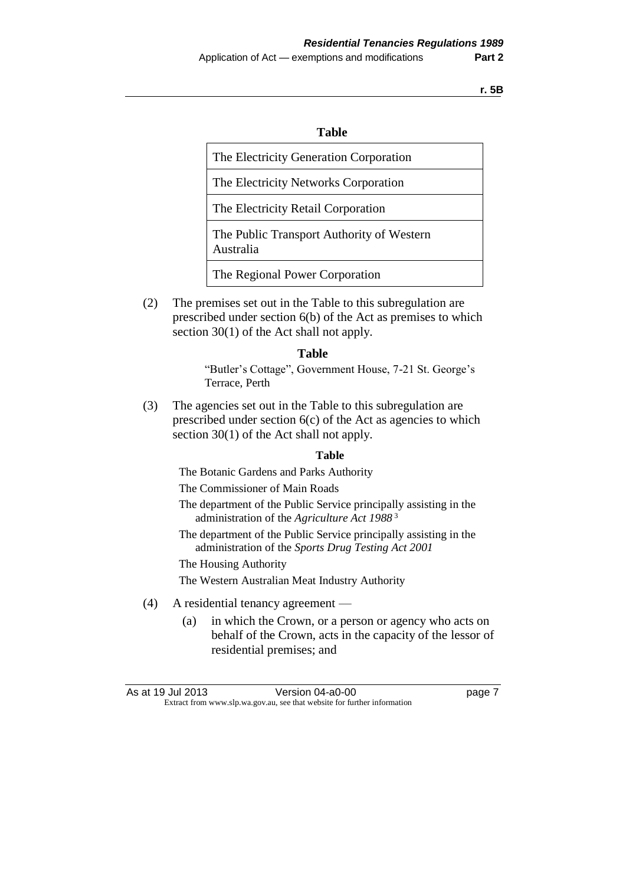**r. 5B**

#### **Table**

The Electricity Generation Corporation

The Electricity Networks Corporation

The Electricity Retail Corporation

The Public Transport Authority of Western Australia

The Regional Power Corporation

(2) The premises set out in the Table to this subregulation are prescribed under section 6(b) of the Act as premises to which section 30(1) of the Act shall not apply.

#### **Table**

"Butler's Cottage", Government House, 7-21 St. George's Terrace, Perth

(3) The agencies set out in the Table to this subregulation are prescribed under section  $6(c)$  of the Act as agencies to which section 30(1) of the Act shall not apply.

#### **Table**

The Botanic Gardens and Parks Authority

The Commissioner of Main Roads

- The department of the Public Service principally assisting in the administration of the *Agriculture Act 1988* <sup>3</sup>
- The department of the Public Service principally assisting in the administration of the *Sports Drug Testing Act 2001*
- The Housing Authority

The Western Australian Meat Industry Authority

- (4) A residential tenancy agreement
	- (a) in which the Crown, or a person or agency who acts on behalf of the Crown, acts in the capacity of the lessor of residential premises; and

| As at 19 Jul 2013 | Version 04-a0-00                                                         | page 7 |
|-------------------|--------------------------------------------------------------------------|--------|
|                   | Extract from www.slp.wa.gov.au, see that website for further information |        |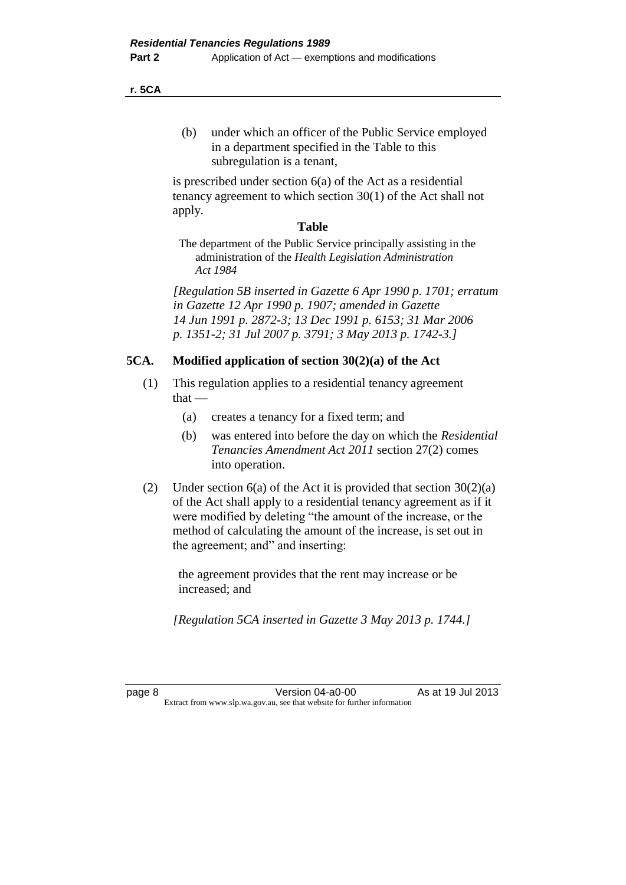**r. 5CA**

(b) under which an officer of the Public Service employed in a department specified in the Table to this subregulation is a tenant,

is prescribed under section 6(a) of the Act as a residential tenancy agreement to which section 30(1) of the Act shall not apply.

#### **Table**

The department of the Public Service principally assisting in the administration of the *Health Legislation Administration Act 1984*

*[Regulation 5B inserted in Gazette 6 Apr 1990 p. 1701; erratum in Gazette 12 Apr 1990 p. 1907; amended in Gazette 14 Jun 1991 p. 2872-3; 13 Dec 1991 p. 6153; 31 Mar 2006 p. 1351-2; 31 Jul 2007 p. 3791; 3 May 2013 p. 1742-3.]* 

#### **5CA. Modified application of section 30(2)(a) of the Act**

- (1) This regulation applies to a residential tenancy agreement  $that -$ 
	- (a) creates a tenancy for a fixed term; and
	- (b) was entered into before the day on which the *Residential Tenancies Amendment Act 2011* section 27(2) comes into operation.
- (2) Under section  $6(a)$  of the Act it is provided that section  $30(2)(a)$ of the Act shall apply to a residential tenancy agreement as if it were modified by deleting "the amount of the increase, or the method of calculating the amount of the increase, is set out in the agreement; and" and inserting:

the agreement provides that the rent may increase or be increased; and

*[Regulation 5CA inserted in Gazette 3 May 2013 p. 1744.]*

page 8 **Version 04-a0-00** As at 19 Jul 2013 Extract from www.slp.wa.gov.au, see that website for further information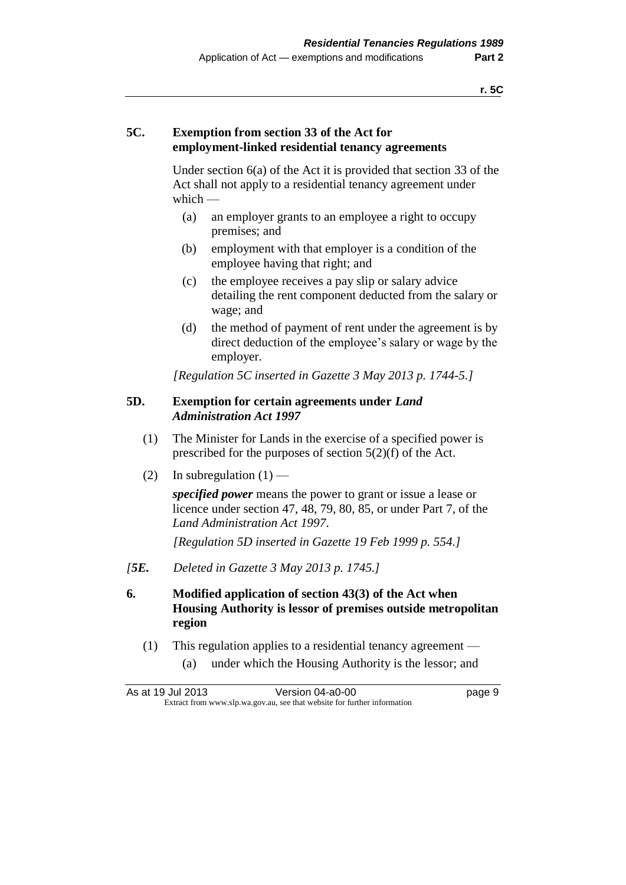### **5C. Exemption from section 33 of the Act for employment-linked residential tenancy agreements**

Under section 6(a) of the Act it is provided that section 33 of the Act shall not apply to a residential tenancy agreement under which —

- (a) an employer grants to an employee a right to occupy premises; and
- (b) employment with that employer is a condition of the employee having that right; and
- (c) the employee receives a pay slip or salary advice detailing the rent component deducted from the salary or wage; and
- (d) the method of payment of rent under the agreement is by direct deduction of the employee's salary or wage by the employer.

*[Regulation 5C inserted in Gazette 3 May 2013 p. 1744-5.]*

#### **5D. Exemption for certain agreements under** *Land Administration Act 1997*

- (1) The Minister for Lands in the exercise of a specified power is prescribed for the purposes of section 5(2)(f) of the Act.
- (2) In subregulation  $(1)$  —

*specified power* means the power to grant or issue a lease or licence under section 47, 48, 79, 80, 85, or under Part 7, of the *Land Administration Act 1997*.

*[Regulation 5D inserted in Gazette 19 Feb 1999 p. 554.]*

- *[5E. Deleted in Gazette 3 May 2013 p. 1745.]*
- **6. Modified application of section 43(3) of the Act when Housing Authority is lessor of premises outside metropolitan region**
	- (1) This regulation applies to a residential tenancy agreement
		- (a) under which the Housing Authority is the lessor; and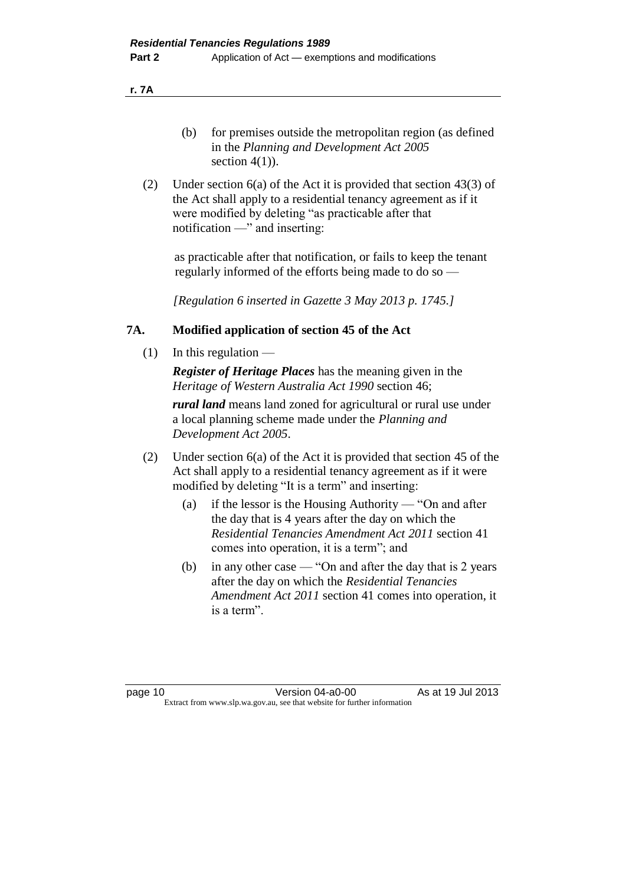**r. 7A**

- (b) for premises outside the metropolitan region (as defined in the *Planning and Development Act 2005* section  $4(1)$ ).
- (2) Under section 6(a) of the Act it is provided that section 43(3) of the Act shall apply to a residential tenancy agreement as if it were modified by deleting "as practicable after that notification —" and inserting:

as practicable after that notification, or fails to keep the tenant regularly informed of the efforts being made to do so —

*[Regulation 6 inserted in Gazette 3 May 2013 p. 1745.]*

#### **7A. Modified application of section 45 of the Act**

 $(1)$  In this regulation —

*Register of Heritage Places* has the meaning given in the *Heritage of Western Australia Act 1990* section 46;

*rural land* means land zoned for agricultural or rural use under a local planning scheme made under the *Planning and Development Act 2005*.

- (2) Under section 6(a) of the Act it is provided that section 45 of the Act shall apply to a residential tenancy agreement as if it were modified by deleting "It is a term" and inserting:
	- (a) if the lessor is the Housing Authority "On and after the day that is 4 years after the day on which the *Residential Tenancies Amendment Act 2011* section 41 comes into operation, it is a term"; and
	- (b) in any other case "On and after the day that is 2 years after the day on which the *Residential Tenancies Amendment Act 2011* section 41 comes into operation, it is a term".

page 10 **Version 04-a0-00** As at 19 Jul 2013 Extract from www.slp.wa.gov.au, see that website for further information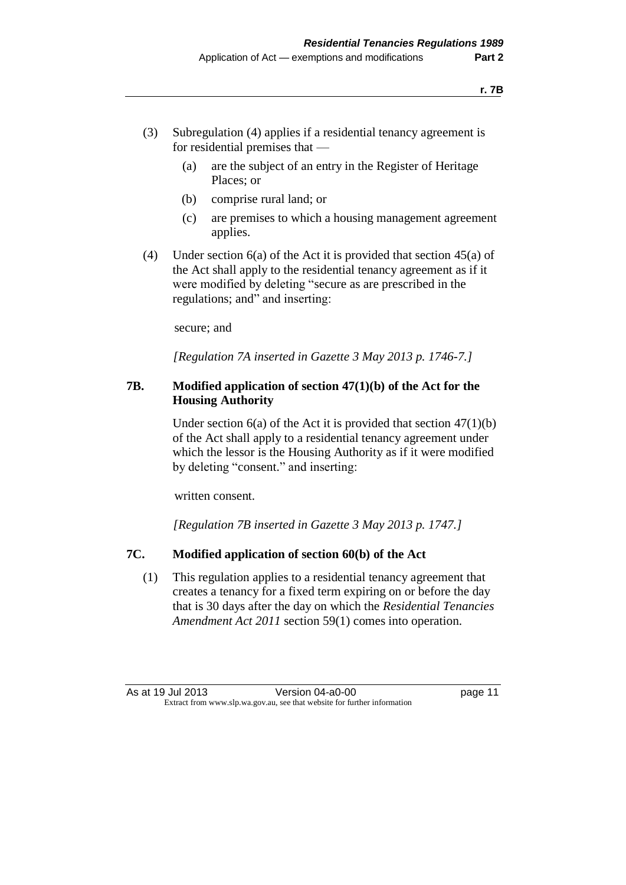- (3) Subregulation (4) applies if a residential tenancy agreement is for residential premises that —
	- (a) are the subject of an entry in the Register of Heritage Places; or
	- (b) comprise rural land; or
	- (c) are premises to which a housing management agreement applies.
- (4) Under section 6(a) of the Act it is provided that section 45(a) of the Act shall apply to the residential tenancy agreement as if it were modified by deleting "secure as are prescribed in the regulations; and" and inserting:

secure; and

*[Regulation 7A inserted in Gazette 3 May 2013 p. 1746-7.]*

#### **7B. Modified application of section 47(1)(b) of the Act for the Housing Authority**

Under section  $6(a)$  of the Act it is provided that section  $47(1)(b)$ of the Act shall apply to a residential tenancy agreement under which the lessor is the Housing Authority as if it were modified by deleting "consent." and inserting:

written consent.

*[Regulation 7B inserted in Gazette 3 May 2013 p. 1747.]*

#### **7C. Modified application of section 60(b) of the Act**

(1) This regulation applies to a residential tenancy agreement that creates a tenancy for a fixed term expiring on or before the day that is 30 days after the day on which the *Residential Tenancies Amendment Act 2011* section 59(1) comes into operation.

As at 19 Jul 2013 Version 04-a0-00 page 11 Extract from www.slp.wa.gov.au, see that website for further information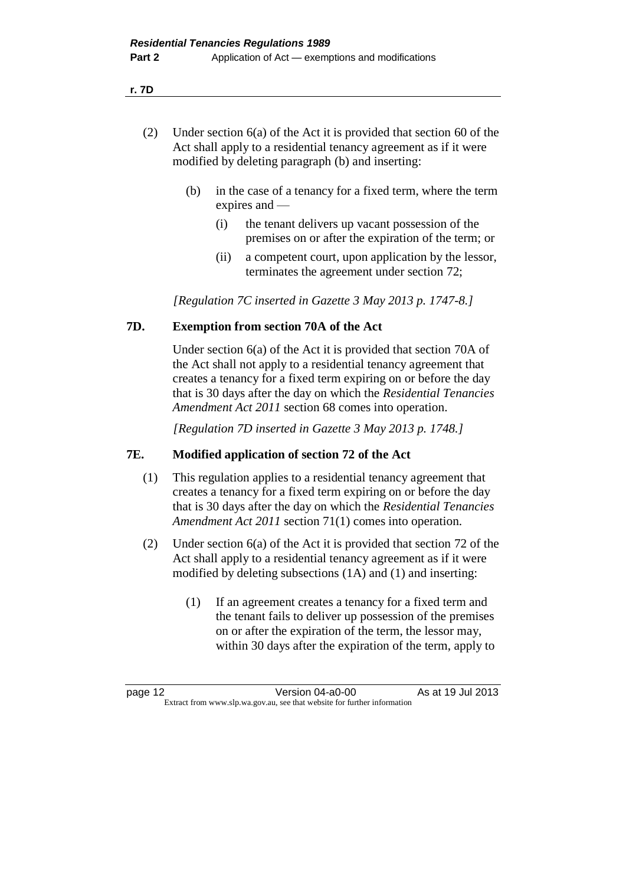**r. 7D**

- (2) Under section 6(a) of the Act it is provided that section 60 of the Act shall apply to a residential tenancy agreement as if it were modified by deleting paragraph (b) and inserting:
	- (b) in the case of a tenancy for a fixed term, where the term expires and —
		- (i) the tenant delivers up vacant possession of the premises on or after the expiration of the term; or
		- (ii) a competent court, upon application by the lessor, terminates the agreement under section 72;

*[Regulation 7C inserted in Gazette 3 May 2013 p. 1747-8.]*

#### **7D. Exemption from section 70A of the Act**

Under section 6(a) of the Act it is provided that section 70A of the Act shall not apply to a residential tenancy agreement that creates a tenancy for a fixed term expiring on or before the day that is 30 days after the day on which the *Residential Tenancies Amendment Act 2011* section 68 comes into operation.

*[Regulation 7D inserted in Gazette 3 May 2013 p. 1748.]*

#### **7E. Modified application of section 72 of the Act**

- (1) This regulation applies to a residential tenancy agreement that creates a tenancy for a fixed term expiring on or before the day that is 30 days after the day on which the *Residential Tenancies Amendment Act 2011* section 71(1) comes into operation.
- (2) Under section 6(a) of the Act it is provided that section 72 of the Act shall apply to a residential tenancy agreement as if it were modified by deleting subsections (1A) and (1) and inserting:
	- (1) If an agreement creates a tenancy for a fixed term and the tenant fails to deliver up possession of the premises on or after the expiration of the term, the lessor may, within 30 days after the expiration of the term, apply to

page 12 **Version 04-a0-00** As at 19 Jul 2013 Extract from www.slp.wa.gov.au, see that website for further information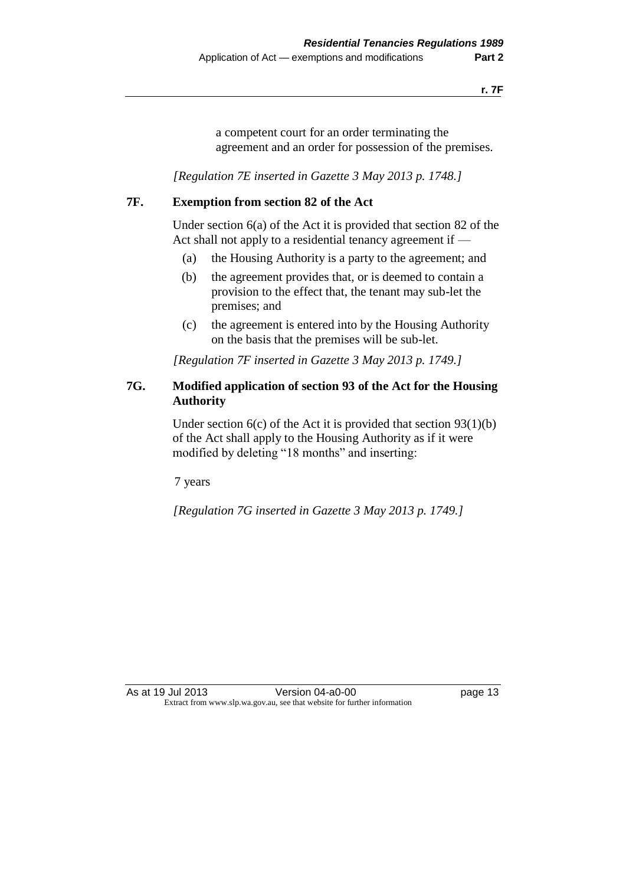a competent court for an order terminating the agreement and an order for possession of the premises.

*[Regulation 7E inserted in Gazette 3 May 2013 p. 1748.]*

#### **7F. Exemption from section 82 of the Act**

Under section 6(a) of the Act it is provided that section 82 of the Act shall not apply to a residential tenancy agreement if —

- (a) the Housing Authority is a party to the agreement; and
- (b) the agreement provides that, or is deemed to contain a provision to the effect that, the tenant may sub-let the premises; and
- (c) the agreement is entered into by the Housing Authority on the basis that the premises will be sub-let.

*[Regulation 7F inserted in Gazette 3 May 2013 p. 1749.]*

### **7G. Modified application of section 93 of the Act for the Housing Authority**

Under section  $6(c)$  of the Act it is provided that section  $93(1)(b)$ of the Act shall apply to the Housing Authority as if it were modified by deleting "18 months" and inserting:

7 years

*[Regulation 7G inserted in Gazette 3 May 2013 p. 1749.]*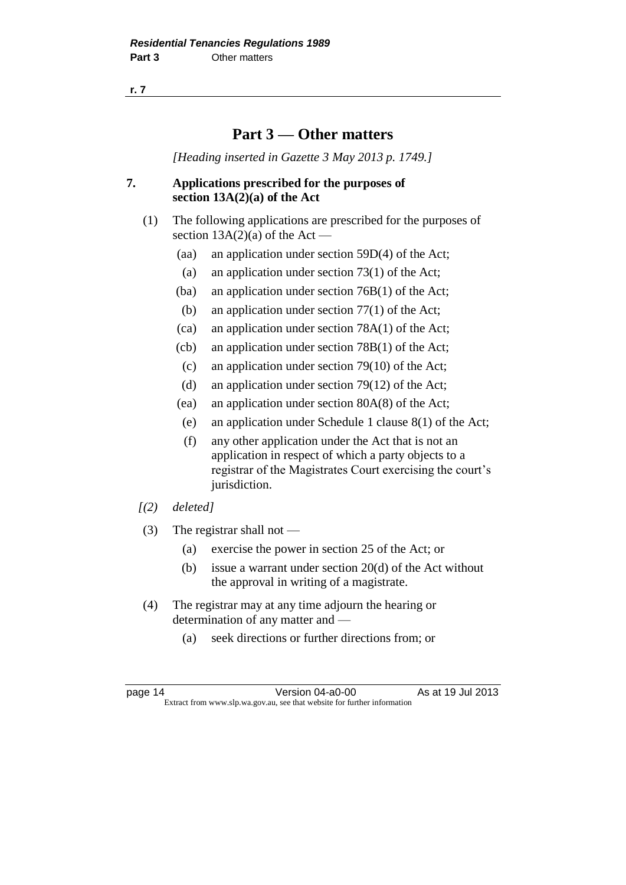**r. 7**

### **Part 3 — Other matters**

*[Heading inserted in Gazette 3 May 2013 p. 1749.]*

#### **7. Applications prescribed for the purposes of section 13A(2)(a) of the Act**

- (1) The following applications are prescribed for the purposes of section  $13A(2)(a)$  of the Act –
	- (aa) an application under section 59D(4) of the Act;
	- (a) an application under section 73(1) of the Act;
	- (ba) an application under section 76B(1) of the Act;
	- (b) an application under section 77(1) of the Act;
	- (ca) an application under section 78A(1) of the Act;
	- (cb) an application under section 78B(1) of the Act;
	- (c) an application under section 79(10) of the Act;
	- (d) an application under section 79(12) of the Act;
	- (ea) an application under section 80A(8) of the Act;
	- (e) an application under Schedule 1 clause 8(1) of the Act;
	- (f) any other application under the Act that is not an application in respect of which a party objects to a registrar of the Magistrates Court exercising the court's jurisdiction.
- *[(2) deleted]*
- (3) The registrar shall not
	- (a) exercise the power in section 25 of the Act; or
	- (b) issue a warrant under section 20(d) of the Act without the approval in writing of a magistrate.
- (4) The registrar may at any time adjourn the hearing or determination of any matter and —
	- (a) seek directions or further directions from; or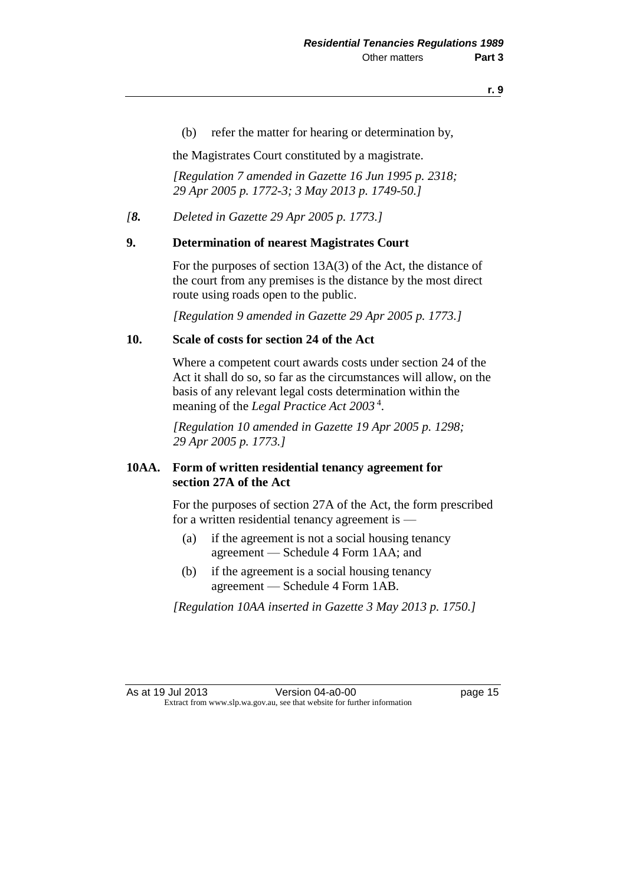(b) refer the matter for hearing or determination by,

the Magistrates Court constituted by a magistrate.

*[Regulation 7 amended in Gazette 16 Jun 1995 p. 2318; 29 Apr 2005 p. 1772-3; 3 May 2013 p. 1749-50.]* 

*[8. Deleted in Gazette 29 Apr 2005 p. 1773.]*

#### **9. Determination of nearest Magistrates Court**

For the purposes of section 13A(3) of the Act, the distance of the court from any premises is the distance by the most direct route using roads open to the public.

*[Regulation 9 amended in Gazette 29 Apr 2005 p. 1773.]*

#### **10. Scale of costs for section 24 of the Act**

Where a competent court awards costs under section 24 of the Act it shall do so, so far as the circumstances will allow, on the basis of any relevant legal costs determination within the meaning of the *Legal Practice Act 2003* <sup>4</sup> .

*[Regulation 10 amended in Gazette 19 Apr 2005 p. 1298; 29 Apr 2005 p. 1773.]*

#### **10AA. Form of written residential tenancy agreement for section 27A of the Act**

For the purposes of section 27A of the Act, the form prescribed for a written residential tenancy agreement is —

- (a) if the agreement is not a social housing tenancy agreement — Schedule 4 Form 1AA; and
- (b) if the agreement is a social housing tenancy agreement — Schedule 4 Form 1AB.

*[Regulation 10AA inserted in Gazette 3 May 2013 p. 1750.]* 

As at 19 Jul 2013 Version 04-a0-00 page 15 Extract from www.slp.wa.gov.au, see that website for further information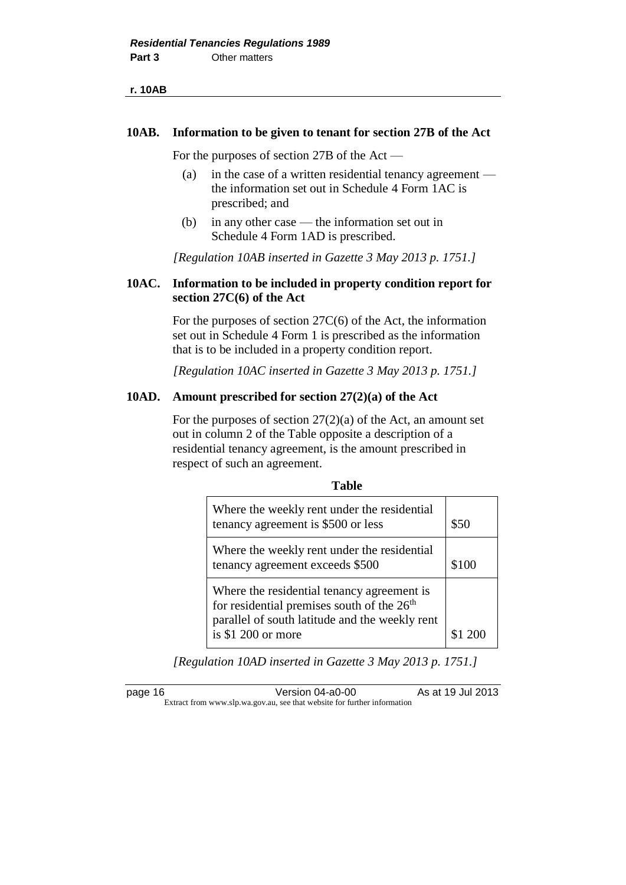#### **10AB. Information to be given to tenant for section 27B of the Act**

For the purposes of section 27B of the Act —

- (a) in the case of a written residential tenancy agreement the information set out in Schedule 4 Form 1AC is prescribed; and
- (b) in any other case the information set out in Schedule 4 Form 1AD is prescribed.

*[Regulation 10AB inserted in Gazette 3 May 2013 p. 1751.]* 

#### **10AC. Information to be included in property condition report for section 27C(6) of the Act**

For the purposes of section 27C(6) of the Act, the information set out in Schedule 4 Form 1 is prescribed as the information that is to be included in a property condition report.

*[Regulation 10AC inserted in Gazette 3 May 2013 p. 1751.]* 

#### **10AD. Amount prescribed for section 27(2)(a) of the Act**

For the purposes of section  $27(2)(a)$  of the Act, an amount set out in column 2 of the Table opposite a description of a residential tenancy agreement, is the amount prescribed in respect of such an agreement.

| Where the weekly rent under the residential<br>tenancy agreement is \$500 or less                                                                                             | \$50  |
|-------------------------------------------------------------------------------------------------------------------------------------------------------------------------------|-------|
| Where the weekly rent under the residential<br>tenancy agreement exceeds \$500                                                                                                | \$100 |
| Where the residential tenancy agreement is<br>for residential premises south of the 26 <sup>th</sup><br>parallel of south latitude and the weekly rent<br>is $$1 200$ or more |       |

*[Regulation 10AD inserted in Gazette 3 May 2013 p. 1751.]* 

page 16 **Version 04-a0-00** As at 19 Jul 2013 Extract from www.slp.wa.gov.au, see that website for further information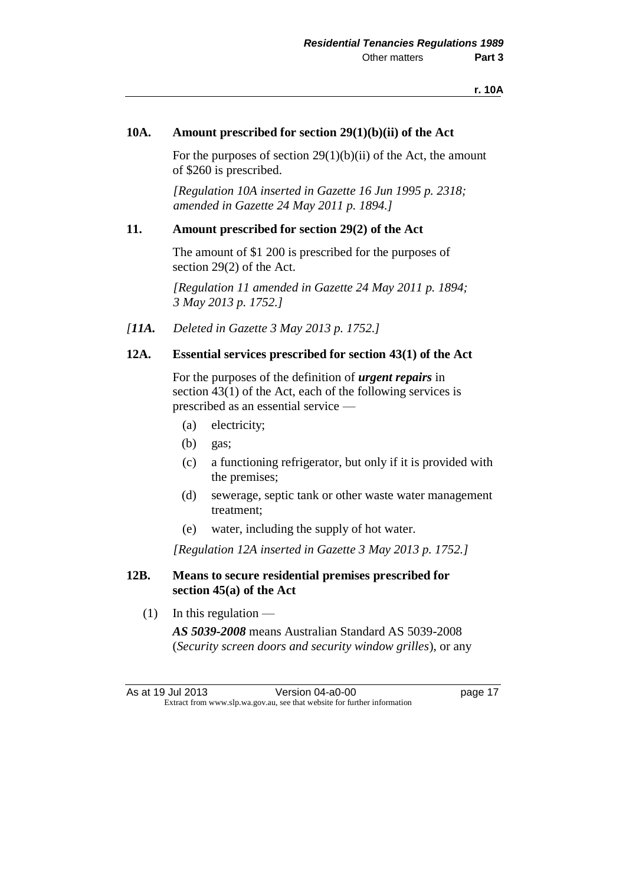#### **10A. Amount prescribed for section 29(1)(b)(ii) of the Act**

For the purposes of section  $29(1)(b)(ii)$  of the Act, the amount of \$260 is prescribed.

*[Regulation 10A inserted in Gazette 16 Jun 1995 p. 2318; amended in Gazette 24 May 2011 p. 1894.]* 

#### **11. Amount prescribed for section 29(2) of the Act**

The amount of \$1 200 is prescribed for the purposes of section 29(2) of the Act.

*[Regulation 11 amended in Gazette 24 May 2011 p. 1894; 3 May 2013 p. 1752.]* 

*[11A. Deleted in Gazette 3 May 2013 p. 1752.]*

#### **12A. Essential services prescribed for section 43(1) of the Act**

For the purposes of the definition of *urgent repairs* in section 43(1) of the Act, each of the following services is prescribed as an essential service —

- (a) electricity;
- (b) gas;
- (c) a functioning refrigerator, but only if it is provided with the premises;
- (d) sewerage, septic tank or other waste water management treatment;
- (e) water, including the supply of hot water.

*[Regulation 12A inserted in Gazette 3 May 2013 p. 1752.]* 

#### **12B. Means to secure residential premises prescribed for section 45(a) of the Act**

 $(1)$  In this regulation —

*AS 5039-2008* means Australian Standard AS 5039-2008 (*Security screen doors and security window grilles*), or any

As at 19 Jul 2013 Version 04-a0-00 page 17 Extract from www.slp.wa.gov.au, see that website for further information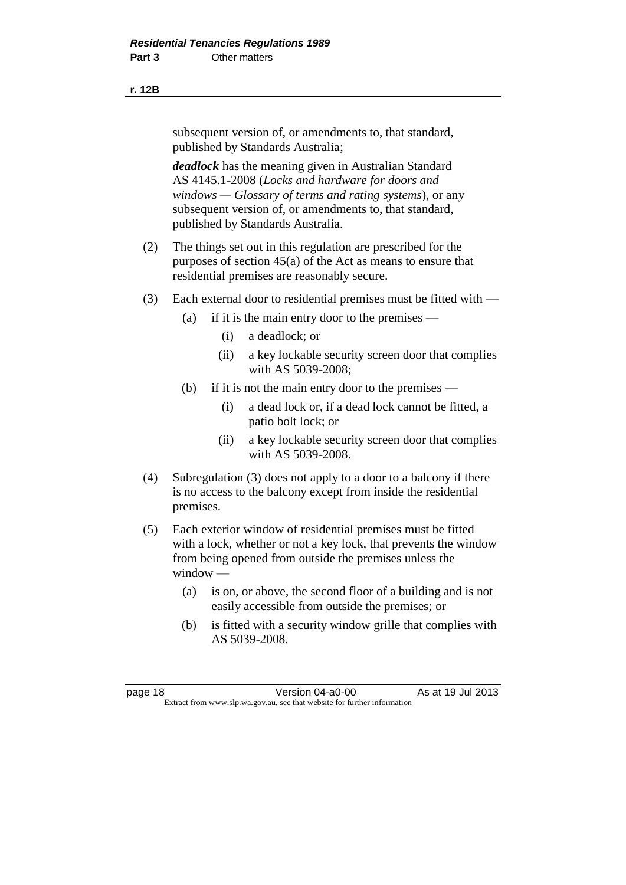#### **r. 12B**

subsequent version of, or amendments to, that standard, published by Standards Australia;

*deadlock* has the meaning given in Australian Standard AS 4145.1-2008 (*Locks and hardware for doors and windows — Glossary of terms and rating systems*), or any subsequent version of, or amendments to, that standard, published by Standards Australia.

- (2) The things set out in this regulation are prescribed for the purposes of section 45(a) of the Act as means to ensure that residential premises are reasonably secure.
- (3) Each external door to residential premises must be fitted with
	- (a) if it is the main entry door to the premises
		- (i) a deadlock; or
		- (ii) a key lockable security screen door that complies with AS 5039-2008;
	- (b) if it is not the main entry door to the premises
		- (i) a dead lock or, if a dead lock cannot be fitted, a patio bolt lock; or
		- (ii) a key lockable security screen door that complies with AS 5039-2008.
- (4) Subregulation (3) does not apply to a door to a balcony if there is no access to the balcony except from inside the residential premises.
- (5) Each exterior window of residential premises must be fitted with a lock, whether or not a key lock, that prevents the window from being opened from outside the premises unless the window —
	- (a) is on, or above, the second floor of a building and is not easily accessible from outside the premises; or
	- (b) is fitted with a security window grille that complies with AS 5039-2008.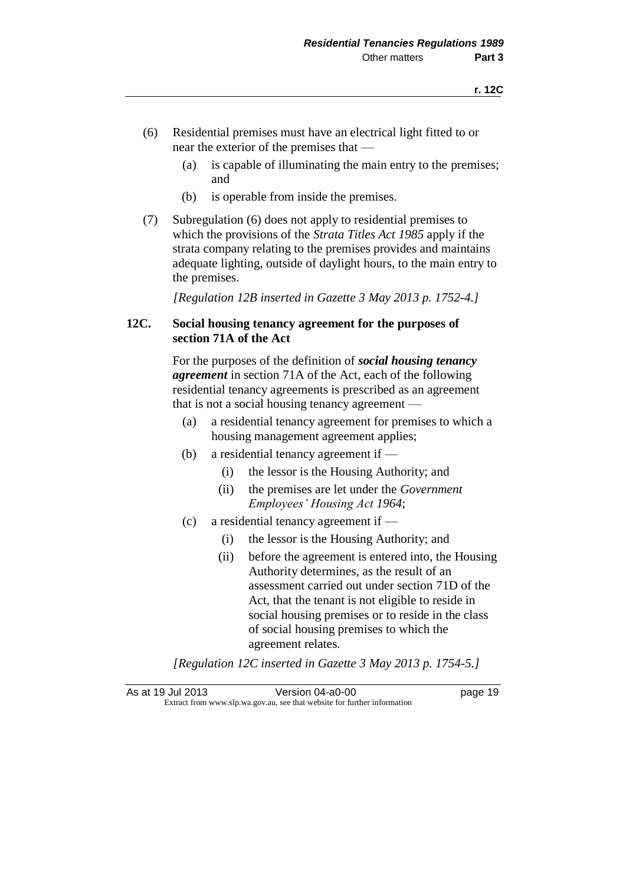- (6) Residential premises must have an electrical light fitted to or near the exterior of the premises that —
	- (a) is capable of illuminating the main entry to the premises; and
	- (b) is operable from inside the premises.
- (7) Subregulation (6) does not apply to residential premises to which the provisions of the *Strata Titles Act 1985* apply if the strata company relating to the premises provides and maintains adequate lighting, outside of daylight hours, to the main entry to the premises.

*[Regulation 12B inserted in Gazette 3 May 2013 p. 1752-4.]* 

#### **12C. Social housing tenancy agreement for the purposes of section 71A of the Act**

For the purposes of the definition of *social housing tenancy agreement* in section 71A of the Act, each of the following residential tenancy agreements is prescribed as an agreement that is not a social housing tenancy agreement —

- (a) a residential tenancy agreement for premises to which a housing management agreement applies;
- (b) a residential tenancy agreement if
	- (i) the lessor is the Housing Authority; and
	- (ii) the premises are let under the *Government Employees' Housing Act 1964*;
- (c) a residential tenancy agreement if
	- (i) the lessor is the Housing Authority; and
	- (ii) before the agreement is entered into, the Housing Authority determines, as the result of an assessment carried out under section 71D of the Act, that the tenant is not eligible to reside in social housing premises or to reside in the class of social housing premises to which the agreement relates.

*[Regulation 12C inserted in Gazette 3 May 2013 p. 1754-5.]* 

As at 19 Jul 2013 Version 04-a0-00 page 19 Extract from www.slp.wa.gov.au, see that website for further information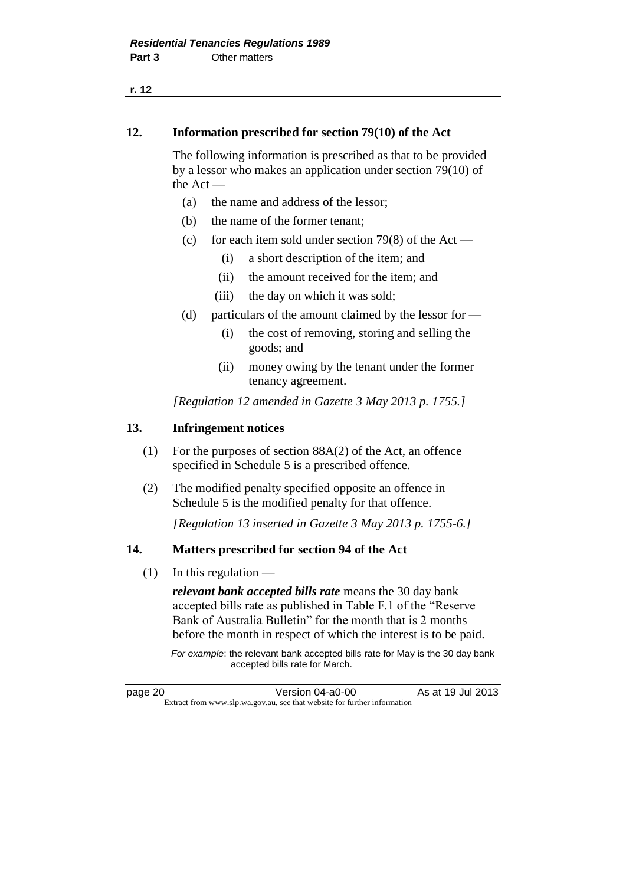**r. 12**

#### **12. Information prescribed for section 79(10) of the Act**

The following information is prescribed as that to be provided by a lessor who makes an application under section 79(10) of the Act —

- (a) the name and address of the lessor;
- (b) the name of the former tenant;
- (c) for each item sold under section 79(8) of the Act
	- (i) a short description of the item; and
	- (ii) the amount received for the item; and
	- (iii) the day on which it was sold;
- (d) particulars of the amount claimed by the lessor for  $-$ 
	- (i) the cost of removing, storing and selling the goods; and
	- (ii) money owing by the tenant under the former tenancy agreement.

*[Regulation 12 amended in Gazette 3 May 2013 p. 1755.]* 

#### **13. Infringement notices**

- (1) For the purposes of section 88A(2) of the Act, an offence specified in Schedule 5 is a prescribed offence.
- (2) The modified penalty specified opposite an offence in Schedule 5 is the modified penalty for that offence.

*[Regulation 13 inserted in Gazette 3 May 2013 p. 1755-6.]*

#### **14. Matters prescribed for section 94 of the Act**

 $(1)$  In this regulation —

*relevant bank accepted bills rate* means the 30 day bank accepted bills rate as published in Table F.1 of the "Reserve Bank of Australia Bulletin" for the month that is 2 months before the month in respect of which the interest is to be paid.

*For example*: the relevant bank accepted bills rate for May is the 30 day bank accepted bills rate for March.

page 20 **Version 04-a0-00** As at 19 Jul 2013 Extract from www.slp.wa.gov.au, see that website for further information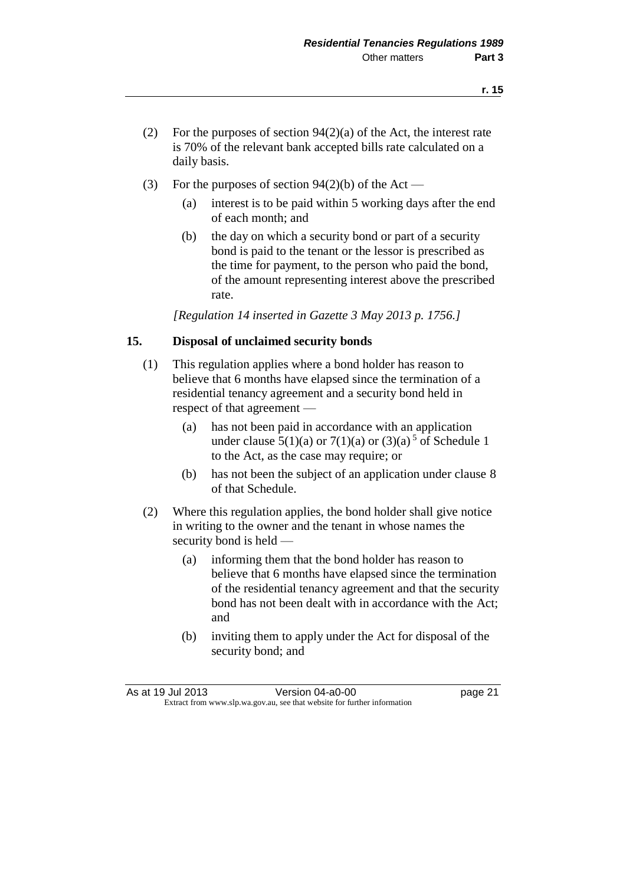- (2) For the purposes of section  $94(2)(a)$  of the Act, the interest rate is 70% of the relevant bank accepted bills rate calculated on a daily basis.
- (3) For the purposes of section  $94(2)(b)$  of the Act
	- (a) interest is to be paid within 5 working days after the end of each month; and
	- (b) the day on which a security bond or part of a security bond is paid to the tenant or the lessor is prescribed as the time for payment, to the person who paid the bond, of the amount representing interest above the prescribed rate.

*[Regulation 14 inserted in Gazette 3 May 2013 p. 1756.]*

#### **15. Disposal of unclaimed security bonds**

- (1) This regulation applies where a bond holder has reason to believe that 6 months have elapsed since the termination of a residential tenancy agreement and a security bond held in respect of that agreement —
	- (a) has not been paid in accordance with an application under clause  $5(1)(a)$  or  $7(1)(a)$  or  $(3)(a)$ <sup>5</sup> of Schedule 1 to the Act, as the case may require; or
	- (b) has not been the subject of an application under clause 8 of that Schedule.
- (2) Where this regulation applies, the bond holder shall give notice in writing to the owner and the tenant in whose names the security bond is held —
	- (a) informing them that the bond holder has reason to believe that 6 months have elapsed since the termination of the residential tenancy agreement and that the security bond has not been dealt with in accordance with the Act; and
	- (b) inviting them to apply under the Act for disposal of the security bond; and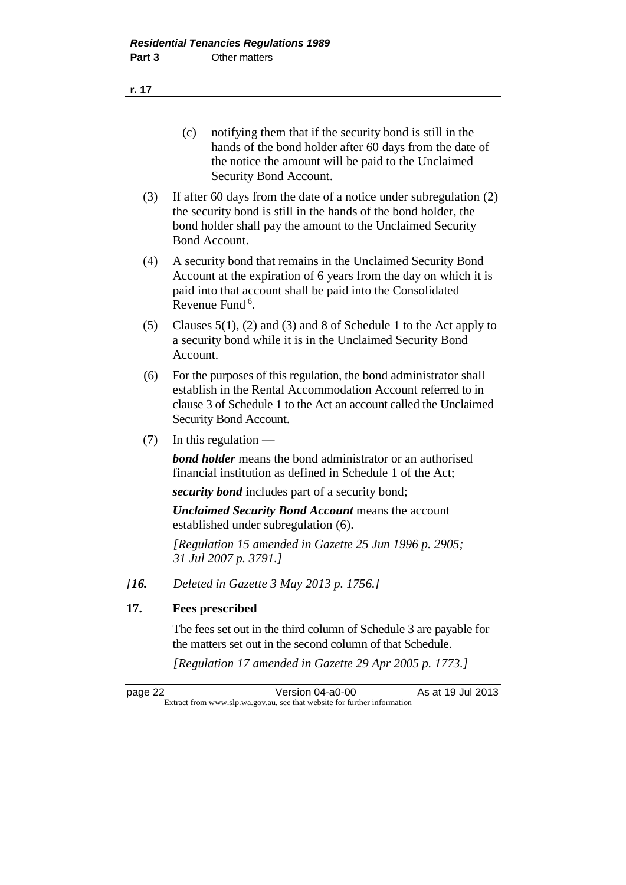**r. 17**

- (c) notifying them that if the security bond is still in the hands of the bond holder after 60 days from the date of the notice the amount will be paid to the Unclaimed Security Bond Account.
- (3) If after 60 days from the date of a notice under subregulation (2) the security bond is still in the hands of the bond holder, the bond holder shall pay the amount to the Unclaimed Security Bond Account.
- (4) A security bond that remains in the Unclaimed Security Bond Account at the expiration of 6 years from the day on which it is paid into that account shall be paid into the Consolidated Revenue Fund<sup>6</sup>.
- (5) Clauses 5(1), (2) and (3) and 8 of Schedule 1 to the Act apply to a security bond while it is in the Unclaimed Security Bond Account.
- (6) For the purposes of this regulation, the bond administrator shall establish in the Rental Accommodation Account referred to in clause 3 of Schedule 1 to the Act an account called the Unclaimed Security Bond Account.
- (7) In this regulation —

*bond holder* means the bond administrator or an authorised financial institution as defined in Schedule 1 of the Act;

*security bond* includes part of a security bond;

*Unclaimed Security Bond Account* means the account established under subregulation (6).

*[Regulation 15 amended in Gazette 25 Jun 1996 p. 2905; 31 Jul 2007 p. 3791.]* 

*[16. Deleted in Gazette 3 May 2013 p. 1756.]*

#### **17. Fees prescribed**

The fees set out in the third column of Schedule 3 are payable for the matters set out in the second column of that Schedule.

*[Regulation 17 amended in Gazette 29 Apr 2005 p. 1773.]*

page 22 **Version 04-a0-00** As at 19 Jul 2013 Extract from www.slp.wa.gov.au, see that website for further information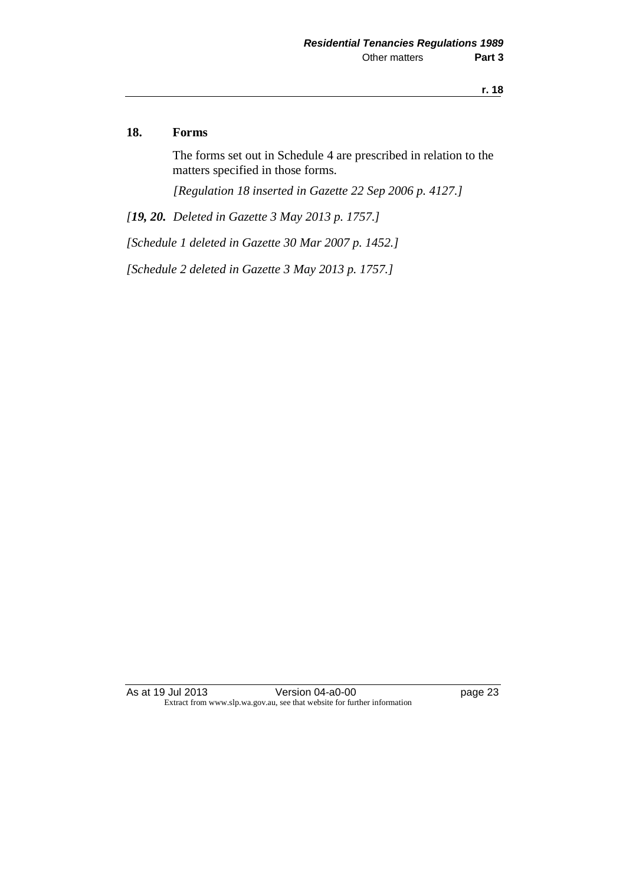#### **18. Forms**

The forms set out in Schedule 4 are prescribed in relation to the matters specified in those forms.

*[Regulation 18 inserted in Gazette 22 Sep 2006 p. 4127.]*

*[19, 20. Deleted in Gazette 3 May 2013 p. 1757.]*

*[Schedule 1 deleted in Gazette 30 Mar 2007 p. 1452.]*

*[Schedule 2 deleted in Gazette 3 May 2013 p. 1757.]*

As at 19 Jul 2013 Version 04-a0-00 page 23 Extract from www.slp.wa.gov.au, see that website for further information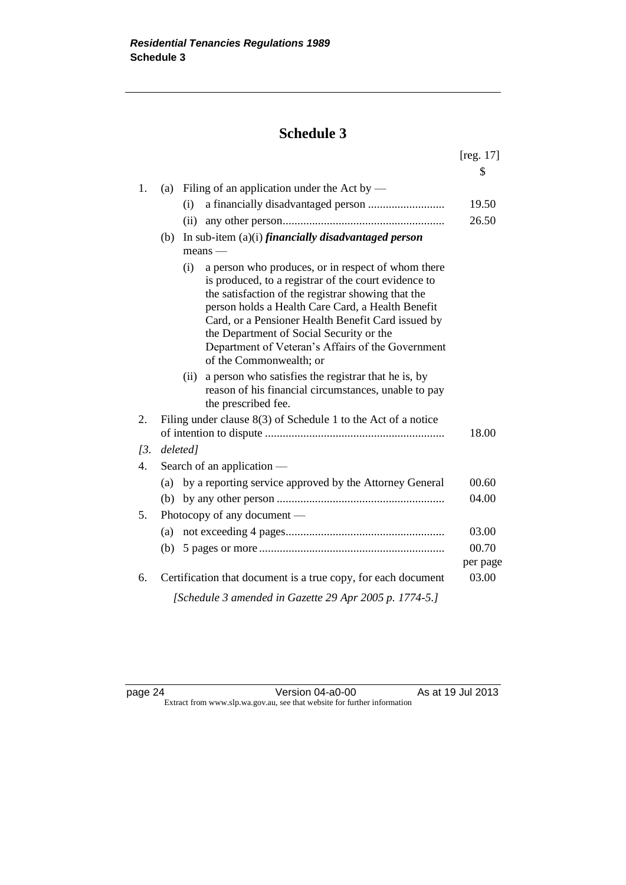### **Schedule 3**

|     |                                                                                                                                                                                                                                                                                                                                                                                                                | $[{\rm reg. 17}]$ |
|-----|----------------------------------------------------------------------------------------------------------------------------------------------------------------------------------------------------------------------------------------------------------------------------------------------------------------------------------------------------------------------------------------------------------------|-------------------|
|     |                                                                                                                                                                                                                                                                                                                                                                                                                | S                 |
| 1.  | Filing of an application under the Act by $-$<br>(a)                                                                                                                                                                                                                                                                                                                                                           |                   |
|     | (i)                                                                                                                                                                                                                                                                                                                                                                                                            | 19.50             |
|     | (ii)                                                                                                                                                                                                                                                                                                                                                                                                           | 26.50             |
|     | In sub-item $(a)(i)$ financially disadvantaged person<br>(b)                                                                                                                                                                                                                                                                                                                                                   |                   |
|     | $means -$                                                                                                                                                                                                                                                                                                                                                                                                      |                   |
|     | a person who produces, or in respect of whom there<br>(i)<br>is produced, to a registrar of the court evidence to<br>the satisfaction of the registrar showing that the<br>person holds a Health Care Card, a Health Benefit<br>Card, or a Pensioner Health Benefit Card issued by<br>the Department of Social Security or the<br>Department of Veteran's Affairs of the Government<br>of the Commonwealth; or |                   |
|     | a person who satisfies the registrar that he is, by<br>(ii)<br>reason of his financial circumstances, unable to pay<br>the prescribed fee.                                                                                                                                                                                                                                                                     |                   |
| 2.  | Filing under clause $8(3)$ of Schedule 1 to the Act of a notice                                                                                                                                                                                                                                                                                                                                                | 18.00             |
| 13. | deleted]                                                                                                                                                                                                                                                                                                                                                                                                       |                   |
| 4.  | Search of an application —                                                                                                                                                                                                                                                                                                                                                                                     |                   |
|     | (a) by a reporting service approved by the Attorney General                                                                                                                                                                                                                                                                                                                                                    | 00.60             |
|     | (b)                                                                                                                                                                                                                                                                                                                                                                                                            | 04.00             |
| 5.  | Photocopy of any document —                                                                                                                                                                                                                                                                                                                                                                                    |                   |
|     | (a)                                                                                                                                                                                                                                                                                                                                                                                                            | 03.00             |
|     |                                                                                                                                                                                                                                                                                                                                                                                                                | 00.70             |
|     |                                                                                                                                                                                                                                                                                                                                                                                                                | per page          |
| 6.  | Certification that document is a true copy, for each document                                                                                                                                                                                                                                                                                                                                                  | 03.00             |
|     | [Schedule 3 amended in Gazette 29 Apr 2005 p. 1774-5.]                                                                                                                                                                                                                                                                                                                                                         |                   |

page 24 Version 04-a0-00 As at 19 Jul 2013 Extract from www.slp.wa.gov.au, see that website for further information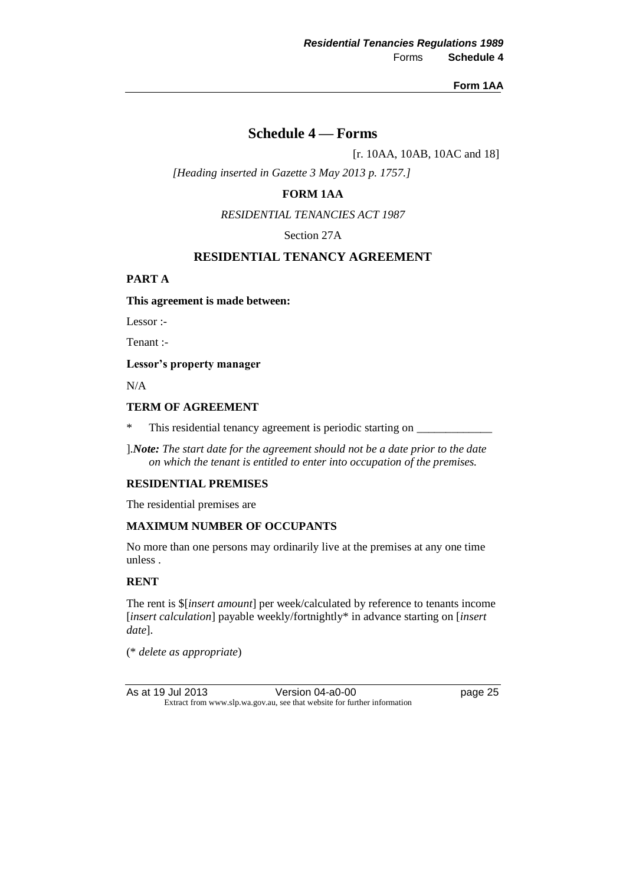#### **Form 1AA**

#### **Schedule 4 — Forms**

[r. 10AA, 10AB, 10AC and 18]

*[Heading inserted in Gazette 3 May 2013 p. 1757.]*

#### **FORM 1AA**

*RESIDENTIAL TENANCIES ACT 1987*

Section 27A

#### **RESIDENTIAL TENANCY AGREEMENT**

#### **PART A**

#### **This agreement is made between:**

Lessor :-

Tenant :-

**Lessor's property manager**

N/A

#### **TERM OF AGREEMENT**

\* This residential tenancy agreement is periodic starting on \_\_\_\_\_\_\_\_\_\_\_\_\_

].*Note: The start date for the agreement should not be a date prior to the date on which the tenant is entitled to enter into occupation of the premises.*

#### **RESIDENTIAL PREMISES**

The residential premises are

#### **MAXIMUM NUMBER OF OCCUPANTS**

No more than one persons may ordinarily live at the premises at any one time unless .

#### **RENT**

The rent is \$[*insert amount*] per week/calculated by reference to tenants income [*insert calculation*] payable weekly/fortnightly\* in advance starting on [*insert date*].

(\* *delete as appropriate*)

As at 19 Jul 2013 Version 04-a0-00 page 25 Extract from www.slp.wa.gov.au, see that website for further information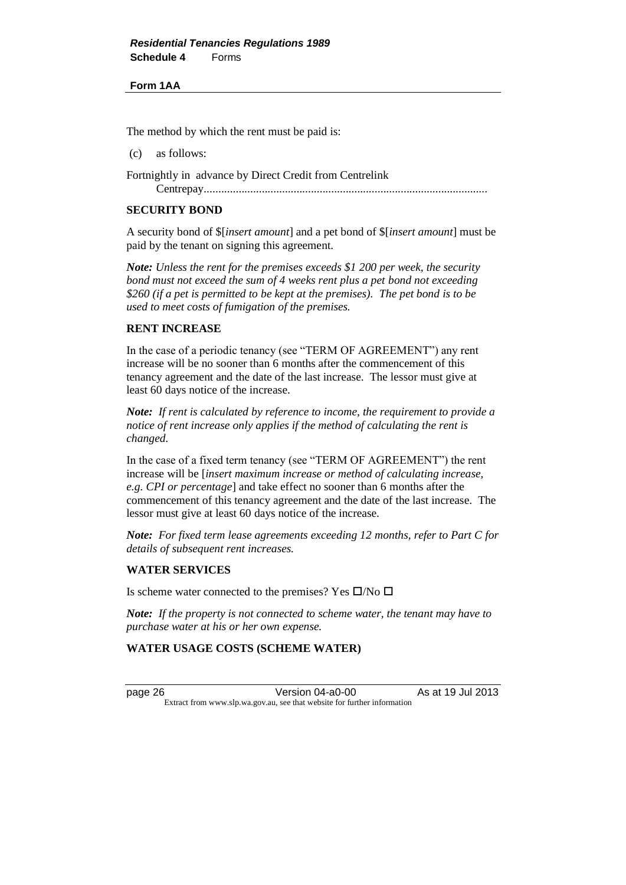#### **Form 1AA**

The method by which the rent must be paid is:

(c) as follows:

Fortnightly in advance by Direct Credit from Centrelink

Centrepay..................................................................................................

#### **SECURITY BOND**

A security bond of \$[*insert amount*] and a pet bond of \$[*insert amount*] must be paid by the tenant on signing this agreement.

*Note: Unless the rent for the premises exceeds \$1 200 per week, the security bond must not exceed the sum of 4 weeks rent plus a pet bond not exceeding \$260 (if a pet is permitted to be kept at the premises). The pet bond is to be used to meet costs of fumigation of the premises.*

#### **RENT INCREASE**

In the case of a periodic tenancy (see "TERM OF AGREEMENT") any rent increase will be no sooner than 6 months after the commencement of this tenancy agreement and the date of the last increase. The lessor must give at least 60 days notice of the increase.

*Note: If rent is calculated by reference to income, the requirement to provide a notice of rent increase only applies if the method of calculating the rent is changed.*

In the case of a fixed term tenancy (see "TERM OF AGREEMENT") the rent increase will be [*insert maximum increase or method of calculating increase, e.g. CPI or percentage*] and take effect no sooner than 6 months after the commencement of this tenancy agreement and the date of the last increase. The lessor must give at least 60 days notice of the increase.

*Note: For fixed term lease agreements exceeding 12 months, refer to Part C for details of subsequent rent increases.*

#### **WATER SERVICES**

Is scheme water connected to the premises? Yes  $\square$ /No  $\square$ 

*Note: If the property is not connected to scheme water, the tenant may have to purchase water at his or her own expense.*

#### **WATER USAGE COSTS (SCHEME WATER)**

page 26 Version 04-a0-00 As at 19 Jul 2013 Extract from www.slp.wa.gov.au, see that website for further information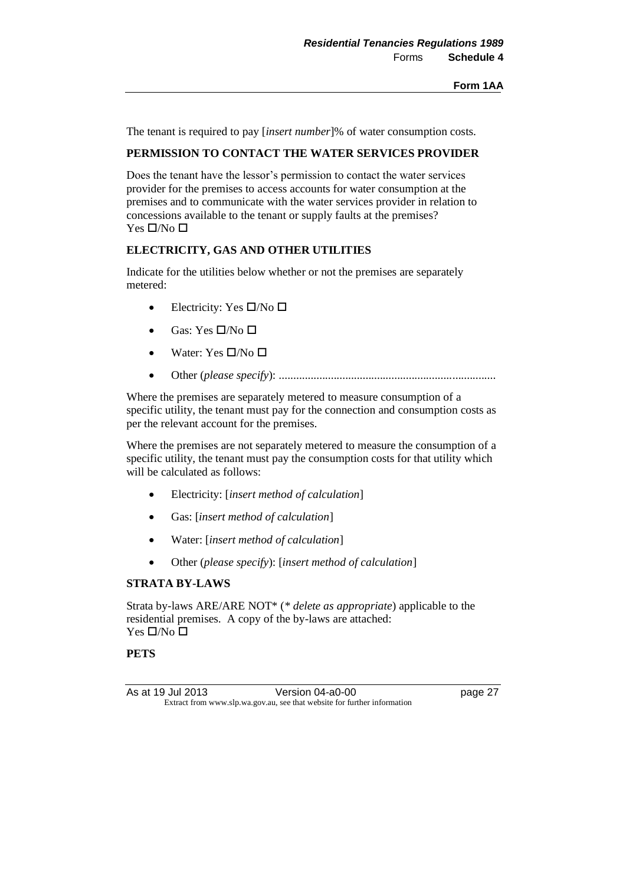The tenant is required to pay [*insert number*]% of water consumption costs.

#### **PERMISSION TO CONTACT THE WATER SERVICES PROVIDER**

Does the tenant have the lessor's permission to contact the water services provider for the premises to access accounts for water consumption at the premises and to communicate with the water services provider in relation to concessions available to the tenant or supply faults at the premises? Yes  $\square/N$ o  $\square$ 

#### **ELECTRICITY, GAS AND OTHER UTILITIES**

Indicate for the utilities below whether or not the premises are separately metered:

- Electricity: Yes  $\square/N$ o  $\square$
- Gas: Yes  $\Box$ /No  $\Box$
- Water: Yes  $\square/N_0 \square$
- Other (*please specify*): ...........................................................................

Where the premises are separately metered to measure consumption of a specific utility, the tenant must pay for the connection and consumption costs as per the relevant account for the premises.

Where the premises are not separately metered to measure the consumption of a specific utility, the tenant must pay the consumption costs for that utility which will be calculated as follows:

- Electricity: [*insert method of calculation*]
- Gas: [*insert method of calculation*]
- Water: [*insert method of calculation*]
- Other (*please specify*): [*insert method of calculation*]

#### **STRATA BY-LAWS**

Strata by-laws ARE/ARE NOT\* (*\* delete as appropriate*) applicable to the residential premises. A copy of the by-laws are attached: Yes  $\square/N_0 \square$ 

#### **PETS**

As at 19 Jul 2013 Version 04-a0-00 page 27 Extract from www.slp.wa.gov.au, see that website for further information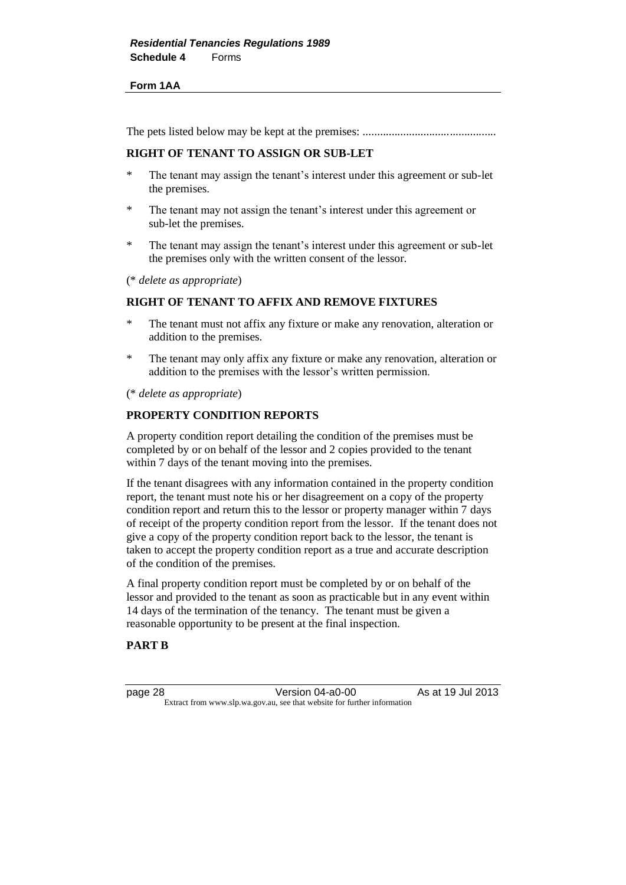#### **Form 1AA**

The pets listed below may be kept at the premises: ..............................................

#### **RIGHT OF TENANT TO ASSIGN OR SUB-LET**

- \* The tenant may assign the tenant's interest under this agreement or sub-let the premises.
- \* The tenant may not assign the tenant's interest under this agreement or sub-let the premises.
- \* The tenant may assign the tenant's interest under this agreement or sub-let the premises only with the written consent of the lessor.

(\* *delete as appropriate*)

#### **RIGHT OF TENANT TO AFFIX AND REMOVE FIXTURES**

- \* The tenant must not affix any fixture or make any renovation, alteration or addition to the premises.
- \* The tenant may only affix any fixture or make any renovation, alteration or addition to the premises with the lessor's written permission.

(\* *delete as appropriate*)

#### **PROPERTY CONDITION REPORTS**

A property condition report detailing the condition of the premises must be completed by or on behalf of the lessor and 2 copies provided to the tenant within 7 days of the tenant moving into the premises.

If the tenant disagrees with any information contained in the property condition report, the tenant must note his or her disagreement on a copy of the property condition report and return this to the lessor or property manager within 7 days of receipt of the property condition report from the lessor. If the tenant does not give a copy of the property condition report back to the lessor, the tenant is taken to accept the property condition report as a true and accurate description of the condition of the premises.

A final property condition report must be completed by or on behalf of the lessor and provided to the tenant as soon as practicable but in any event within 14 days of the termination of the tenancy. The tenant must be given a reasonable opportunity to be present at the final inspection.

#### **PART B**

page 28 **Version 04-a0-00** As at 19 Jul 2013 Extract from www.slp.wa.gov.au, see that website for further information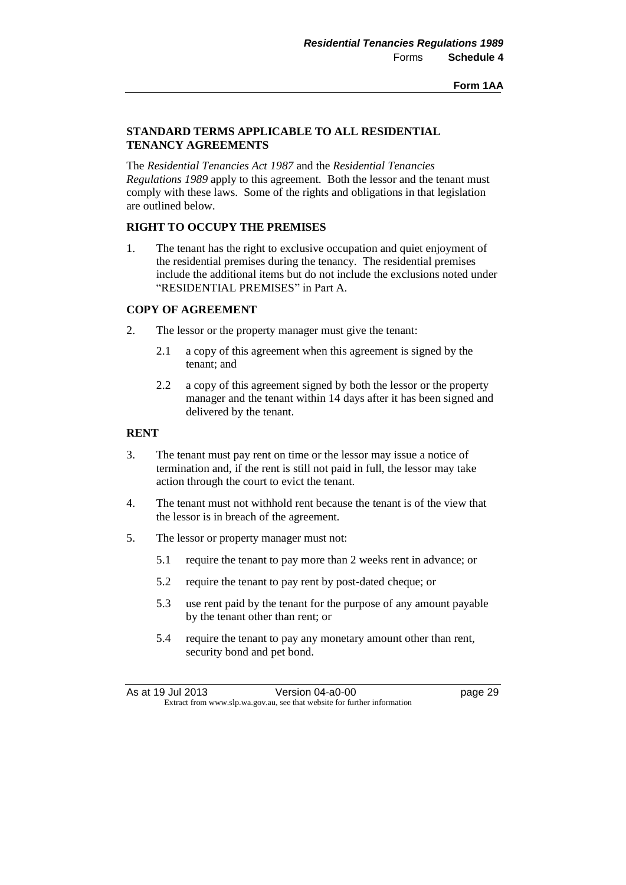#### **STANDARD TERMS APPLICABLE TO ALL RESIDENTIAL TENANCY AGREEMENTS**

The *Residential Tenancies Act 1987* and the *Residential Tenancies Regulations 1989* apply to this agreement. Both the lessor and the tenant must comply with these laws. Some of the rights and obligations in that legislation are outlined below.

#### **RIGHT TO OCCUPY THE PREMISES**

1. The tenant has the right to exclusive occupation and quiet enjoyment of the residential premises during the tenancy. The residential premises include the additional items but do not include the exclusions noted under "RESIDENTIAL PREMISES" in Part A.

#### **COPY OF AGREEMENT**

- 2. The lessor or the property manager must give the tenant:
	- 2.1 a copy of this agreement when this agreement is signed by the tenant; and
	- 2.2 a copy of this agreement signed by both the lessor or the property manager and the tenant within 14 days after it has been signed and delivered by the tenant.

#### **RENT**

- 3. The tenant must pay rent on time or the lessor may issue a notice of termination and, if the rent is still not paid in full, the lessor may take action through the court to evict the tenant.
- 4. The tenant must not withhold rent because the tenant is of the view that the lessor is in breach of the agreement.
- 5. The lessor or property manager must not:
	- 5.1 require the tenant to pay more than 2 weeks rent in advance; or
	- 5.2 require the tenant to pay rent by post-dated cheque; or
	- 5.3 use rent paid by the tenant for the purpose of any amount payable by the tenant other than rent; or
	- 5.4 require the tenant to pay any monetary amount other than rent, security bond and pet bond.

As at 19 Jul 2013 Version 04-a0-00 page 29 Extract from www.slp.wa.gov.au, see that website for further information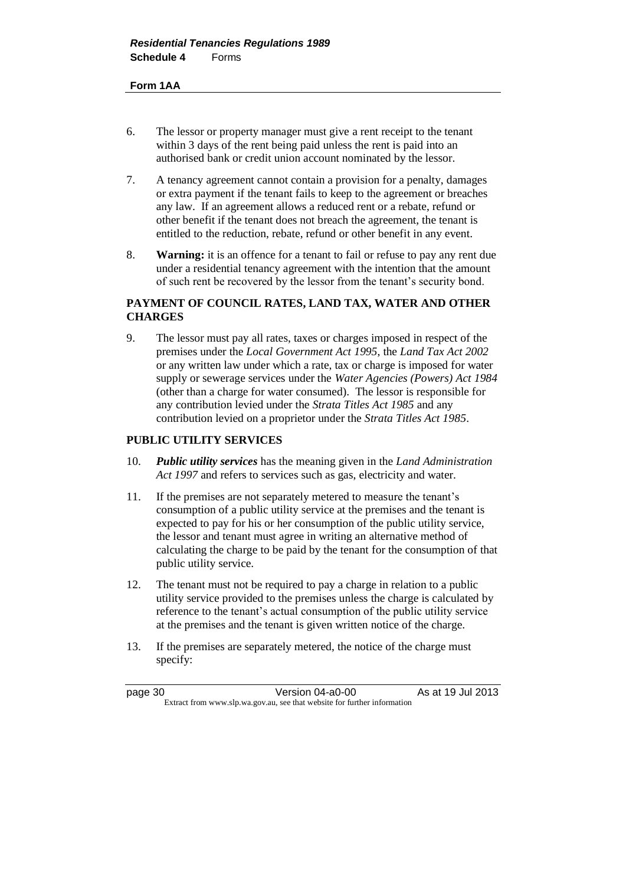#### **Form 1AA**

- 6. The lessor or property manager must give a rent receipt to the tenant within 3 days of the rent being paid unless the rent is paid into an authorised bank or credit union account nominated by the lessor.
- 7. A tenancy agreement cannot contain a provision for a penalty, damages or extra payment if the tenant fails to keep to the agreement or breaches any law. If an agreement allows a reduced rent or a rebate, refund or other benefit if the tenant does not breach the agreement, the tenant is entitled to the reduction, rebate, refund or other benefit in any event.
- 8. **Warning:** it is an offence for a tenant to fail or refuse to pay any rent due under a residential tenancy agreement with the intention that the amount of such rent be recovered by the lessor from the tenant's security bond.

#### **PAYMENT OF COUNCIL RATES, LAND TAX, WATER AND OTHER CHARGES**

9. The lessor must pay all rates, taxes or charges imposed in respect of the premises under the *Local Government Act 1995*, the *Land Tax Act 2002* or any written law under which a rate, tax or charge is imposed for water supply or sewerage services under the *Water Agencies (Powers) Act 1984* (other than a charge for water consumed). The lessor is responsible for any contribution levied under the *Strata Titles Act 1985* and any contribution levied on a proprietor under the *Strata Titles Act 1985*.

#### **PUBLIC UTILITY SERVICES**

- 10. *Public utility services* has the meaning given in the *Land Administration Act 1997* and refers to services such as gas, electricity and water.
- 11. If the premises are not separately metered to measure the tenant's consumption of a public utility service at the premises and the tenant is expected to pay for his or her consumption of the public utility service, the lessor and tenant must agree in writing an alternative method of calculating the charge to be paid by the tenant for the consumption of that public utility service.
- 12. The tenant must not be required to pay a charge in relation to a public utility service provided to the premises unless the charge is calculated by reference to the tenant's actual consumption of the public utility service at the premises and the tenant is given written notice of the charge.
- 13. If the premises are separately metered, the notice of the charge must specify:

page 30 Version 04-a0-00 As at 19 Jul 2013 Extract from www.slp.wa.gov.au, see that website for further information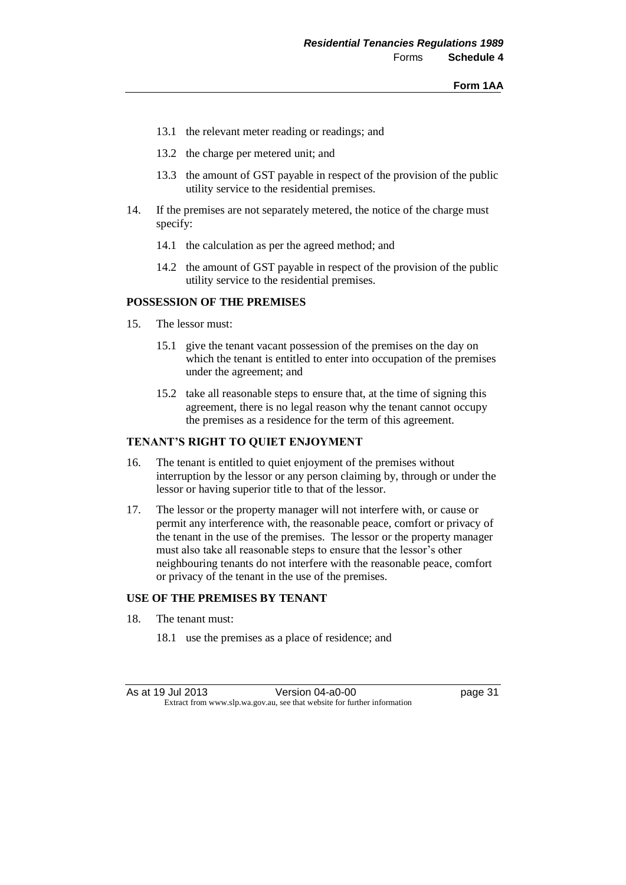- 13.1 the relevant meter reading or readings; and
- 13.2 the charge per metered unit; and
- 13.3 the amount of GST payable in respect of the provision of the public utility service to the residential premises.
- 14. If the premises are not separately metered, the notice of the charge must specify:
	- 14.1 the calculation as per the agreed method; and
	- 14.2 the amount of GST payable in respect of the provision of the public utility service to the residential premises.

### **POSSESSION OF THE PREMISES**

- 15. The lessor must:
	- 15.1 give the tenant vacant possession of the premises on the day on which the tenant is entitled to enter into occupation of the premises under the agreement; and
	- 15.2 take all reasonable steps to ensure that, at the time of signing this agreement, there is no legal reason why the tenant cannot occupy the premises as a residence for the term of this agreement.

# **TENANT'S RIGHT TO QUIET ENJOYMENT**

- 16. The tenant is entitled to quiet enjoyment of the premises without interruption by the lessor or any person claiming by, through or under the lessor or having superior title to that of the lessor.
- 17. The lessor or the property manager will not interfere with, or cause or permit any interference with, the reasonable peace, comfort or privacy of the tenant in the use of the premises. The lessor or the property manager must also take all reasonable steps to ensure that the lessor's other neighbouring tenants do not interfere with the reasonable peace, comfort or privacy of the tenant in the use of the premises.

### **USE OF THE PREMISES BY TENANT**

- 18. The tenant must:
	- 18.1 use the premises as a place of residence; and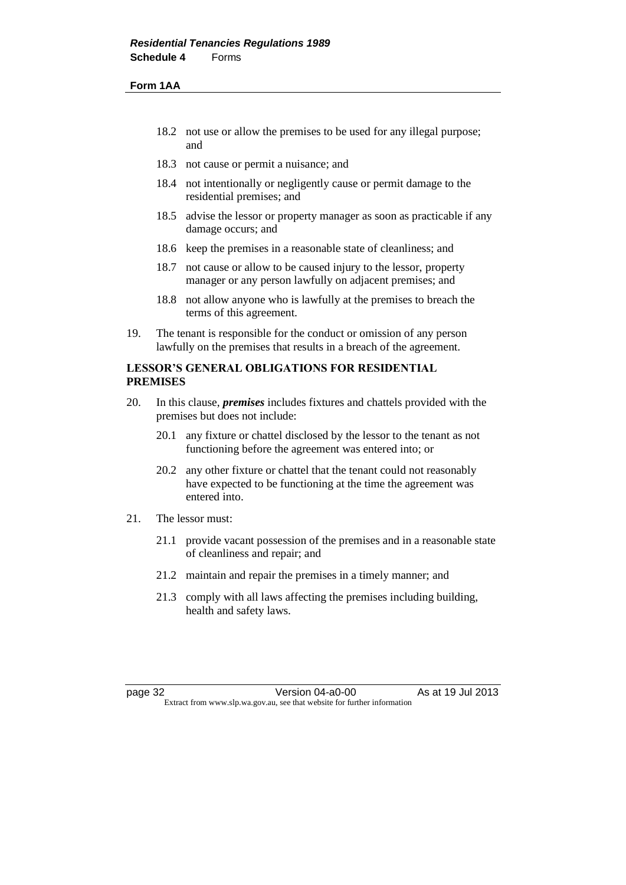#### **Form 1AA**

- 18.2 not use or allow the premises to be used for any illegal purpose; and
- 18.3 not cause or permit a nuisance; and
- 18.4 not intentionally or negligently cause or permit damage to the residential premises; and
- 18.5 advise the lessor or property manager as soon as practicable if any damage occurs; and
- 18.6 keep the premises in a reasonable state of cleanliness; and
- 18.7 not cause or allow to be caused injury to the lessor, property manager or any person lawfully on adjacent premises; and
- 18.8 not allow anyone who is lawfully at the premises to breach the terms of this agreement.
- 19. The tenant is responsible for the conduct or omission of any person lawfully on the premises that results in a breach of the agreement.

# **LESSOR'S GENERAL OBLIGATIONS FOR RESIDENTIAL PREMISES**

- 20. In this clause, *premises* includes fixtures and chattels provided with the premises but does not include:
	- 20.1 any fixture or chattel disclosed by the lessor to the tenant as not functioning before the agreement was entered into; or
	- 20.2 any other fixture or chattel that the tenant could not reasonably have expected to be functioning at the time the agreement was entered into.
- 21. The lessor must:
	- 21.1 provide vacant possession of the premises and in a reasonable state of cleanliness and repair; and
	- 21.2 maintain and repair the premises in a timely manner; and
	- 21.3 comply with all laws affecting the premises including building, health and safety laws.

page 32 **Version 04-a0-00** As at 19 Jul 2013 Extract from www.slp.wa.gov.au, see that website for further information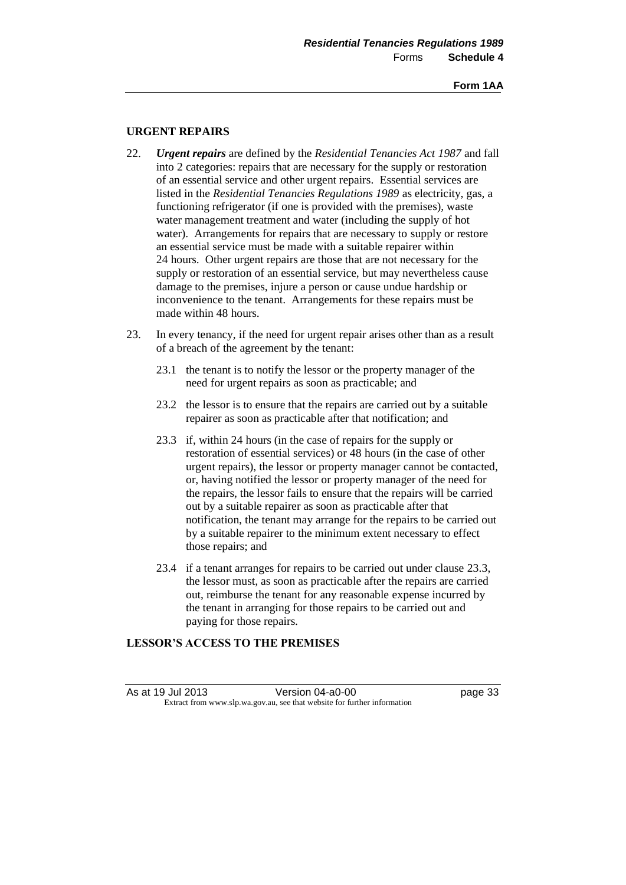## **URGENT REPAIRS**

- 22. *Urgent repairs* are defined by the *Residential Tenancies Act 1987* and fall into 2 categories: repairs that are necessary for the supply or restoration of an essential service and other urgent repairs. Essential services are listed in the *Residential Tenancies Regulations 1989* as electricity, gas, a functioning refrigerator (if one is provided with the premises), waste water management treatment and water (including the supply of hot water). Arrangements for repairs that are necessary to supply or restore an essential service must be made with a suitable repairer within 24 hours. Other urgent repairs are those that are not necessary for the supply or restoration of an essential service, but may nevertheless cause damage to the premises, injure a person or cause undue hardship or inconvenience to the tenant. Arrangements for these repairs must be made within 48 hours.
- 23. In every tenancy, if the need for urgent repair arises other than as a result of a breach of the agreement by the tenant:
	- 23.1 the tenant is to notify the lessor or the property manager of the need for urgent repairs as soon as practicable; and
	- 23.2 the lessor is to ensure that the repairs are carried out by a suitable repairer as soon as practicable after that notification; and
	- 23.3 if, within 24 hours (in the case of repairs for the supply or restoration of essential services) or 48 hours (in the case of other urgent repairs), the lessor or property manager cannot be contacted, or, having notified the lessor or property manager of the need for the repairs, the lessor fails to ensure that the repairs will be carried out by a suitable repairer as soon as practicable after that notification, the tenant may arrange for the repairs to be carried out by a suitable repairer to the minimum extent necessary to effect those repairs; and
	- 23.4 if a tenant arranges for repairs to be carried out under clause 23.3, the lessor must, as soon as practicable after the repairs are carried out, reimburse the tenant for any reasonable expense incurred by the tenant in arranging for those repairs to be carried out and paying for those repairs.

# **LESSOR'S ACCESS TO THE PREMISES**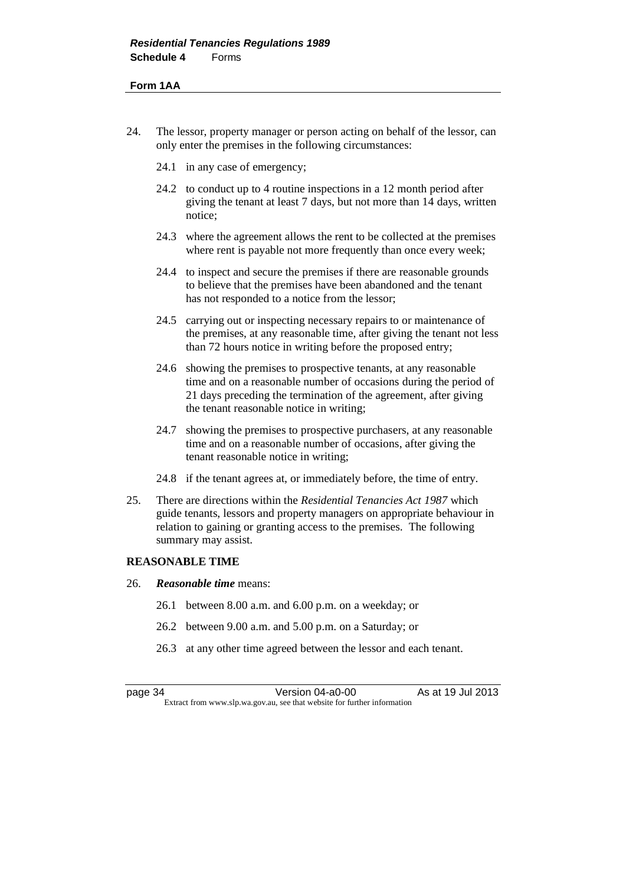#### **Form 1AA**

- 24. The lessor, property manager or person acting on behalf of the lessor, can only enter the premises in the following circumstances:
	- 24.1 in any case of emergency;
	- 24.2 to conduct up to 4 routine inspections in a 12 month period after giving the tenant at least 7 days, but not more than 14 days, written notice;
	- 24.3 where the agreement allows the rent to be collected at the premises where rent is payable not more frequently than once every week;
	- 24.4 to inspect and secure the premises if there are reasonable grounds to believe that the premises have been abandoned and the tenant has not responded to a notice from the lessor;
	- 24.5 carrying out or inspecting necessary repairs to or maintenance of the premises, at any reasonable time, after giving the tenant not less than 72 hours notice in writing before the proposed entry;
	- 24.6 showing the premises to prospective tenants, at any reasonable time and on a reasonable number of occasions during the period of 21 days preceding the termination of the agreement, after giving the tenant reasonable notice in writing;
	- 24.7 showing the premises to prospective purchasers, at any reasonable time and on a reasonable number of occasions, after giving the tenant reasonable notice in writing;
	- 24.8 if the tenant agrees at, or immediately before, the time of entry.
- 25. There are directions within the *Residential Tenancies Act 1987* which guide tenants, lessors and property managers on appropriate behaviour in relation to gaining or granting access to the premises. The following summary may assist.

### **REASONABLE TIME**

- 26. *Reasonable time* means:
	- 26.1 between 8.00 a.m. and 6.00 p.m. on a weekday; or
	- 26.2 between 9.00 a.m. and 5.00 p.m. on a Saturday; or
	- 26.3 at any other time agreed between the lessor and each tenant.

page 34 Version 04-a0-00 As at 19 Jul 2013 Extract from www.slp.wa.gov.au, see that website for further information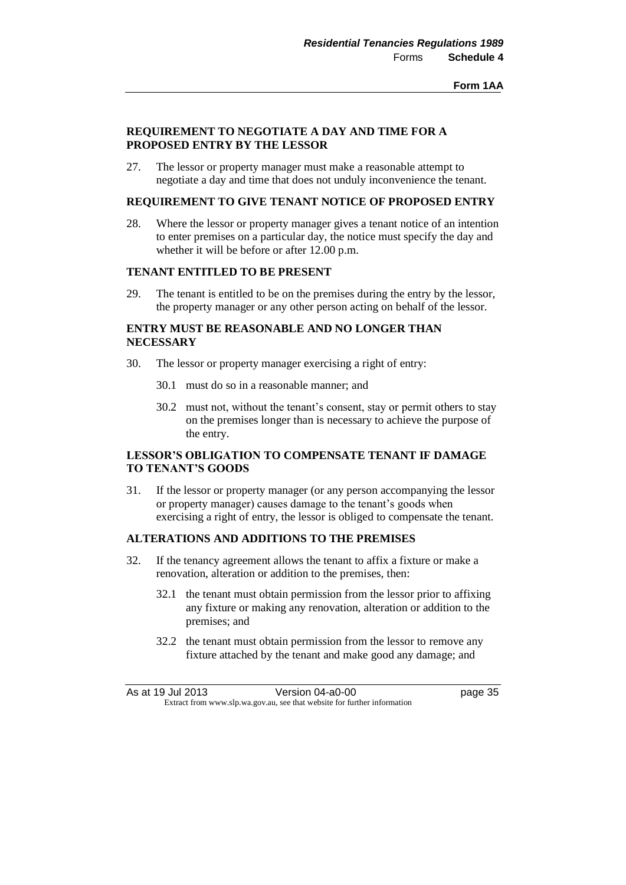## **REQUIREMENT TO NEGOTIATE A DAY AND TIME FOR A PROPOSED ENTRY BY THE LESSOR**

27. The lessor or property manager must make a reasonable attempt to negotiate a day and time that does not unduly inconvenience the tenant.

# **REQUIREMENT TO GIVE TENANT NOTICE OF PROPOSED ENTRY**

28. Where the lessor or property manager gives a tenant notice of an intention to enter premises on a particular day, the notice must specify the day and whether it will be before or after 12.00 p.m.

### **TENANT ENTITLED TO BE PRESENT**

29. The tenant is entitled to be on the premises during the entry by the lessor, the property manager or any other person acting on behalf of the lessor.

# **ENTRY MUST BE REASONABLE AND NO LONGER THAN NECESSARY**

- 30. The lessor or property manager exercising a right of entry:
	- 30.1 must do so in a reasonable manner; and
	- 30.2 must not, without the tenant's consent, stay or permit others to stay on the premises longer than is necessary to achieve the purpose of the entry.

# **LESSOR'S OBLIGATION TO COMPENSATE TENANT IF DAMAGE TO TENANT'S GOODS**

31. If the lessor or property manager (or any person accompanying the lessor or property manager) causes damage to the tenant's goods when exercising a right of entry, the lessor is obliged to compensate the tenant.

# **ALTERATIONS AND ADDITIONS TO THE PREMISES**

- 32. If the tenancy agreement allows the tenant to affix a fixture or make a renovation, alteration or addition to the premises, then:
	- 32.1 the tenant must obtain permission from the lessor prior to affixing any fixture or making any renovation, alteration or addition to the premises; and
	- 32.2 the tenant must obtain permission from the lessor to remove any fixture attached by the tenant and make good any damage; and

As at 19 Jul 2013 Version 04-a0-00 page 35 Extract from www.slp.wa.gov.au, see that website for further information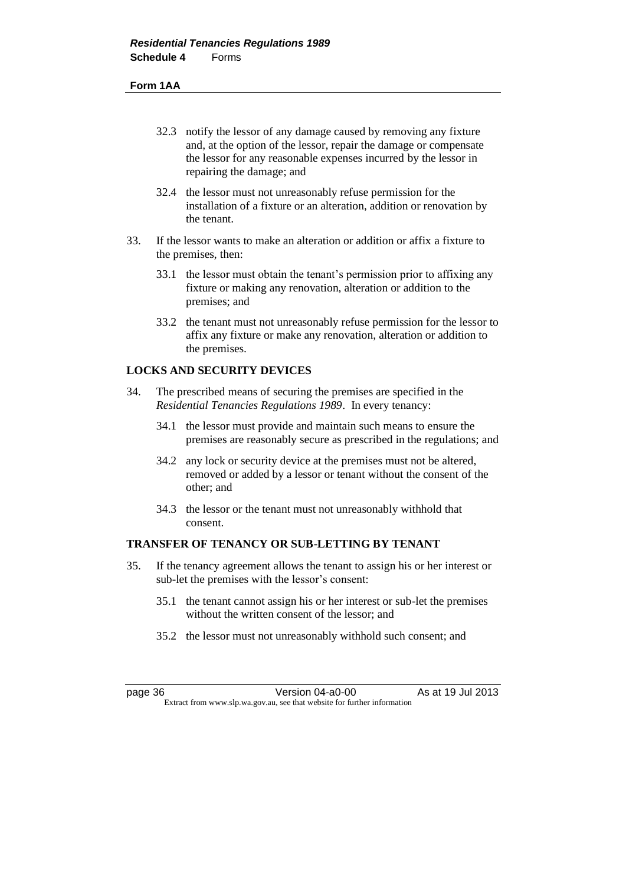#### **Form 1AA**

- 32.3 notify the lessor of any damage caused by removing any fixture and, at the option of the lessor, repair the damage or compensate the lessor for any reasonable expenses incurred by the lessor in repairing the damage; and
- 32.4 the lessor must not unreasonably refuse permission for the installation of a fixture or an alteration, addition or renovation by the tenant.
- 33. If the lessor wants to make an alteration or addition or affix a fixture to the premises, then:
	- 33.1 the lessor must obtain the tenant's permission prior to affixing any fixture or making any renovation, alteration or addition to the premises; and
	- 33.2 the tenant must not unreasonably refuse permission for the lessor to affix any fixture or make any renovation, alteration or addition to the premises.

# **LOCKS AND SECURITY DEVICES**

- 34. The prescribed means of securing the premises are specified in the *Residential Tenancies Regulations 1989*. In every tenancy:
	- 34.1 the lessor must provide and maintain such means to ensure the premises are reasonably secure as prescribed in the regulations; and
	- 34.2 any lock or security device at the premises must not be altered, removed or added by a lessor or tenant without the consent of the other; and
	- 34.3 the lessor or the tenant must not unreasonably withhold that consent.

## **TRANSFER OF TENANCY OR SUB-LETTING BY TENANT**

- 35. If the tenancy agreement allows the tenant to assign his or her interest or sub-let the premises with the lessor's consent:
	- 35.1 the tenant cannot assign his or her interest or sub-let the premises without the written consent of the lessor; and
	- 35.2 the lessor must not unreasonably withhold such consent; and

page 36 **Version 04-a0-00** As at 19 Jul 2013 Extract from www.slp.wa.gov.au, see that website for further information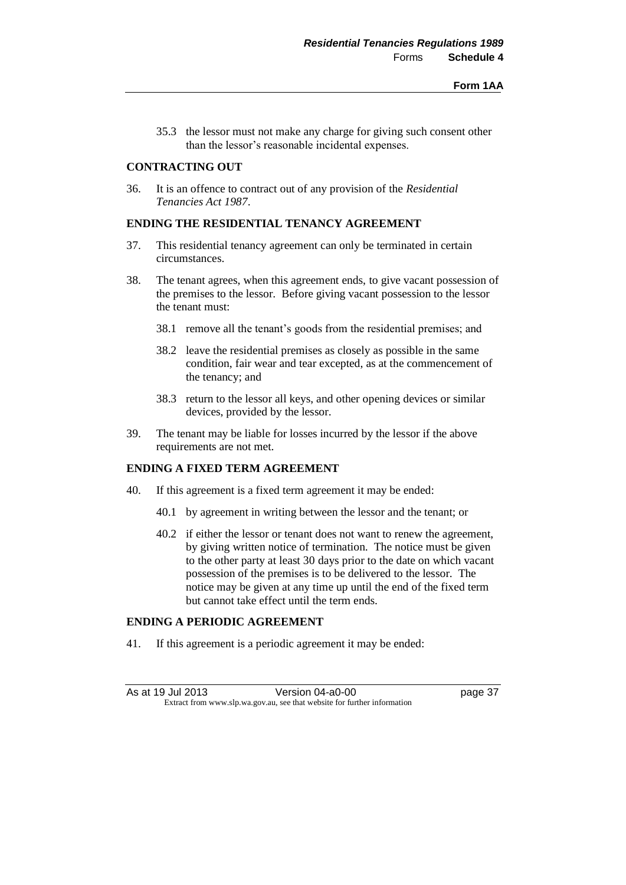35.3 the lessor must not make any charge for giving such consent other than the lessor's reasonable incidental expenses.

## **CONTRACTING OUT**

36. It is an offence to contract out of any provision of the *Residential Tenancies Act 1987*.

# **ENDING THE RESIDENTIAL TENANCY AGREEMENT**

- 37. This residential tenancy agreement can only be terminated in certain circumstances.
- 38. The tenant agrees, when this agreement ends, to give vacant possession of the premises to the lessor. Before giving vacant possession to the lessor the tenant must:
	- 38.1 remove all the tenant's goods from the residential premises; and
	- 38.2 leave the residential premises as closely as possible in the same condition, fair wear and tear excepted, as at the commencement of the tenancy; and
	- 38.3 return to the lessor all keys, and other opening devices or similar devices, provided by the lessor.
- 39. The tenant may be liable for losses incurred by the lessor if the above requirements are not met.

### **ENDING A FIXED TERM AGREEMENT**

- 40. If this agreement is a fixed term agreement it may be ended:
	- 40.1 by agreement in writing between the lessor and the tenant; or
	- 40.2 if either the lessor or tenant does not want to renew the agreement, by giving written notice of termination. The notice must be given to the other party at least 30 days prior to the date on which vacant possession of the premises is to be delivered to the lessor. The notice may be given at any time up until the end of the fixed term but cannot take effect until the term ends.

# **ENDING A PERIODIC AGREEMENT**

41. If this agreement is a periodic agreement it may be ended: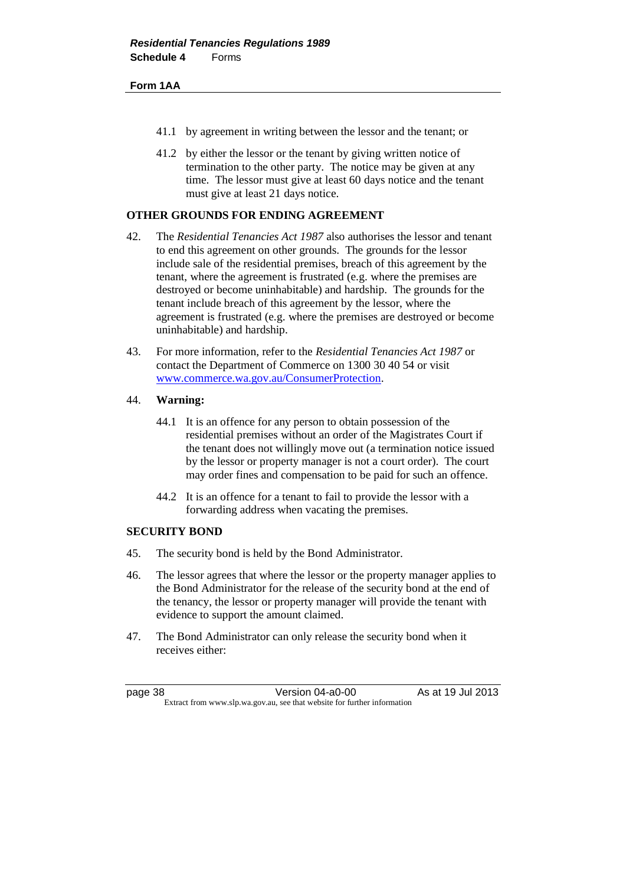### **Form 1AA**

- 41.1 by agreement in writing between the lessor and the tenant; or
- 41.2 by either the lessor or the tenant by giving written notice of termination to the other party. The notice may be given at any time. The lessor must give at least 60 days notice and the tenant must give at least 21 days notice.

# **OTHER GROUNDS FOR ENDING AGREEMENT**

- 42. The *Residential Tenancies Act 1987* also authorises the lessor and tenant to end this agreement on other grounds. The grounds for the lessor include sale of the residential premises, breach of this agreement by the tenant, where the agreement is frustrated (e.g. where the premises are destroyed or become uninhabitable) and hardship. The grounds for the tenant include breach of this agreement by the lessor, where the agreement is frustrated (e.g. where the premises are destroyed or become uninhabitable) and hardship.
- 43. For more information, refer to the *Residential Tenancies Act 1987* or contact the Department of Commerce on 1300 30 40 54 or visit [www.commerce.wa.gov.au/ConsumerProtection.](file:///C:/PCO%20Work/Regs/Residential%20Tenancies%20Amendment%20Regulations%202013/www.commerce.wa.gov.au/ConsumerProtection)

## 44. **Warning:**

- 44.1 It is an offence for any person to obtain possession of the residential premises without an order of the Magistrates Court if the tenant does not willingly move out (a termination notice issued by the lessor or property manager is not a court order). The court may order fines and compensation to be paid for such an offence.
- 44.2 It is an offence for a tenant to fail to provide the lessor with a forwarding address when vacating the premises.

## **SECURITY BOND**

- 45. The security bond is held by the Bond Administrator.
- 46. The lessor agrees that where the lessor or the property manager applies to the Bond Administrator for the release of the security bond at the end of the tenancy, the lessor or property manager will provide the tenant with evidence to support the amount claimed.
- 47. The Bond Administrator can only release the security bond when it receives either:

page 38 Version 04-a0-00 As at 19 Jul 2013 Extract from www.slp.wa.gov.au, see that website for further information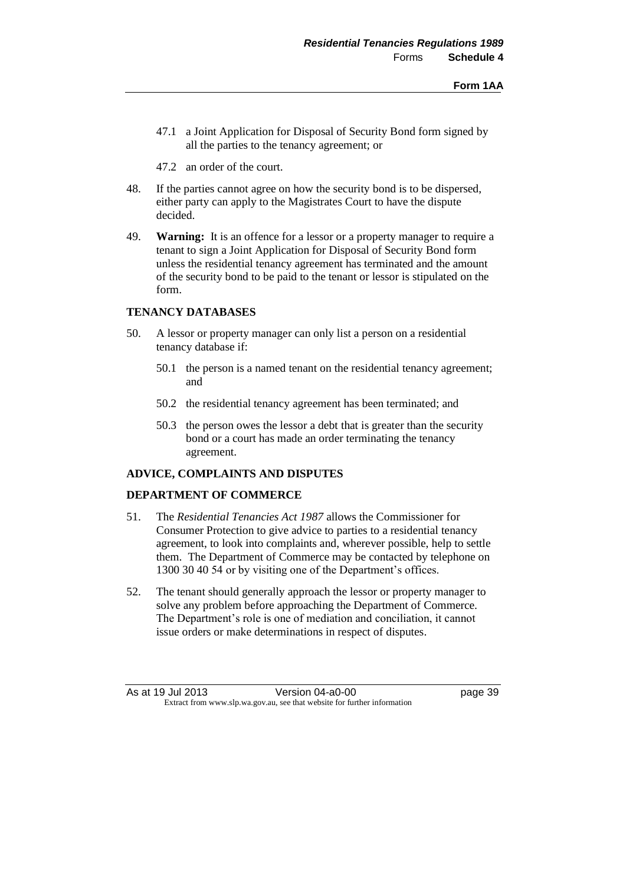- 47.1 a Joint Application for Disposal of Security Bond form signed by all the parties to the tenancy agreement; or
- 47.2 an order of the court.
- 48. If the parties cannot agree on how the security bond is to be dispersed, either party can apply to the Magistrates Court to have the dispute decided.
- 49. **Warning:** It is an offence for a lessor or a property manager to require a tenant to sign a Joint Application for Disposal of Security Bond form unless the residential tenancy agreement has terminated and the amount of the security bond to be paid to the tenant or lessor is stipulated on the form.

# **TENANCY DATABASES**

- 50. A lessor or property manager can only list a person on a residential tenancy database if:
	- 50.1 the person is a named tenant on the residential tenancy agreement; and
	- 50.2 the residential tenancy agreement has been terminated; and
	- 50.3 the person owes the lessor a debt that is greater than the security bond or a court has made an order terminating the tenancy agreement.

## **ADVICE, COMPLAINTS AND DISPUTES**

### **DEPARTMENT OF COMMERCE**

- 51. The *Residential Tenancies Act 1987* allows the Commissioner for Consumer Protection to give advice to parties to a residential tenancy agreement, to look into complaints and, wherever possible, help to settle them. The Department of Commerce may be contacted by telephone on 1300 30 40 54 or by visiting one of the Department's offices.
- 52. The tenant should generally approach the lessor or property manager to solve any problem before approaching the Department of Commerce. The Department's role is one of mediation and conciliation, it cannot issue orders or make determinations in respect of disputes.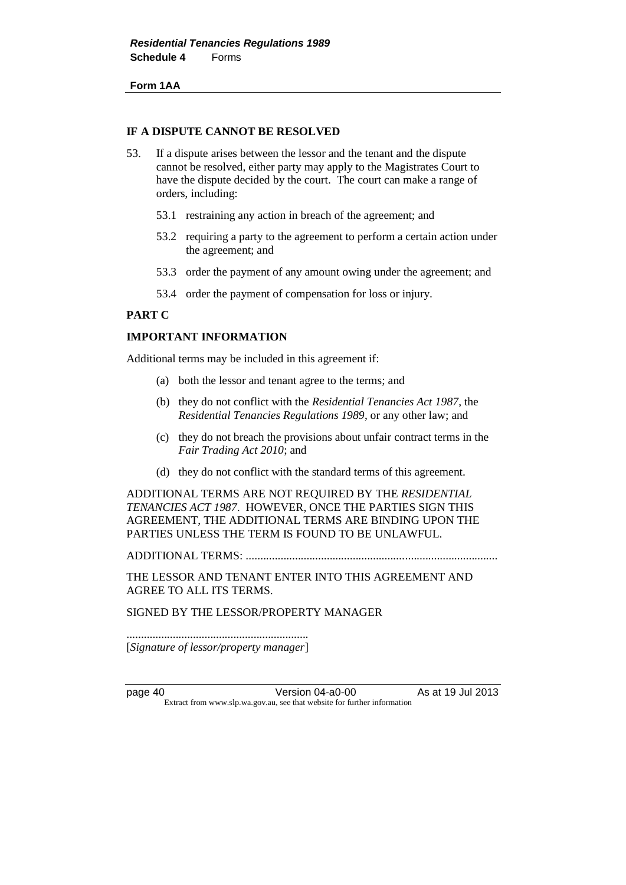**Form 1AA**

### **IF A DISPUTE CANNOT BE RESOLVED**

- 53. If a dispute arises between the lessor and the tenant and the dispute cannot be resolved, either party may apply to the Magistrates Court to have the dispute decided by the court. The court can make a range of orders, including:
	- 53.1 restraining any action in breach of the agreement; and
	- 53.2 requiring a party to the agreement to perform a certain action under the agreement; and
	- 53.3 order the payment of any amount owing under the agreement; and
	- 53.4 order the payment of compensation for loss or injury.

## **PART C**

### **IMPORTANT INFORMATION**

Additional terms may be included in this agreement if:

- (a) both the lessor and tenant agree to the terms; and
- (b) they do not conflict with the *Residential Tenancies Act 1987*, the *Residential Tenancies Regulations 1989*, or any other law; and
- (c) they do not breach the provisions about unfair contract terms in the *Fair Trading Act 2010*; and
- (d) they do not conflict with the standard terms of this agreement.

ADDITIONAL TERMS ARE NOT REQUIRED BY THE *RESIDENTIAL TENANCIES ACT 1987*. HOWEVER, ONCE THE PARTIES SIGN THIS AGREEMENT, THE ADDITIONAL TERMS ARE BINDING UPON THE PARTIES UNLESS THE TERM IS FOUND TO BE UNLAWFUL.

ADDITIONAL TERMS: .......................................................................................

THE LESSOR AND TENANT ENTER INTO THIS AGREEMENT AND AGREE TO ALL ITS TERMS.

SIGNED BY THE LESSOR/PROPERTY MANAGER

............................................................... [*Signature of lessor/property manager*]

page 40 **Version 04-a0-00** As at 19 Jul 2013 Extract from www.slp.wa.gov.au, see that website for further information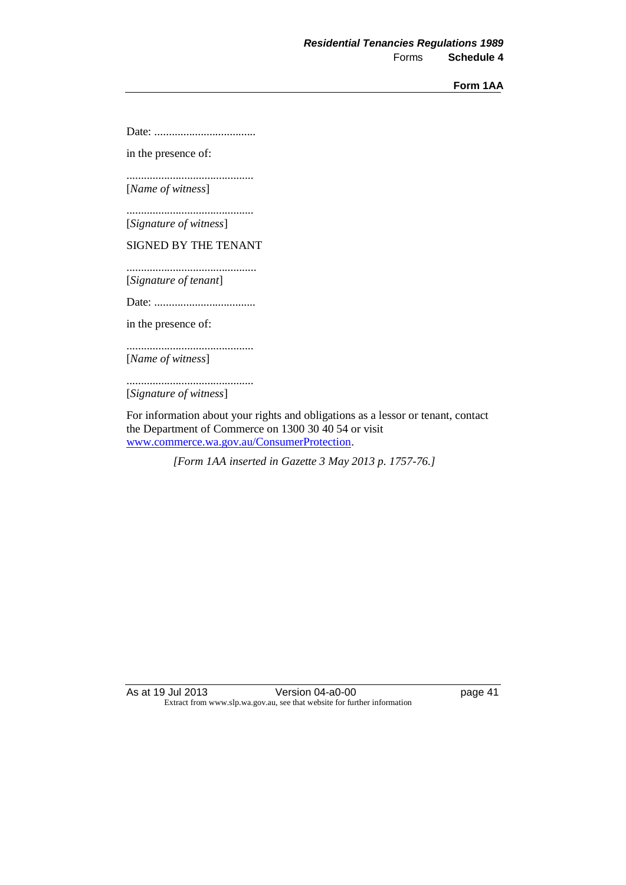**Form 1AA**

Date: ...................................

in the presence of:

............................................ [*Name of witness*]

............................................

[*Signature of witness*]

SIGNED BY THE TENANT

.............................................

[*Signature of tenant*]

Date: ...................................

in the presence of:

............................................

[*Name of witness*]

............................................ [*Signature of witness*]

For information about your rights and obligations as a lessor or tenant, contact the Department of Commerce on 1300 30 40 54 or visit [www.commerce.wa.gov.au/ConsumerProtection.](http://www.commerce.wa.gov.au/ConsumerProtection)

*[Form 1AA inserted in Gazette 3 May 2013 p. 1757-76.]*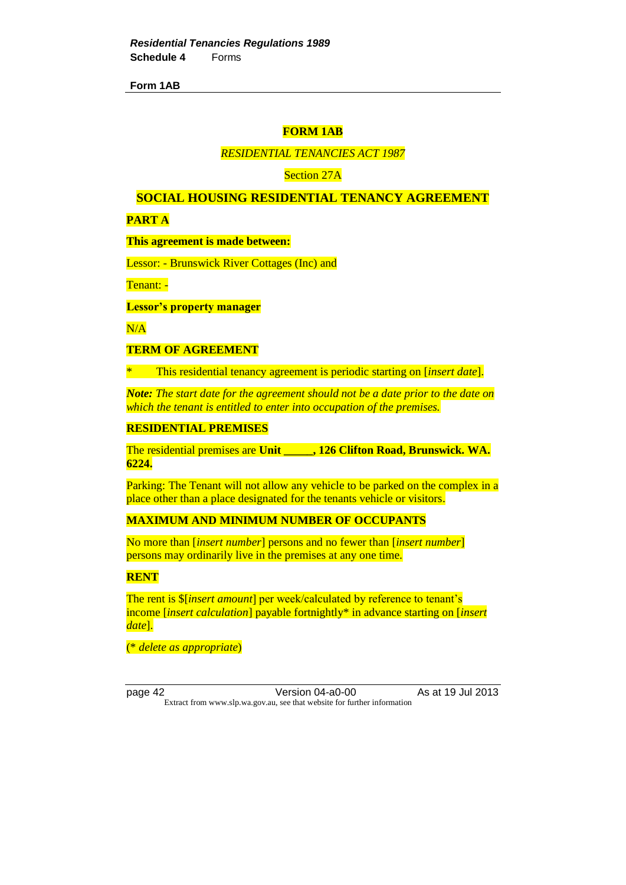## **FORM 1AB**

## *RESIDENTIAL TENANCIES ACT 1987*

Section 27A

### **SOCIAL HOUSING RESIDENTIAL TENANCY AGREEMENT**

**PART A**

**This agreement is made between:**

Lessor: - Brunswick River Cottages (Inc) and

Tenant: -

**Lessor's property manager**

 $N/A$ 

### **TERM OF AGREEMENT**

\* This residential tenancy agreement is periodic starting on [*insert date*].

*Note: The start date for the agreement should not be a date prior to the date on which the tenant is entitled to enter into occupation of the premises.*

#### **RESIDENTIAL PREMISES**

The residential premises are **Unit \_\_\_\_\_, 126 Clifton Road, Brunswick. WA. 6224.**

Parking: The Tenant will not allow any vehicle to be parked on the complex in a place other than a place designated for the tenants vehicle or visitors.

## **MAXIMUM AND MINIMUM NUMBER OF OCCUPANTS**

No more than [*insert number*] persons and no fewer than [*insert number*] persons may ordinarily live in the premises at any one time.

**RENT**

The rent is \$[*insert amount*] per week/calculated by reference to tenant's income [*insert calculation*] payable fortnightly\* in advance starting on [*insert date*].

(\* *delete as appropriate*)

page 42 Version 04-a0-00 As at 19 Jul 2013 Extract from www.slp.wa.gov.au, see that website for further information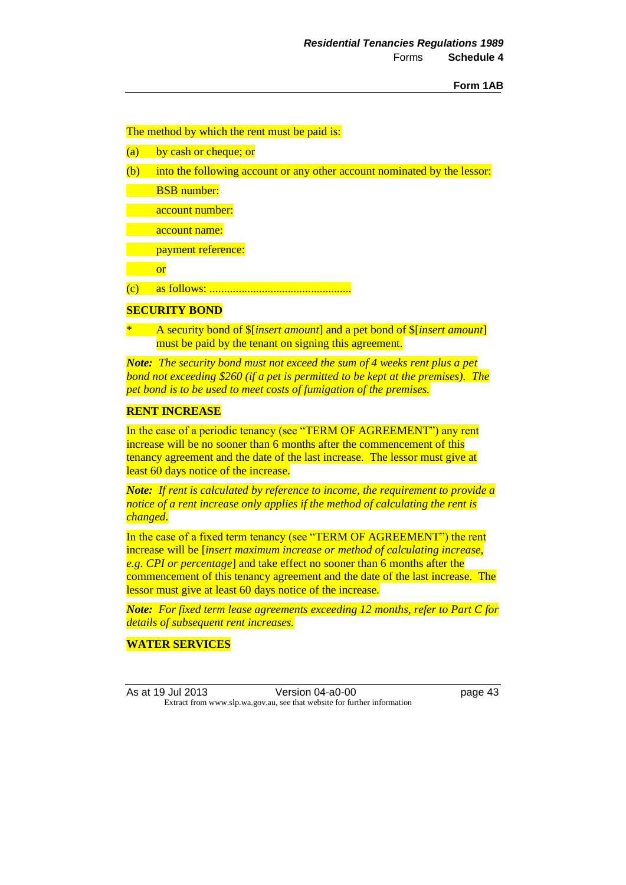### The method by which the rent must be paid is:

- (a) by cash or cheque; or
- (b) into the following account or any other account nominated by the lessor:

BSB number:

account number:

account name:

payment reference:

or

(c) as follows: .................................................

### **SECURITY BOND**

\* A security bond of \$[*insert amount*] and a pet bond of \$[*insert amount*] must be paid by the tenant on signing this agreement.

*Note: The security bond must not exceed the sum of 4 weeks rent plus a pet bond not exceeding \$260 (if a pet is permitted to be kept at the premises). The pet bond is to be used to meet costs of fumigation of the premises.*

## **RENT INCREASE**

In the case of a periodic tenancy (see "TERM OF AGREEMENT") any rent increase will be no sooner than 6 months after the commencement of this tenancy agreement and the date of the last increase. The lessor must give at least 60 days notice of the increase.

*Note: If rent is calculated by reference to income, the requirement to provide a notice of a rent increase only applies if the method of calculating the rent is changed.*

In the case of a fixed term tenancy (see "TERM OF AGREEMENT") the rent increase will be [*insert maximum increase or method of calculating increase, e.g. CPI or percentage*] and take effect no sooner than 6 months after the commencement of this tenancy agreement and the date of the last increase. The lessor must give at least 60 days notice of the increase.

*Note: For fixed term lease agreements exceeding 12 months, refer to Part C for details of subsequent rent increases.*

# **WATER SERVICES**

As at 19 Jul 2013 Version 04-a0-00 page 43 Extract from www.slp.wa.gov.au, see that website for further information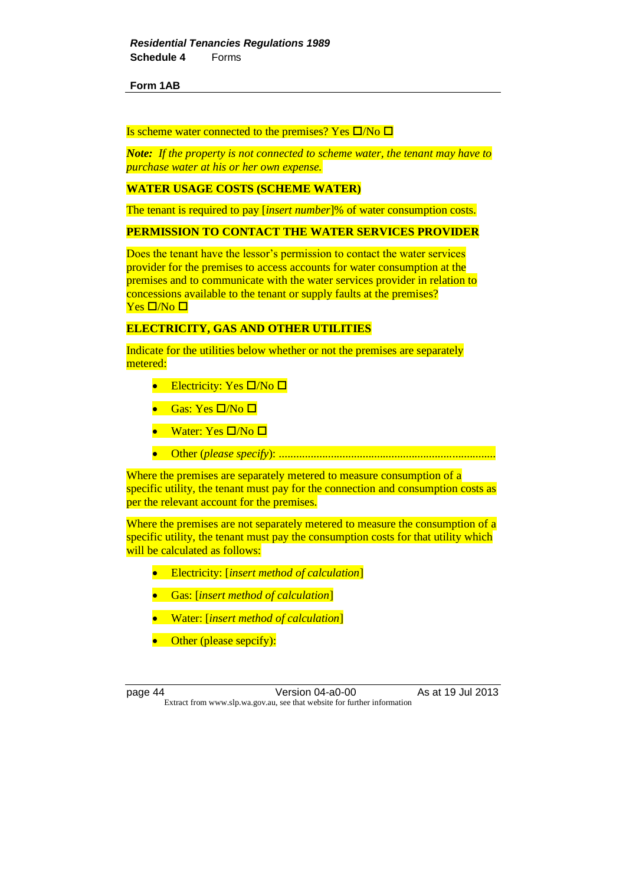### Is scheme water connected to the premises? Yes  $\Box$ /No  $\Box$

*Note: If the property is not connected to scheme water, the tenant may have to purchase water at his or her own expense.*

## **WATER USAGE COSTS (SCHEME WATER)**

The tenant is required to pay [*insert number*]% of water consumption costs.

### **PERMISSION TO CONTACT THE WATER SERVICES PROVIDER**

Does the tenant have the lessor's permission to contact the water services provider for the premises to access accounts for water consumption at the premises and to communicate with the water services provider in relation to concessions available to the tenant or supply faults at the premises?  $Yes \Box/No \Box$ 

# **ELECTRICITY, GAS AND OTHER UTILITIES**

Indicate for the utilities below whether or not the premises are separately metered:

- Electricity: Yes  $\Box/N$ o  $\Box$
- Gas: Yes  $\Box/\mathrm{No}\ \Box$
- Water: Yes  $\square/N$ o  $\square$
- Other (*please specify*): ...........................................................................

Where the premises are separately metered to measure consumption of a specific utility, the tenant must pay for the connection and consumption costs as per the relevant account for the premises.

Where the premises are not separately metered to measure the consumption of a specific utility, the tenant must pay the consumption costs for that utility which will be calculated as follows:

- Electricity: [*insert method of calculation*]
- Gas: [*insert method of calculation*]
- Water: [*insert method of calculation*]
- Other (please sepcify):

page 44 Version 04-a0-00 As at 19 Jul 2013 Extract from www.slp.wa.gov.au, see that website for further information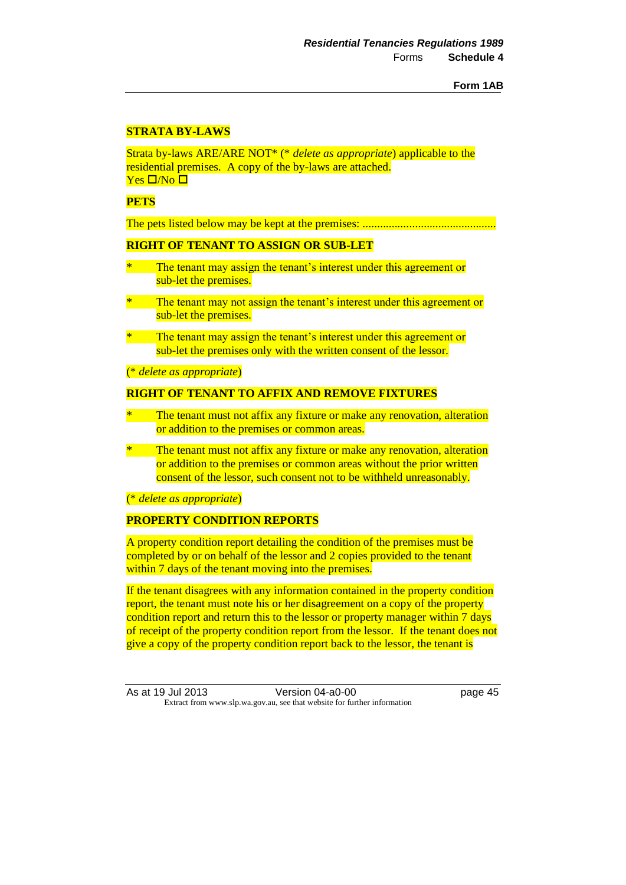# **STRATA BY-LAWS**

Strata by-laws ARE/ARE NOT\* (\* *delete as appropriate*) applicable to the residential premises. A copy of the by-laws are attached.  $Yes \Box/No \Box$ 

## **PETS**

The pets listed below may be kept at the premises: ..............................................

# **RIGHT OF TENANT TO ASSIGN OR SUB-LET**

- The tenant may assign the tenant's interest under this agreement or sub-let the premises.
- The tenant may not assign the tenant's interest under this agreement or sub-let the premises.
- The tenant may assign the tenant's interest under this agreement or sub-let the premises only with the written consent of the lessor.

(\* *delete as appropriate*)

### **RIGHT OF TENANT TO AFFIX AND REMOVE FIXTURES**

- The tenant must not affix any fixture or make any renovation, alteration or addition to the premises or common areas.
- \* The tenant must not affix any fixture or make any renovation, alteration or addition to the premises or common areas without the prior written consent of the lessor, such consent not to be withheld unreasonably.

### (\* *delete as appropriate*)

## **PROPERTY CONDITION REPORTS**

A property condition report detailing the condition of the premises must be completed by or on behalf of the lessor and 2 copies provided to the tenant within 7 days of the tenant moving into the premises.

If the tenant disagrees with any information contained in the property condition report, the tenant must note his or her disagreement on a copy of the property condition report and return this to the lessor or property manager within 7 days of receipt of the property condition report from the lessor. If the tenant does not give a copy of the property condition report back to the lessor, the tenant is

As at 19 Jul 2013 Version 04-a0-00 page 45 Extract from www.slp.wa.gov.au, see that website for further information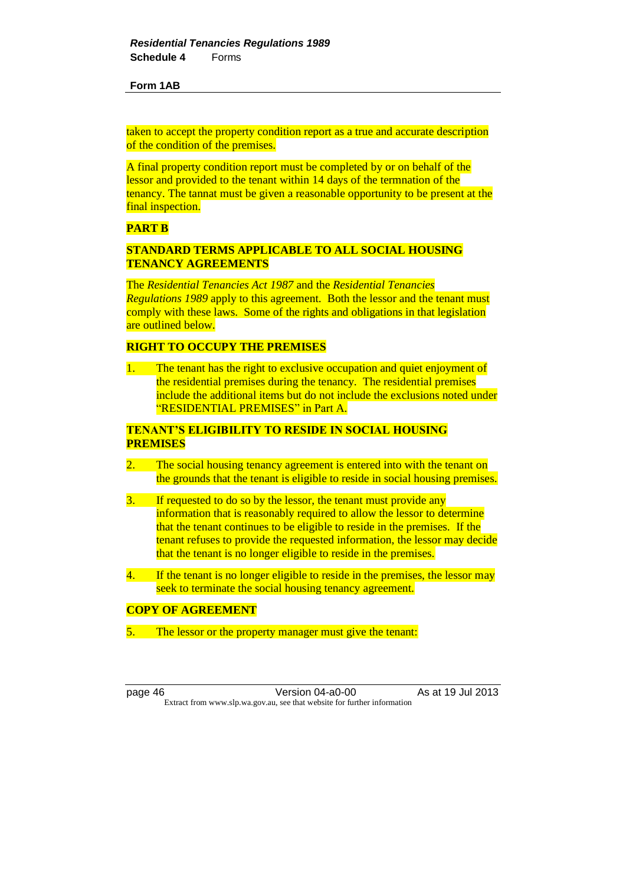taken to accept the property condition report as a true and accurate description of the condition of the premises.

A final property condition report must be completed by or on behalf of the lessor and provided to the tenant within 14 days of the termnation of the tenancy. The tannat must be given a reasonable opportunity to be present at the final inspection.

## **PART B**

# **STANDARD TERMS APPLICABLE TO ALL SOCIAL HOUSING TENANCY AGREEMENTS**

The *Residential Tenancies Act 1987* and the *Residential Tenancies Regulations 1989* apply to this agreement. Both the lessor and the tenant must comply with these laws. Some of the rights and obligations in that legislation are outlined below.

## **RIGHT TO OCCUPY THE PREMISES**

1. The tenant has the right to exclusive occupation and quiet enjoyment of the residential premises during the tenancy. The residential premises include the additional items but do not include the exclusions noted under "RESIDENTIAL PREMISES" in Part A.

# **TENANT'S ELIGIBILITY TO RESIDE IN SOCIAL HOUSING PREMISES**

- 2. The social housing tenancy agreement is entered into with the tenant on the grounds that the tenant is eligible to reside in social housing premises.
- 3. If requested to do so by the lessor, the tenant must provide any information that is reasonably required to allow the lessor to determine that the tenant continues to be eligible to reside in the premises. If the tenant refuses to provide the requested information, the lessor may decide that the tenant is no longer eligible to reside in the premises.
- 4. If the tenant is no longer eligible to reside in the premises, the lessor may seek to terminate the social housing tenancy agreement.

## **COPY OF AGREEMENT**

5. The lessor or the property manager must give the tenant:

page 46 **Version 04-a0-00** As at 19 Jul 2013 Extract from www.slp.wa.gov.au, see that website for further information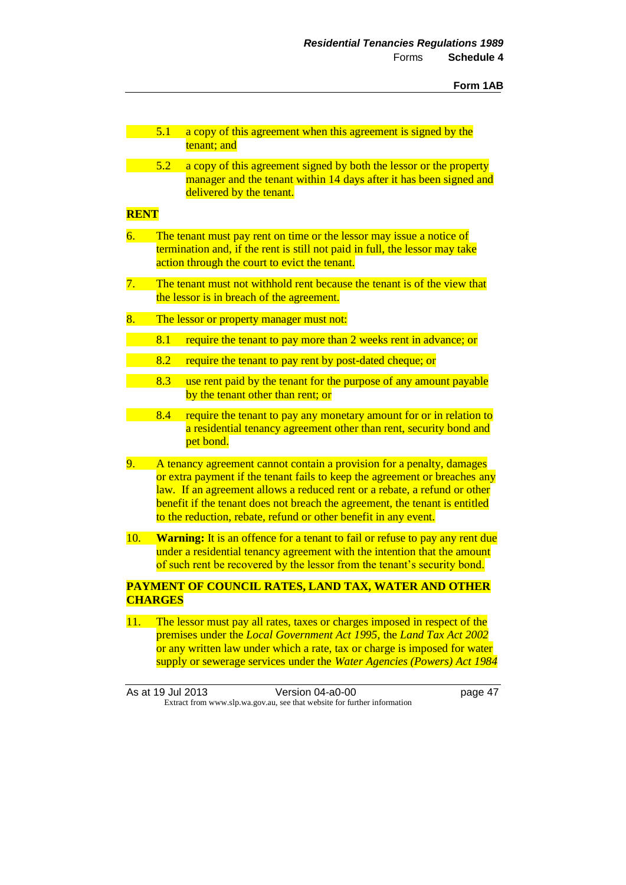|             | 5.1<br>a copy of this agreement when this agreement is signed by the<br>tenant; and                                                                                                                                                                                                                                                                                                |  |
|-------------|------------------------------------------------------------------------------------------------------------------------------------------------------------------------------------------------------------------------------------------------------------------------------------------------------------------------------------------------------------------------------------|--|
|             | 5.2<br>a copy of this agreement signed by both the lessor or the property<br>manager and the tenant within 14 days after it has been signed and<br>delivered by the tenant.                                                                                                                                                                                                        |  |
| <b>RENT</b> |                                                                                                                                                                                                                                                                                                                                                                                    |  |
| 6.          | The tenant must pay rent on time or the lessor may issue a notice of<br>termination and, if the rent is still not paid in full, the lessor may take<br>action through the court to evict the tenant.                                                                                                                                                                               |  |
| 7.          | The tenant must not withhold rent because the tenant is of the view that<br>the lessor is in breach of the agreement.                                                                                                                                                                                                                                                              |  |
| 8.          | The lessor or property manager must not:                                                                                                                                                                                                                                                                                                                                           |  |
|             | 8.1<br>require the tenant to pay more than 2 weeks rent in advance; or                                                                                                                                                                                                                                                                                                             |  |
|             | 8.2<br>require the tenant to pay rent by post-dated cheque; or                                                                                                                                                                                                                                                                                                                     |  |
|             | 8.3<br>use rent paid by the tenant for the purpose of any amount payable<br>by the tenant other than rent; or                                                                                                                                                                                                                                                                      |  |
|             | 8.4<br>require the tenant to pay any monetary amount for or in relation to<br>a residential tenancy agreement other than rent, security bond and<br>pet bond.                                                                                                                                                                                                                      |  |
| 9.          | A tenancy agreement cannot contain a provision for a penalty, damages<br>or extra payment if the tenant fails to keep the agreement or breaches any<br>law. If an agreement allows a reduced rent or a rebate, a refund or other<br>benefit if the tenant does not breach the agreement, the tenant is entitled<br>to the reduction, rebate, refund or other benefit in any event. |  |
| 10.         | Warning: It is an offence for a tenant to fail or refuse to pay any rent due<br>under a residential tenancy agreement with the intention that the amount<br>of such rent be recovered by the lessor from the tenant's security bond.                                                                                                                                               |  |
|             | PAYMENT OF COUNCIL RATES, LAND TAX, WATER AND OTHER<br><b>CHARGES</b>                                                                                                                                                                                                                                                                                                              |  |
| 11.         | The lessor must pay all rates, taxes or charges imposed in respect of the<br>premises under the Local Government Act 1995, the Land Tax Act 2002<br>or any written law under which a rate, tax or charge is imposed for water                                                                                                                                                      |  |

As at 19 Jul 2013 Version 04-a0-00 page 47 Extract from www.slp.wa.gov.au, see that website for further information

supply or sewerage services under the *Water Agencies (Powers) Act 1984*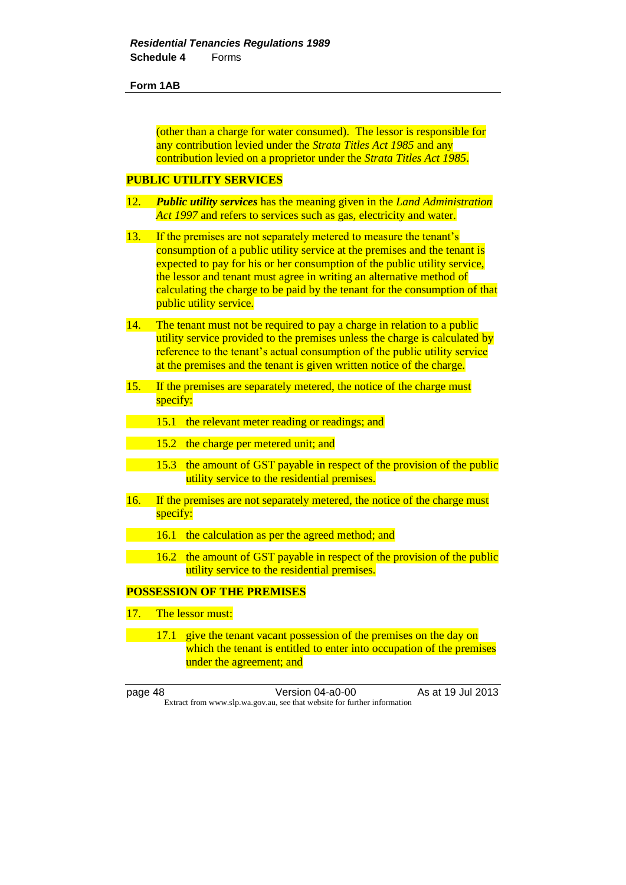(other than a charge for water consumed). The lessor is responsible for any contribution levied under the *Strata Titles Act 1985* and any contribution levied on a proprietor under the *Strata Titles Act 1985*.

# **PUBLIC UTILITY SERVICES**

- 12. *Public utility services* has the meaning given in the *Land Administration Act* 1997 and refers to services such as gas, electricity and water.
- 13. If the premises are not separately metered to measure the tenant's consumption of a public utility service at the premises and the tenant is expected to pay for his or her consumption of the public utility service, the lessor and tenant must agree in writing an alternative method of calculating the charge to be paid by the tenant for the consumption of that public utility service.
- 14. The tenant must not be required to pay a charge in relation to a public utility service provided to the premises unless the charge is calculated by reference to the tenant's actual consumption of the public utility service at the premises and the tenant is given written notice of the charge.
- 15. If the premises are separately metered, the notice of the charge must specify:
	- 15.1 the relevant meter reading or readings; and
	- 15.2 the charge per metered unit; and
	- 15.3 the amount of GST payable in respect of the provision of the public utility service to the residential premises.
- 16. If the premises are not separately metered, the notice of the charge must specify:
- 16.1 the calculation as per the agreed method; and
- 16.2 the amount of GST payable in respect of the provision of the public utility service to the residential premises.

# **POSSESSION OF THE PREMISES**

- 17. The lessor must:
- 17.1 give the tenant vacant possession of the premises on the day on which the tenant is entitled to enter into occupation of the premises under the agreement; and

page 48 Version 04-a0-00 As at 19 Jul 2013 Extract from www.slp.wa.gov.au, see that website for further information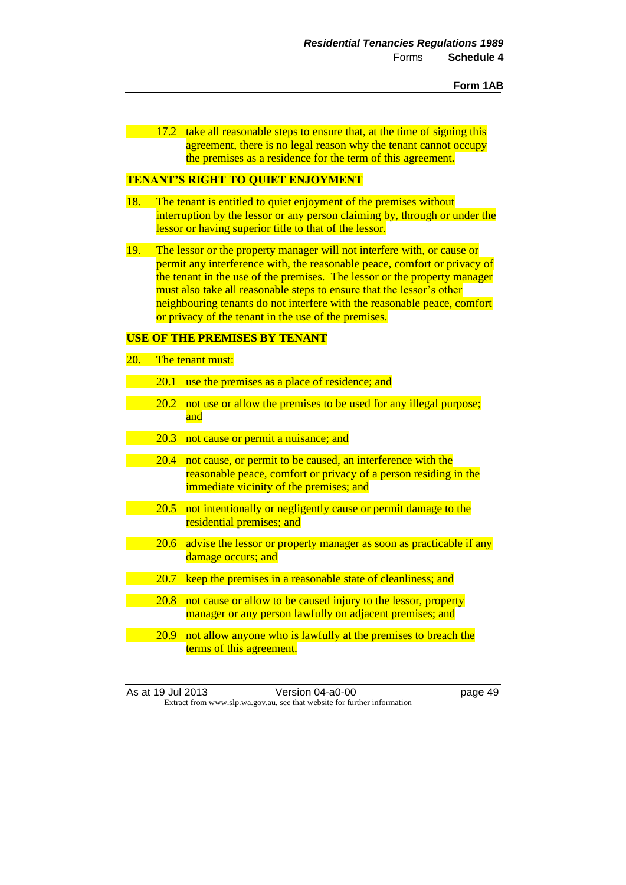17.2 take all reasonable steps to ensure that, at the time of signing this agreement, there is no legal reason why the tenant cannot occupy the premises as a residence for the term of this agreement.

## **TENANT'S RIGHT TO QUIET ENJOYMENT**

- 18. The tenant is entitled to quiet enjoyment of the premises without interruption by the lessor or any person claiming by, through or under the lessor or having superior title to that of the lessor.
- 19. The lessor or the property manager will not interfere with, or cause or permit any interference with, the reasonable peace, comfort or privacy of the tenant in the use of the premises. The lessor or the property manager must also take all reasonable steps to ensure that the lessor's other neighbouring tenants do not interfere with the reasonable peace, comfort or privacy of the tenant in the use of the premises.

### **USE OF THE PREMISES BY TENANT**

- 20. The tenant must:
	- 20.1 use the premises as a place of residence; and
	- 20.2 not use or allow the premises to be used for any illegal purpose; and
	- 20.3 not cause or permit a nuisance; and
	- 20.4 not cause, or permit to be caused, an interference with the reasonable peace, comfort or privacy of a person residing in the immediate vicinity of the premises; and
	- 20.5 not intentionally or negligently cause or permit damage to the residential premises; and
	- 20.6 advise the lessor or property manager as soon as practicable if any damage occurs; and
	- 20.7 keep the premises in a reasonable state of cleanliness; and
	- 20.8 not cause or allow to be caused injury to the lessor, property manager or any person lawfully on adjacent premises; and
- 20.9 not allow anyone who is lawfully at the premises to breach the terms of this agreement.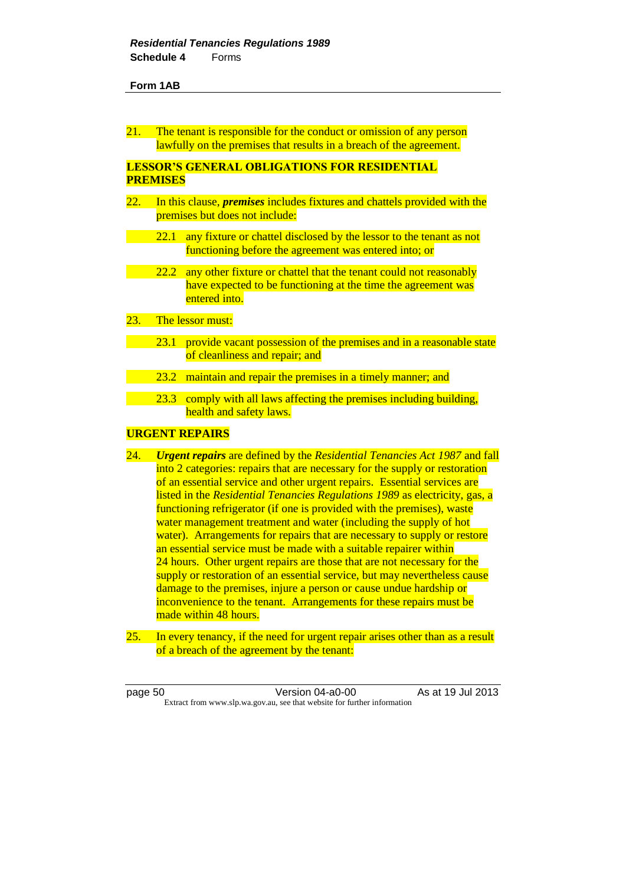21. The tenant is responsible for the conduct or omission of any person lawfully on the premises that results in a breach of the agreement.

# **LESSOR'S GENERAL OBLIGATIONS FOR RESIDENTIAL PREMISES**

- 22. In this clause, *premises* includes fixtures and chattels provided with the premises but does not include:
	- 22.1 any fixture or chattel disclosed by the lessor to the tenant as not functioning before the agreement was entered into; or
	- 22.2 any other fixture or chattel that the tenant could not reasonably have expected to be functioning at the time the agreement was entered into.
- 23. The lessor must:
	- 23.1 provide vacant possession of the premises and in a reasonable state of cleanliness and repair; and
	- 23.2 maintain and repair the premises in a timely manner; and
	- 23.3 comply with all laws affecting the premises including building, health and safety laws.

## **URGENT REPAIRS**

- 24. *Urgent repairs* are defined by the *Residential Tenancies Act 1987* and fall into 2 categories: repairs that are necessary for the supply or restoration of an essential service and other urgent repairs. Essential services are listed in the *Residential Tenancies Regulations 1989* as electricity, gas, a functioning refrigerator (if one is provided with the premises), waste water management treatment and water (including the supply of hot water). Arrangements for repairs that are necessary to supply or restore an essential service must be made with a suitable repairer within 24 hours. Other urgent repairs are those that are not necessary for the supply or restoration of an essential service, but may nevertheless cause damage to the premises, injure a person or cause undue hardship or inconvenience to the tenant. Arrangements for these repairs must be made within 48 hours.
- 25. In every tenancy, if the need for urgent repair arises other than as a result of a breach of the agreement by the tenant:

page 50 **Version 04-a0-00** As at 19 Jul 2013 Extract from www.slp.wa.gov.au, see that website for further information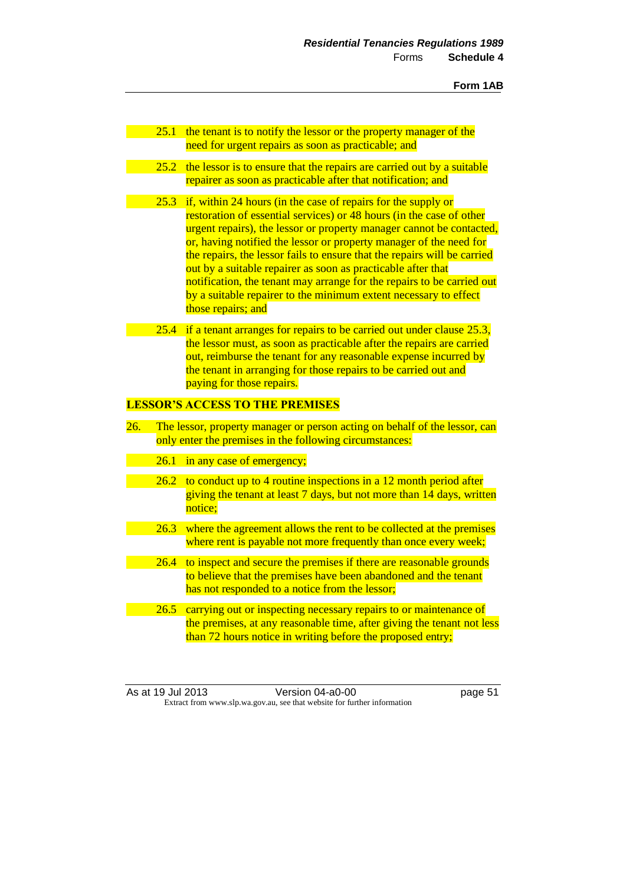- 25.1 the tenant is to notify the lessor or the property manager of the need for urgent repairs as soon as practicable; and
- 25.2 the lessor is to ensure that the repairs are carried out by a suitable repairer as soon as practicable after that notification; and
- 25.3 if, within 24 hours (in the case of repairs for the supply or restoration of essential services) or 48 hours (in the case of other urgent repairs), the lessor or property manager cannot be contacted, or, having notified the lessor or property manager of the need for the repairs, the lessor fails to ensure that the repairs will be carried out by a suitable repairer as soon as practicable after that notification, the tenant may arrange for the repairs to be carried out by a suitable repairer to the minimum extent necessary to effect those repairs; and
	- 25.4 if a tenant arranges for repairs to be carried out under clause 25.3, the lessor must, as soon as practicable after the repairs are carried out, reimburse the tenant for any reasonable expense incurred by the tenant in arranging for those repairs to be carried out and paying for those repairs.

## **LESSOR'S ACCESS TO THE PREMISES**

- 26. The lessor, property manager or person acting on behalf of the lessor, can only enter the premises in the following circumstances:
	- 26.1 in any case of emergency;
	- 26.2 to conduct up to 4 routine inspections in a 12 month period after giving the tenant at least 7 days, but not more than 14 days, written notice;
	- 26.3 where the agreement allows the rent to be collected at the premises where rent is payable not more frequently than once every week;
	- 26.4 to inspect and secure the premises if there are reasonable grounds to believe that the premises have been abandoned and the tenant has not responded to a notice from the lessor;
		- 26.5 carrying out or inspecting necessary repairs to or maintenance of the premises, at any reasonable time, after giving the tenant not less than 72 hours notice in writing before the proposed entry;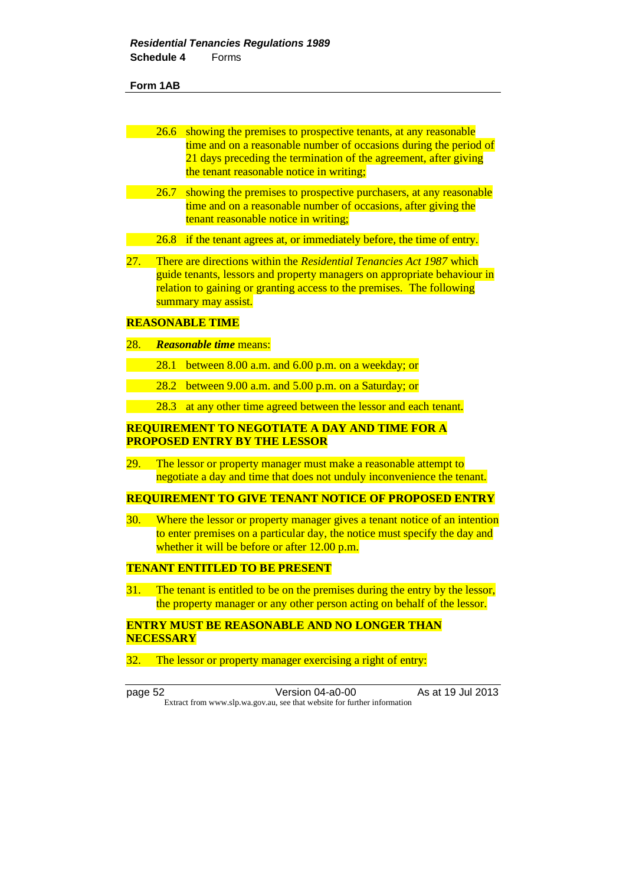| 26.6 showing the premises to prospective tenants, at any reasonable |
|---------------------------------------------------------------------|
| time and on a reasonable number of occasions during the period of   |
| 21 days preceding the termination of the agreement, after giving    |
| the tenant reasonable notice in writing;                            |

- 26.7 showing the premises to prospective purchasers, at any reasonable time and on a reasonable number of occasions, after giving the tenant reasonable notice in writing;
- 26.8 if the tenant agrees at, or immediately before, the time of entry.
- 27. There are directions within the *Residential Tenancies Act 1987* which guide tenants, lessors and property managers on appropriate behaviour in relation to gaining or granting access to the premises. The following summary may assist.

### **REASONABLE TIME**

- 28. *Reasonable time* means:
	- 28.1 between 8.00 a.m. and 6.00 p.m. on a weekday; or
	- 28.2 between 9.00 a.m. and 5.00 p.m. on a Saturday; or
	- 28.3 at any other time agreed between the lessor and each tenant.

## **REQUIREMENT TO NEGOTIATE A DAY AND TIME FOR A PROPOSED ENTRY BY THE LESSOR**

29. The lessor or property manager must make a reasonable attempt to negotiate a day and time that does not unduly inconvenience the tenant.

### **REQUIREMENT TO GIVE TENANT NOTICE OF PROPOSED ENTRY**

30. Where the lessor or property manager gives a tenant notice of an intention to enter premises on a particular day, the notice must specify the day and whether it will be before or after 12.00 p.m.

## **TENANT ENTITLED TO BE PRESENT**

31. The tenant is entitled to be on the premises during the entry by the lessor, the property manager or any other person acting on behalf of the lessor.

## **ENTRY MUST BE REASONABLE AND NO LONGER THAN NECESSARY**

32. The lessor or property manager exercising a right of entry:

page 52 Version 04-a0-00 As at 19 Jul 2013 Extract from www.slp.wa.gov.au, see that website for further information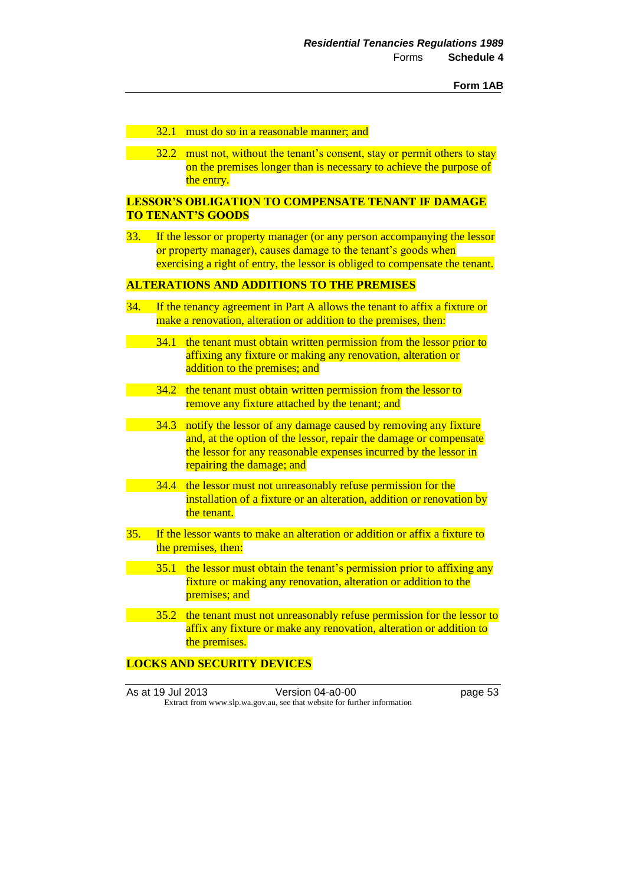### 32.1 must do so in a reasonable manner; and

32.2 must not, without the tenant's consent, stay or permit others to stay on the premises longer than is necessary to achieve the purpose of the entry.

## **LESSOR'S OBLIGATION TO COMPENSATE TENANT IF DAMAGE TO TENANT'S GOODS**

33. If the lessor or property manager (or any person accompanying the lessor or property manager), causes damage to the tenant's goods when exercising a right of entry, the lessor is obliged to compensate the tenant.

# **ALTERATIONS AND ADDITIONS TO THE PREMISES**

- 34. If the tenancy agreement in Part A allows the tenant to affix a fixture or make a renovation, alteration or addition to the premises, then:
	- 34.1 the tenant must obtain written permission from the lessor prior to affixing any fixture or making any renovation, alteration or addition to the premises; and
		- 34.2 the tenant must obtain written permission from the lessor to remove any fixture attached by the tenant; and
	- 34.3 notify the lessor of any damage caused by removing any fixture and, at the option of the lessor, repair the damage or compensate the lessor for any reasonable expenses incurred by the lessor in repairing the damage; and
	- 34.4 the lessor must not unreasonably refuse permission for the installation of a fixture or an alteration, addition or renovation by the tenant.
- 35. If the lessor wants to make an alteration or addition or affix a fixture to the premises, then:
	- 35.1 the lessor must obtain the tenant's permission prior to affixing any fixture or making any renovation, alteration or addition to the premises; and
	- 35.2 the tenant must not unreasonably refuse permission for the lessor to affix any fixture or make any renovation, alteration or addition to the premises.

## **LOCKS AND SECURITY DEVICES**

|  | As at 19 Jul 2013                                                        | Version 04-a0-00 | page 53 |
|--|--------------------------------------------------------------------------|------------------|---------|
|  | Extract from www.slp.wa.gov.au, see that website for further information |                  |         |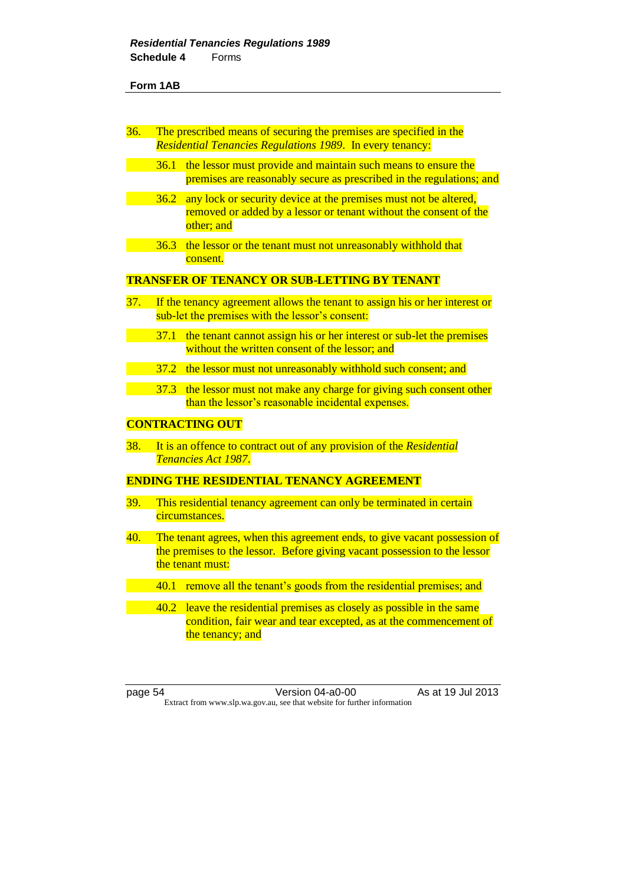| 36.        | The prescribed means of securing the premises are specified in the<br><b>Residential Tenancies Regulations 1989. In every tenancy:</b> |                                                                                                                                                                            |  |
|------------|----------------------------------------------------------------------------------------------------------------------------------------|----------------------------------------------------------------------------------------------------------------------------------------------------------------------------|--|
|            | 36.1                                                                                                                                   | the lessor must provide and maintain such means to ensure the<br>premises are reasonably secure as prescribed in the regulations; and                                      |  |
|            | 36.2                                                                                                                                   | any lock or security device at the premises must not be altered,<br>removed or added by a lessor or tenant without the consent of the<br>other; and                        |  |
|            | 36.3                                                                                                                                   | the lessor or the tenant must not unreasonably withhold that<br>consent.                                                                                                   |  |
|            |                                                                                                                                        | <b>TRANSFER OF TENANCY OR SUB-LETTING BY TENANT</b>                                                                                                                        |  |
| 37.        |                                                                                                                                        | If the tenancy agreement allows the tenant to assign his or her interest or<br>sub-let the premises with the lessor's consent:                                             |  |
|            | 37.1                                                                                                                                   | the tenant cannot assign his or her interest or sub-let the premises<br>without the written consent of the lessor; and                                                     |  |
|            | 37.2                                                                                                                                   | the lessor must not unreasonably withhold such consent; and                                                                                                                |  |
|            | 37.3                                                                                                                                   | the lessor must not make any charge for giving such consent other<br>than the lessor's reasonable incidental expenses.                                                     |  |
|            |                                                                                                                                        | <b>CONTRACTING OUT</b>                                                                                                                                                     |  |
| 38.        |                                                                                                                                        | It is an offence to contract out of any provision of the Residential<br>Tenancies Act 1987.                                                                                |  |
|            |                                                                                                                                        | <b>ENDING THE RESIDENTIAL TENANCY AGREEMENT</b>                                                                                                                            |  |
| <b>39.</b> |                                                                                                                                        | This residential tenancy agreement can only be terminated in certain<br>circumstances.                                                                                     |  |
| 40.        |                                                                                                                                        | The tenant agrees, when this agreement ends, to give vacant possession of<br>the premises to the lessor. Before giving vacant possession to the lessor<br>the tenant must: |  |
|            |                                                                                                                                        | 40.1 remove all the tenant's goods from the residential premises; and                                                                                                      |  |
|            | 40.2                                                                                                                                   | leave the residential premises as closely as possible in the same<br>condition, fair wear and tear excepted, as at the commencement of<br>the tenancy; and                 |  |

page 54 Version 04-a0-00 As at 19 Jul 2013 Extract from www.slp.wa.gov.au, see that website for further information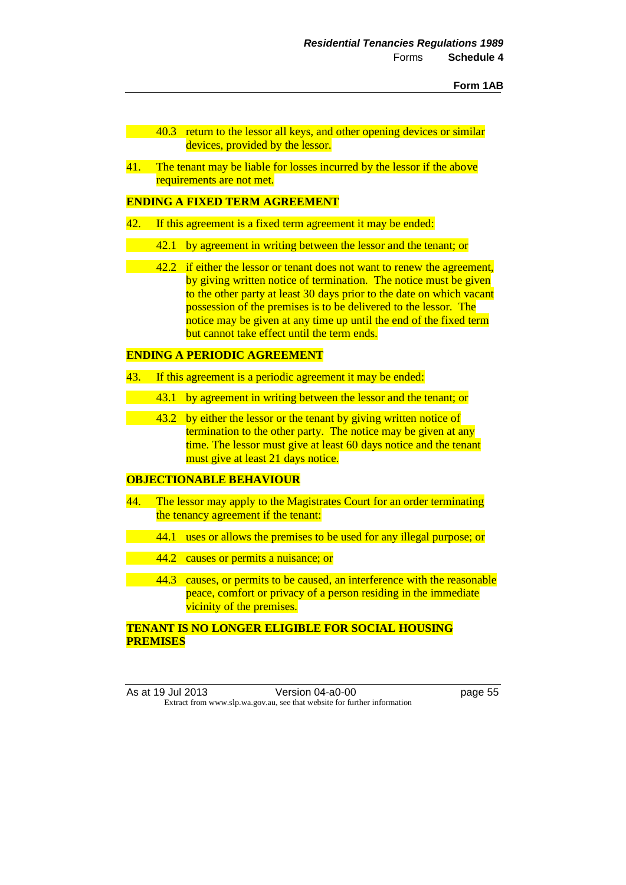- 40.3 return to the lessor all keys, and other opening devices or similar devices, provided by the lessor.
- 41. The tenant may be liable for losses incurred by the lessor if the above requirements are not met.

# **ENDING A FIXED TERM AGREEMENT**

- 42. If this agreement is a fixed term agreement it may be ended:
	- 42.1 by agreement in writing between the lessor and the tenant; or
	- 42.2 if either the lessor or tenant does not want to renew the agreement, by giving written notice of termination. The notice must be given to the other party at least 30 days prior to the date on which vacant possession of the premises is to be delivered to the lessor. The notice may be given at any time up until the end of the fixed term but cannot take effect until the term ends.

# **ENDING A PERIODIC AGREEMENT**

- 43. If this agreement is a periodic agreement it may be ended:
	- 43.1 by agreement in writing between the lessor and the tenant; or
- 43.2 by either the lessor or the tenant by giving written notice of termination to the other party. The notice may be given at any time. The lessor must give at least 60 days notice and the tenant must give at least 21 days notice.

# **OBJECTIONABLE BEHAVIOUR**

- 44. The lessor may apply to the Magistrates Court for an order terminating the tenancy agreement if the tenant:
	- 44.1 uses or allows the premises to be used for any illegal purpose; or
	- 44.2 causes or permits a nuisance; or
	- 44.3 causes, or permits to be caused, an interference with the reasonable peace, comfort or privacy of a person residing in the immediate vicinity of the premises.

# **TENANT IS NO LONGER ELIGIBLE FOR SOCIAL HOUSING PREMISES**

As at 19 Jul 2013 Version 04-a0-00 page 55 Extract from www.slp.wa.gov.au, see that website for further information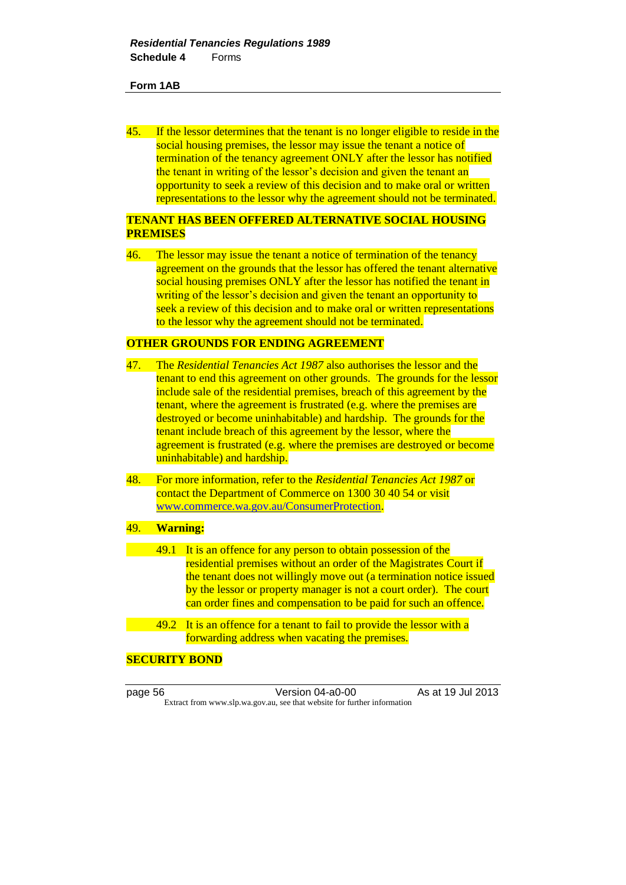45. If the lessor determines that the tenant is no longer eligible to reside in the social housing premises, the lessor may issue the tenant a notice of termination of the tenancy agreement ONLY after the lessor has notified the tenant in writing of the lessor's decision and given the tenant an opportunity to seek a review of this decision and to make oral or written representations to the lessor why the agreement should not be terminated.

# **TENANT HAS BEEN OFFERED ALTERNATIVE SOCIAL HOUSING PREMISES**

46. The lessor may issue the tenant a notice of termination of the tenancy agreement on the grounds that the lessor has offered the tenant alternative social housing premises ONLY after the lessor has notified the tenant in writing of the lessor's decision and given the tenant an opportunity to seek a review of this decision and to make oral or written representations to the lessor why the agreement should not be terminated.

## **OTHER GROUNDS FOR ENDING AGREEMENT**

- 47. The *Residential Tenancies Act 1987* also authorises the lessor and the tenant to end this agreement on other grounds. The grounds for the lessor include sale of the residential premises, breach of this agreement by the tenant, where the agreement is frustrated (e.g. where the premises are destroyed or become uninhabitable) and hardship. The grounds for the tenant include breach of this agreement by the lessor, where the agreement is frustrated (e.g. where the premises are destroyed or become uninhabitable) and hardship.
- 48. For more information, refer to the *Residential Tenancies Act 1987* or contact the Department of Commerce on 1300 30 40 54 or visit [www.commerce.wa.gov.au/ConsumerProtection.](http://www.commerce.wa.gov.au/ConsumerProtection)

## 49. **Warning:**

- 49.1 It is an offence for any person to obtain possession of the residential premises without an order of the Magistrates Court if the tenant does not willingly move out (a termination notice issued by the lessor or property manager is not a court order). The court can order fines and compensation to be paid for such an offence.
- 49.2 It is an offence for a tenant to fail to provide the lessor with a forwarding address when vacating the premises.

# **SECURITY BOND**

page 56 **Version 04-a0-00** As at 19 Jul 2013 Extract from www.slp.wa.gov.au, see that website for further information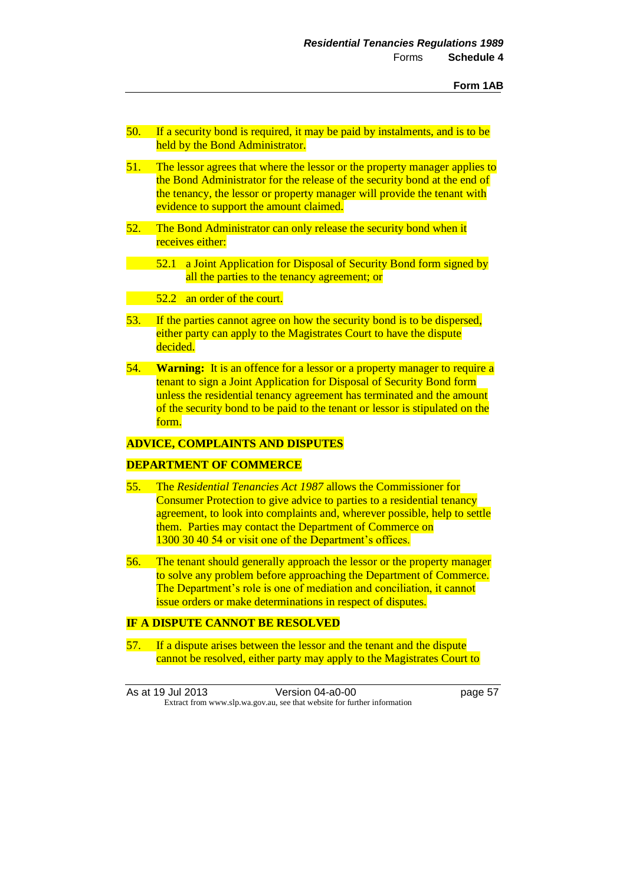- 50. If a security bond is required, it may be paid by instalments, and is to be held by the Bond Administrator.
- 51. The lessor agrees that where the lessor or the property manager applies to the Bond Administrator for the release of the security bond at the end of the tenancy, the lessor or property manager will provide the tenant with evidence to support the amount claimed.
- 52. The Bond Administrator can only release the security bond when it receives either:
- 52.1 a Joint Application for Disposal of Security Bond form signed by all the parties to the tenancy agreement; or

52.2 an order of the court.

- 53. If the parties cannot agree on how the security bond is to be dispersed, either party can apply to the Magistrates Court to have the dispute decided.
- 54. **Warning:** It is an offence for a lessor or a property manager to require a tenant to sign a Joint Application for Disposal of Security Bond form unless the residential tenancy agreement has terminated and the amount of the security bond to be paid to the tenant or lessor is stipulated on the form.

# **ADVICE, COMPLAINTS AND DISPUTES**

# **DEPARTMENT OF COMMERCE**

- 55. The *Residential Tenancies Act 1987* allows the Commissioner for Consumer Protection to give advice to parties to a residential tenancy agreement, to look into complaints and, wherever possible, help to settle them. Parties may contact the Department of Commerce on 1300 30 40 54 or visit one of the Department's offices.
- 56. The tenant should generally approach the lessor or the property manager to solve any problem before approaching the Department of Commerce. The Department's role is one of mediation and conciliation, it cannot issue orders or make determinations in respect of disputes.

### **IF A DISPUTE CANNOT BE RESOLVED**

57. If a dispute arises between the lessor and the tenant and the dispute cannot be resolved, either party may apply to the Magistrates Court to

As at 19 Jul 2013 Version 04-a0-00 page 57 Extract from www.slp.wa.gov.au, see that website for further information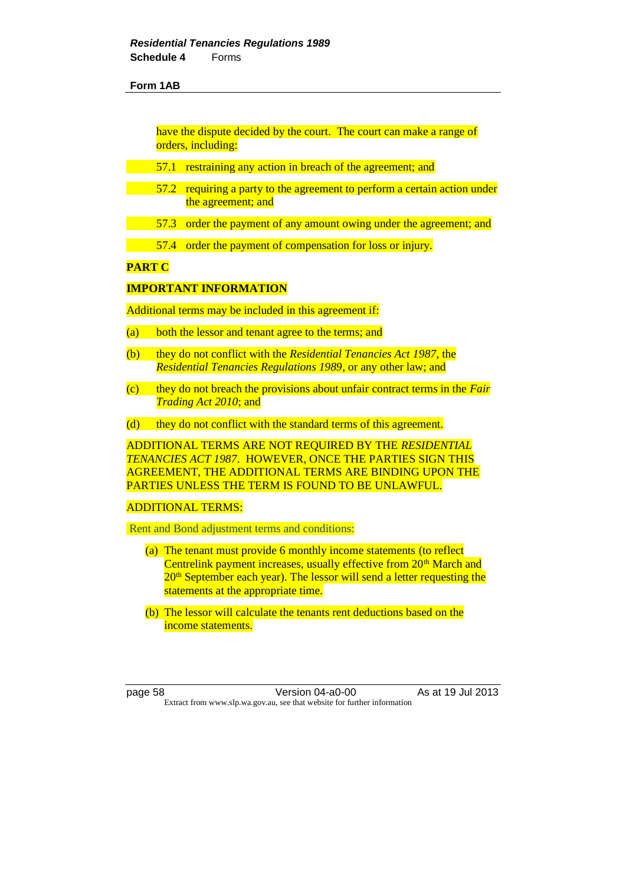have the dispute decided by the court. The court can make a range of orders, including:

- 57.1 restraining any action in breach of the agreement; and
- 57.2 requiring a party to the agreement to perform a certain action under the agreement; and
- 57.3 order the payment of any amount owing under the agreement; and
- 57.4 order the payment of compensation for loss or injury.

# **PART C**

### **IMPORTANT INFORMATION**

Additional terms may be included in this agreement if:

- (a) both the lessor and tenant agree to the terms; and
- (b) they do not conflict with the *Residential Tenancies Act 1987*, the *Residential Tenancies Regulations 1989*, or any other law; and
- (c) they do not breach the provisions about unfair contract terms in the *Fair Trading Act 2010*; and
- (d) they do not conflict with the standard terms of this agreement.

ADDITIONAL TERMS ARE NOT REQUIRED BY THE *RESIDENTIAL TENANCIES ACT 1987*. HOWEVER, ONCE THE PARTIES SIGN THIS AGREEMENT, THE ADDITIONAL TERMS ARE BINDING UPON THE PARTIES UNLESS THE TERM IS FOUND TO BE UNLAWFUL.

#### ADDITIONAL TERMS:

Rent and Bond adjustment terms and conditions:

- (a) The tenant must provide 6 monthly income statements (to reflect Centrelink payment increases, usually effective from 20<sup>th</sup> March and 20<sup>th</sup> September each year). The lessor will send a letter requesting the statements at the appropriate time.
- (b) The lessor will calculate the tenants rent deductions based on the income statements.

page 58 Version 04-a0-00 As at 19 Jul 2013 Extract from www.slp.wa.gov.au, see that website for further information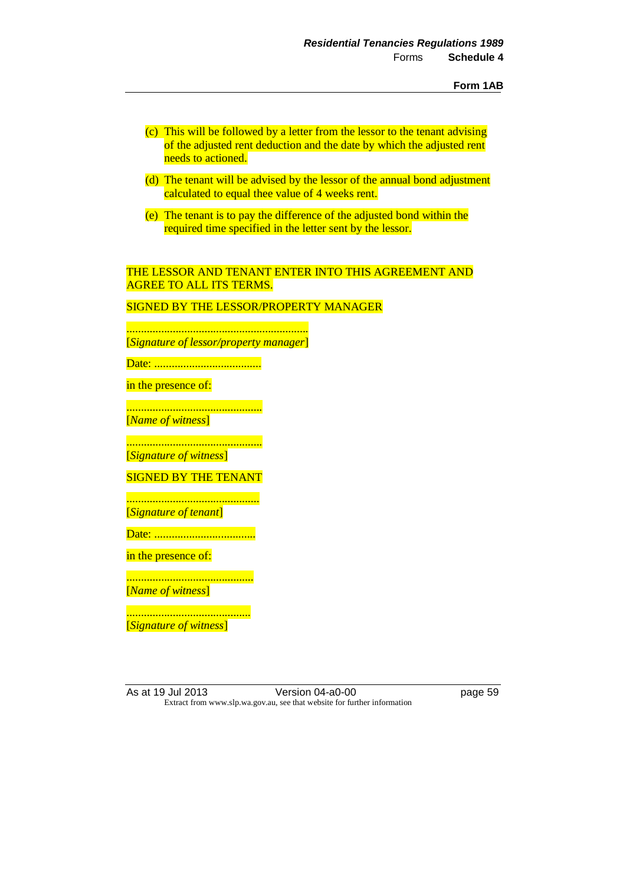- (c) This will be followed by a letter from the lessor to the tenant advising of the adjusted rent deduction and the date by which the adjusted rent needs to actioned.
- (d) The tenant will be advised by the lessor of the annual bond adjustment calculated to equal thee value of 4 weeks rent.
- (e) The tenant is to pay the difference of the adjusted bond within the required time specified in the letter sent by the lessor.

# THE LESSOR AND TENANT ENTER INTO THIS AGREEMENT AND AGREE TO ALL ITS TERMS.

SIGNED BY THE LESSOR/PROPERTY MANAGER

............................................................... [*Signature of lessor/property manager*]

Date: .....................................

in the presence of:

............................................... [*Name of witness*]

............................................... [*Signature of witness*]

SIGNED BY THE TENANT

.............................................. [*Signature of tenant*]

Date: ...................................

in the presence of:

............................................ [*Name of witness*]

........................................... [*Signature of witness*]

As at 19 Jul 2013 Version 04-a0-00 page 59 Extract from www.slp.wa.gov.au, see that website for further information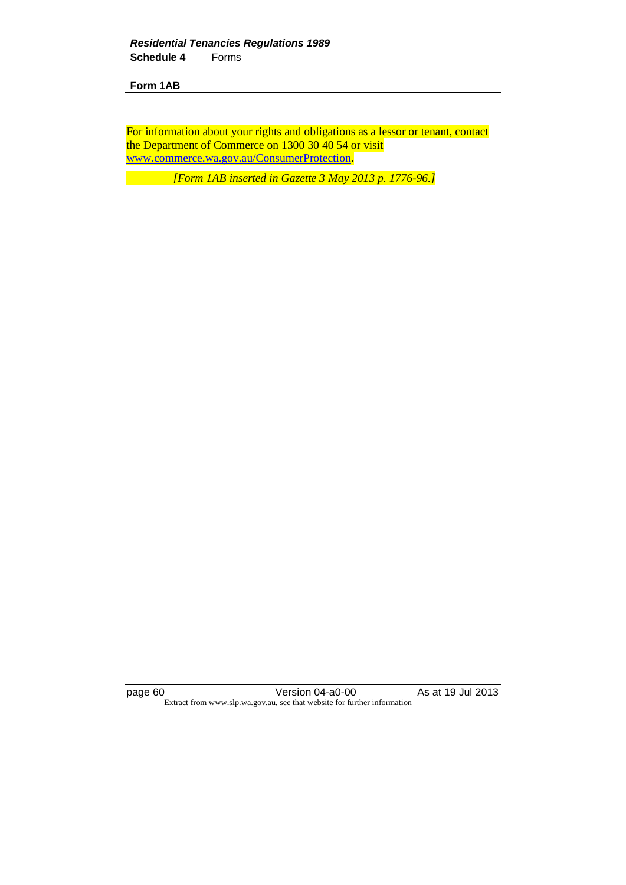For information about your rights and obligations as a lessor or tenant, contact the Department of Commerce on 1300 30 40 54 or visit [www.commerce.wa.gov.au/ConsumerProtection.](http://www.commerce.wa.gov.au/ConsumerProtection)

*[Form 1AB inserted in Gazette 3 May 2013 p. 1776-96.]*

page 60 Version 04-a0-00 As at 19 Jul 2013 Extract from www.slp.wa.gov.au, see that website for further information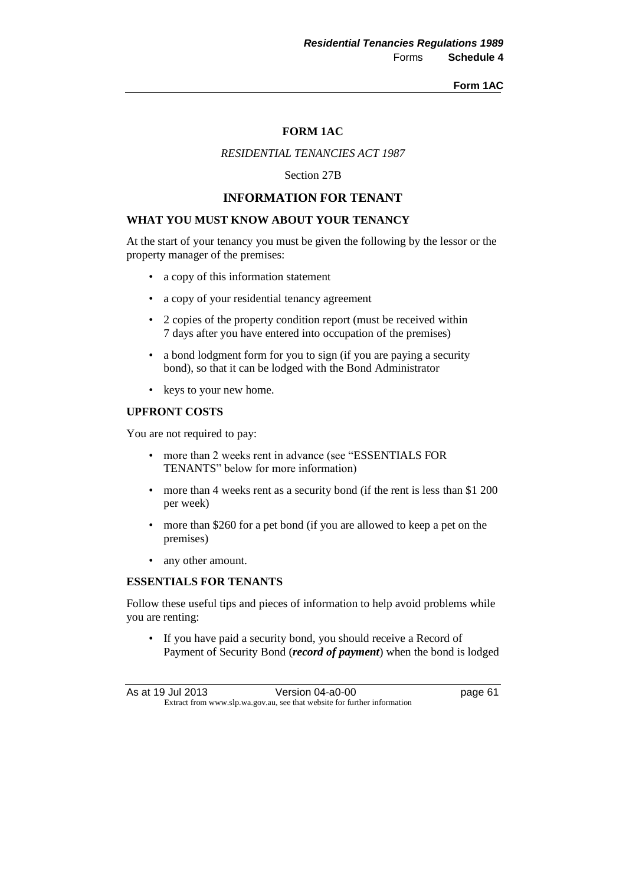#### **Form 1AC**

## **FORM 1AC**

## *RESIDENTIAL TENANCIES ACT 1987*

Section 27B

# **INFORMATION FOR TENANT**

## **WHAT YOU MUST KNOW ABOUT YOUR TENANCY**

At the start of your tenancy you must be given the following by the lessor or the property manager of the premises:

- a copy of this information statement
- a copy of your residential tenancy agreement
- 2 copies of the property condition report (must be received within 7 days after you have entered into occupation of the premises)
- a bond lodgment form for you to sign (if you are paying a security bond), so that it can be lodged with the Bond Administrator
- keys to your new home.

# **UPFRONT COSTS**

You are not required to pay:

- more than 2 weeks rent in advance (see "ESSENTIALS FOR TENANTS" below for more information)
- more than 4 weeks rent as a security bond (if the rent is less than \$1 200) per week)
- more than \$260 for a pet bond (if you are allowed to keep a pet on the premises)
- any other amount.

### **ESSENTIALS FOR TENANTS**

Follow these useful tips and pieces of information to help avoid problems while you are renting:

• If you have paid a security bond, you should receive a Record of Payment of Security Bond (*record of payment*) when the bond is lodged

As at 19 Jul 2013 Version 04-a0-00 page 61 Extract from www.slp.wa.gov.au, see that website for further information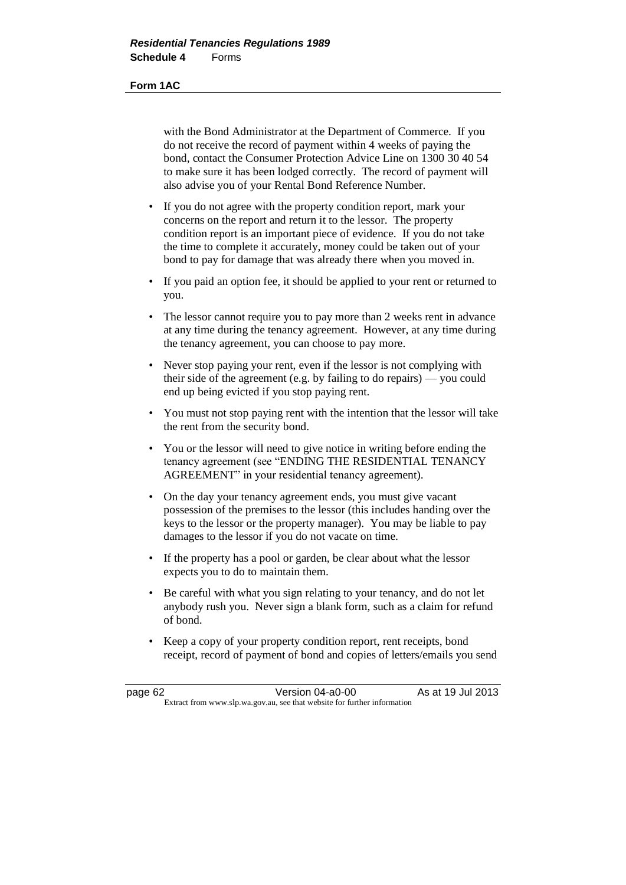#### **Form 1AC**

with the Bond Administrator at the Department of Commerce. If you do not receive the record of payment within 4 weeks of paying the bond, contact the Consumer Protection Advice Line on 1300 30 40 54 to make sure it has been lodged correctly. The record of payment will also advise you of your Rental Bond Reference Number.

- If you do not agree with the property condition report, mark your concerns on the report and return it to the lessor. The property condition report is an important piece of evidence. If you do not take the time to complete it accurately, money could be taken out of your bond to pay for damage that was already there when you moved in.
- If you paid an option fee, it should be applied to your rent or returned to you.
- The lessor cannot require you to pay more than 2 weeks rent in advance at any time during the tenancy agreement. However, at any time during the tenancy agreement, you can choose to pay more.
- Never stop paying your rent, even if the lessor is not complying with their side of the agreement (e.g. by failing to do repairs) — you could end up being evicted if you stop paying rent.
- You must not stop paying rent with the intention that the lessor will take the rent from the security bond.
- You or the lessor will need to give notice in writing before ending the tenancy agreement (see "ENDING THE RESIDENTIAL TENANCY AGREEMENT" in your residential tenancy agreement).
- On the day your tenancy agreement ends, you must give vacant possession of the premises to the lessor (this includes handing over the keys to the lessor or the property manager). You may be liable to pay damages to the lessor if you do not vacate on time.
- If the property has a pool or garden, be clear about what the lessor expects you to do to maintain them.
- Be careful with what you sign relating to your tenancy, and do not let anybody rush you. Never sign a blank form, such as a claim for refund of bond.
- Keep a copy of your property condition report, rent receipts, bond receipt, record of payment of bond and copies of letters/emails you send

| page 62 | Version 04-a0-00                                                         | As at 19 Jul 2013 |
|---------|--------------------------------------------------------------------------|-------------------|
|         | Extract from www.slp.wa.gov.au, see that website for further information |                   |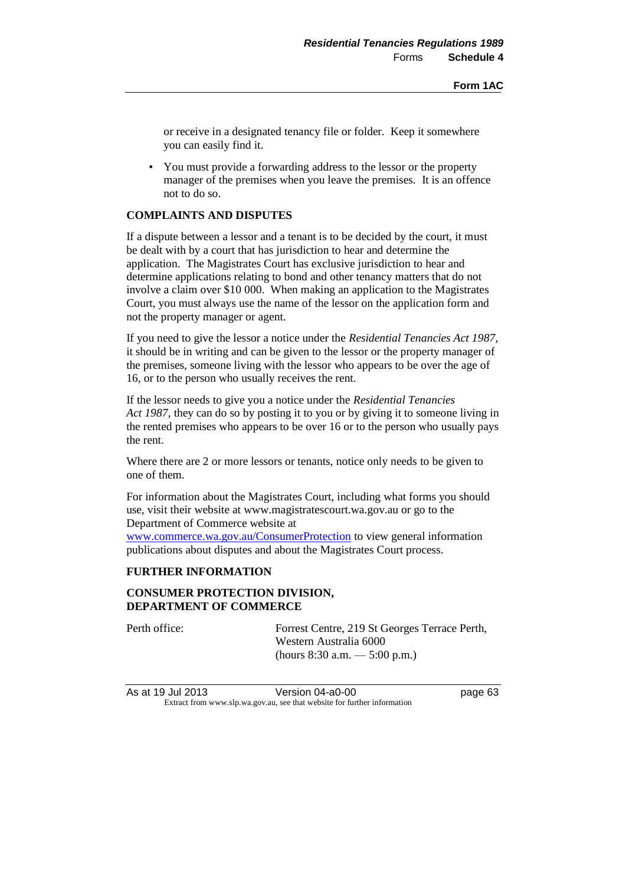or receive in a designated tenancy file or folder. Keep it somewhere you can easily find it.

• You must provide a forwarding address to the lessor or the property manager of the premises when you leave the premises. It is an offence not to do so.

# **COMPLAINTS AND DISPUTES**

If a dispute between a lessor and a tenant is to be decided by the court, it must be dealt with by a court that has jurisdiction to hear and determine the application. The Magistrates Court has exclusive jurisdiction to hear and determine applications relating to bond and other tenancy matters that do not involve a claim over \$10 000. When making an application to the Magistrates Court, you must always use the name of the lessor on the application form and not the property manager or agent.

If you need to give the lessor a notice under the *Residential Tenancies Act 1987*, it should be in writing and can be given to the lessor or the property manager of the premises, someone living with the lessor who appears to be over the age of 16, or to the person who usually receives the rent.

If the lessor needs to give you a notice under the *Residential Tenancies Act 1987*, they can do so by posting it to you or by giving it to someone living in the rented premises who appears to be over 16 or to the person who usually pays the rent.

Where there are 2 or more lessors or tenants, notice only needs to be given to one of them.

For information about the Magistrates Court, including what forms you should use, visit their website at www.magistratescourt.wa.gov.au or go to the Department of Commerce website at

[www.commerce.wa.gov.au/ConsumerProtection](http://www.commerce.wa.gov.au/ConsumerProtection) to view general information publications about disputes and about the Magistrates Court process.

## **FURTHER INFORMATION**

# **CONSUMER PROTECTION DIVISION, DEPARTMENT OF COMMERCE**

Perth office: Forrest Centre, 219 St Georges Terrace Perth, Western Australia 6000 (hours 8:30 a.m. — 5:00 p.m.)

As at 19 Jul 2013 Version 04-a0-00 page 63 Extract from www.slp.wa.gov.au, see that website for further information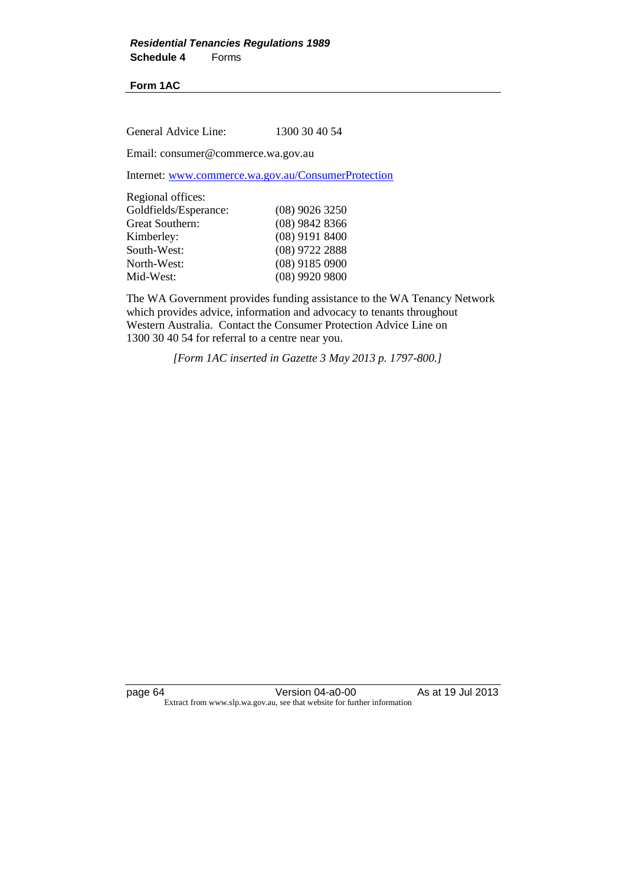## **Form 1AC**

General Advice Line: 1300 30 40 54

Email: consumer@commerce.wa.gov.au

Internet: [www.commerce.wa.gov.au/ConsumerProtection](http://www.commerce.wa.gov.au/ConsumerProtection)

| $(08)$ 9026 3250 |
|------------------|
| $(08)$ 9842 8366 |
| $(08)$ 9191 8400 |
| $(08)$ 9722 2888 |
| $(08)$ 9185 0900 |
| $(08)$ 9920 9800 |
|                  |

The WA Government provides funding assistance to the WA Tenancy Network which provides advice, information and advocacy to tenants throughout Western Australia. Contact the Consumer Protection Advice Line on 1300 30 40 54 for referral to a centre near you.

*[Form 1AC inserted in Gazette 3 May 2013 p. 1797-800.]*

page 64 Version 04-a0-00 As at 19 Jul 2013 Extract from www.slp.wa.gov.au, see that website for further information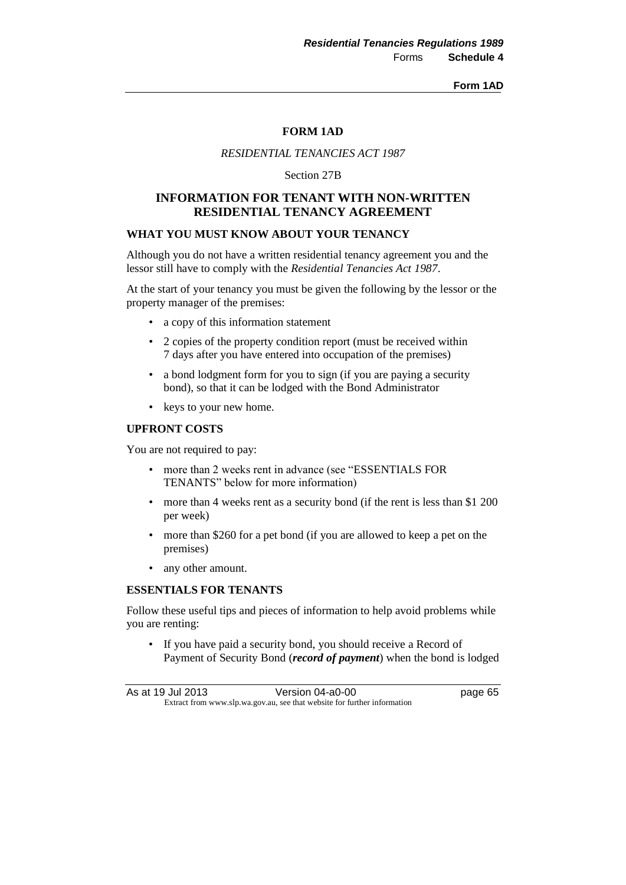#### **Form 1AD**

## **FORM 1AD**

### *RESIDENTIAL TENANCIES ACT 1987*

Section 27B

# **INFORMATION FOR TENANT WITH NON-WRITTEN RESIDENTIAL TENANCY AGREEMENT**

### **WHAT YOU MUST KNOW ABOUT YOUR TENANCY**

Although you do not have a written residential tenancy agreement you and the lessor still have to comply with the *Residential Tenancies Act 1987*.

At the start of your tenancy you must be given the following by the lessor or the property manager of the premises:

- a copy of this information statement
- 2 copies of the property condition report (must be received within 7 days after you have entered into occupation of the premises)
- a bond lodgment form for you to sign (if you are paying a security bond), so that it can be lodged with the Bond Administrator
- keys to your new home.

## **UPFRONT COSTS**

You are not required to pay:

- more than 2 weeks rent in advance (see "ESSENTIALS FOR TENANTS" below for more information)
- more than 4 weeks rent as a security bond (if the rent is less than \$1 200) per week)
- more than \$260 for a pet bond (if you are allowed to keep a pet on the premises)
- any other amount.

### **ESSENTIALS FOR TENANTS**

Follow these useful tips and pieces of information to help avoid problems while you are renting:

• If you have paid a security bond, you should receive a Record of Payment of Security Bond (*record of payment*) when the bond is lodged

As at 19 Jul 2013 Version 04-a0-00 page 65 Extract from www.slp.wa.gov.au, see that website for further information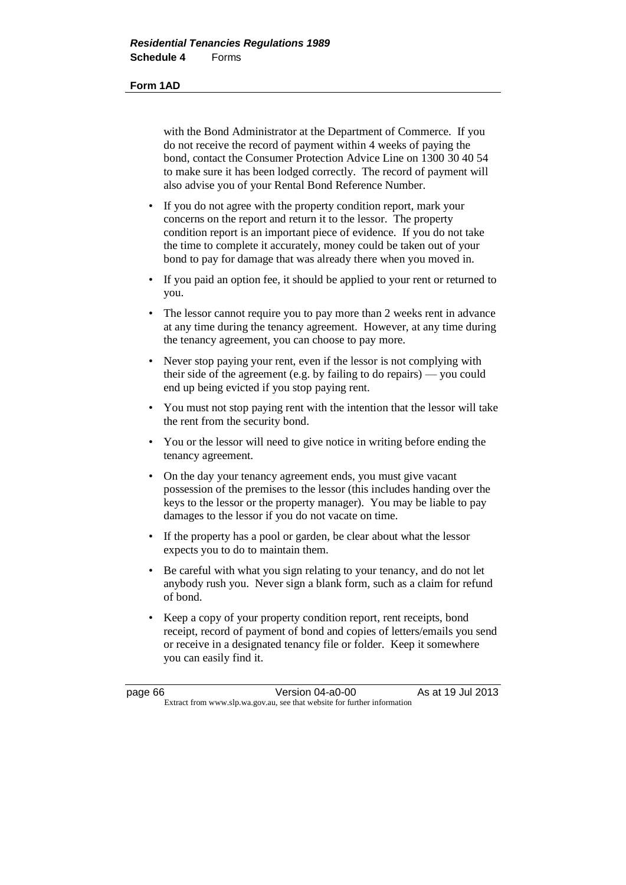#### **Form 1AD**

with the Bond Administrator at the Department of Commerce. If you do not receive the record of payment within 4 weeks of paying the bond, contact the Consumer Protection Advice Line on 1300 30 40 54 to make sure it has been lodged correctly. The record of payment will also advise you of your Rental Bond Reference Number.

- If you do not agree with the property condition report, mark your concerns on the report and return it to the lessor. The property condition report is an important piece of evidence. If you do not take the time to complete it accurately, money could be taken out of your bond to pay for damage that was already there when you moved in.
- If you paid an option fee, it should be applied to your rent or returned to you.
- The lessor cannot require you to pay more than 2 weeks rent in advance at any time during the tenancy agreement. However, at any time during the tenancy agreement, you can choose to pay more.
- Never stop paying your rent, even if the lessor is not complying with their side of the agreement (e.g. by failing to do repairs) — you could end up being evicted if you stop paying rent.
- You must not stop paying rent with the intention that the lessor will take the rent from the security bond.
- You or the lessor will need to give notice in writing before ending the tenancy agreement.
- On the day your tenancy agreement ends, you must give vacant possession of the premises to the lessor (this includes handing over the keys to the lessor or the property manager). You may be liable to pay damages to the lessor if you do not vacate on time.
- If the property has a pool or garden, be clear about what the lessor expects you to do to maintain them.
- Be careful with what you sign relating to your tenancy, and do not let anybody rush you. Never sign a blank form, such as a claim for refund of bond.
- Keep a copy of your property condition report, rent receipts, bond receipt, record of payment of bond and copies of letters/emails you send or receive in a designated tenancy file or folder. Keep it somewhere you can easily find it.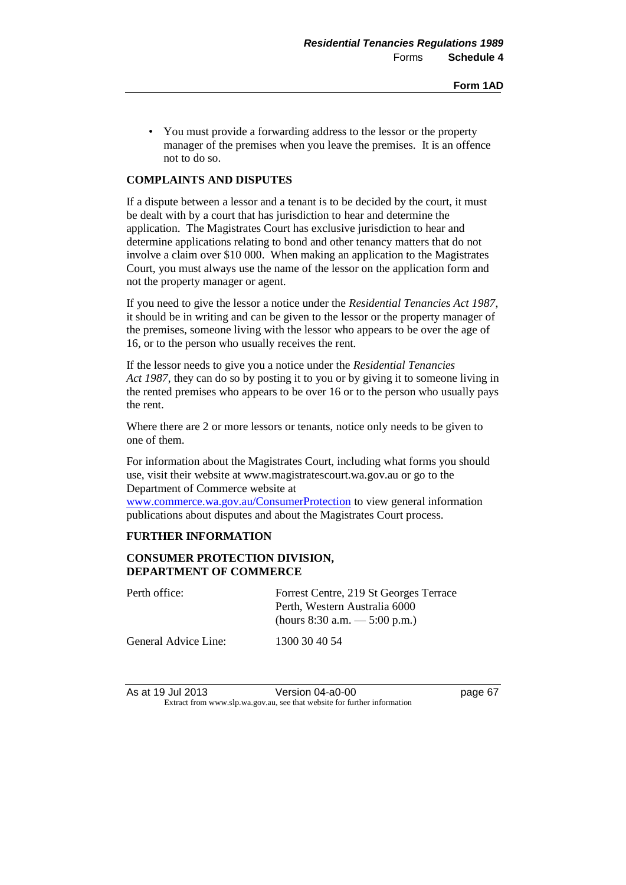• You must provide a forwarding address to the lessor or the property manager of the premises when you leave the premises. It is an offence not to do so.

## **COMPLAINTS AND DISPUTES**

If a dispute between a lessor and a tenant is to be decided by the court, it must be dealt with by a court that has jurisdiction to hear and determine the application. The Magistrates Court has exclusive jurisdiction to hear and determine applications relating to bond and other tenancy matters that do not involve a claim over \$10 000. When making an application to the Magistrates Court, you must always use the name of the lessor on the application form and not the property manager or agent.

If you need to give the lessor a notice under the *Residential Tenancies Act 1987*, it should be in writing and can be given to the lessor or the property manager of the premises, someone living with the lessor who appears to be over the age of 16, or to the person who usually receives the rent.

If the lessor needs to give you a notice under the *Residential Tenancies Act 1987*, they can do so by posting it to you or by giving it to someone living in the rented premises who appears to be over 16 or to the person who usually pays the rent.

Where there are 2 or more lessors or tenants, notice only needs to be given to one of them.

For information about the Magistrates Court, including what forms you should use, visit their website at www.magistratescourt.wa.gov.au or go to the Department of Commerce website at

[www.commerce.wa.gov.au/ConsumerProtection](file:///C:/PCO%20Work/Regs/Residential%20Tenancies%20Amendment%20Regulations%202013/www.commerce.wa.gov.au/ConsumerProtection) to view general information publications about disputes and about the Magistrates Court process.

## **FURTHER INFORMATION**

## **CONSUMER PROTECTION DIVISION, DEPARTMENT OF COMMERCE**

| Perth office:        | Forrest Centre, 219 St Georges Terrace<br>Perth, Western Australia 6000<br>(hours 8:30 a.m. $-$ 5:00 p.m.) |
|----------------------|------------------------------------------------------------------------------------------------------------|
| General Advice Line: | 1300 30 40 54                                                                                              |

As at 19 Jul 2013 Version 04-a0-00 page 67 Extract from www.slp.wa.gov.au, see that website for further information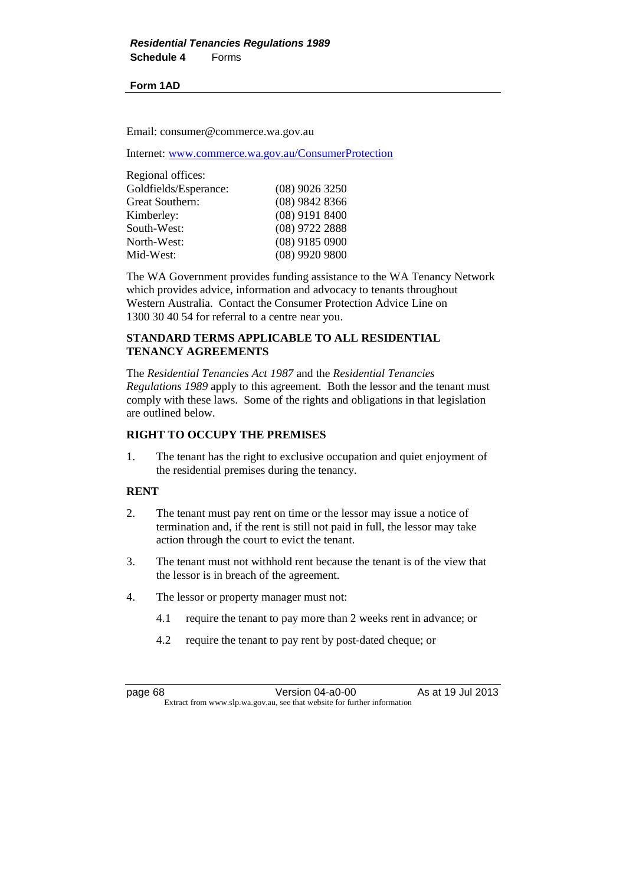## **Form 1AD**

Email: consumer@commerce.wa.gov.au

Internet: [www.commerce.wa.gov.au/ConsumerProtection](http://www.commerce.wa.gov.au/ConsumerProtection)

| Regional offices:     |                  |
|-----------------------|------------------|
| Goldfields/Esperance: | $(08)$ 9026 3250 |
| Great Southern:       | $(08)$ 9842 8366 |
| Kimberley:            | $(08)$ 9191 8400 |
| South-West:           | (08) 9722 2888   |
| North-West:           | $(08)$ 9185 0900 |
| Mid-West:             | $(08)$ 9920 9800 |

The WA Government provides funding assistance to the WA Tenancy Network which provides advice, information and advocacy to tenants throughout Western Australia. Contact the Consumer Protection Advice Line on 1300 30 40 54 for referral to a centre near you.

## **STANDARD TERMS APPLICABLE TO ALL RESIDENTIAL TENANCY AGREEMENTS**

The *Residential Tenancies Act 1987* and the *Residential Tenancies Regulations 1989* apply to this agreement. Both the lessor and the tenant must comply with these laws. Some of the rights and obligations in that legislation are outlined below.

# **RIGHT TO OCCUPY THE PREMISES**

1. The tenant has the right to exclusive occupation and quiet enjoyment of the residential premises during the tenancy.

## **RENT**

- 2. The tenant must pay rent on time or the lessor may issue a notice of termination and, if the rent is still not paid in full, the lessor may take action through the court to evict the tenant.
- 3. The tenant must not withhold rent because the tenant is of the view that the lessor is in breach of the agreement.
- 4. The lessor or property manager must not:
	- 4.1 require the tenant to pay more than 2 weeks rent in advance; or
	- 4.2 require the tenant to pay rent by post-dated cheque; or

page 68 Version 04-a0-00 As at 19 Jul 2013 Extract from www.slp.wa.gov.au, see that website for further information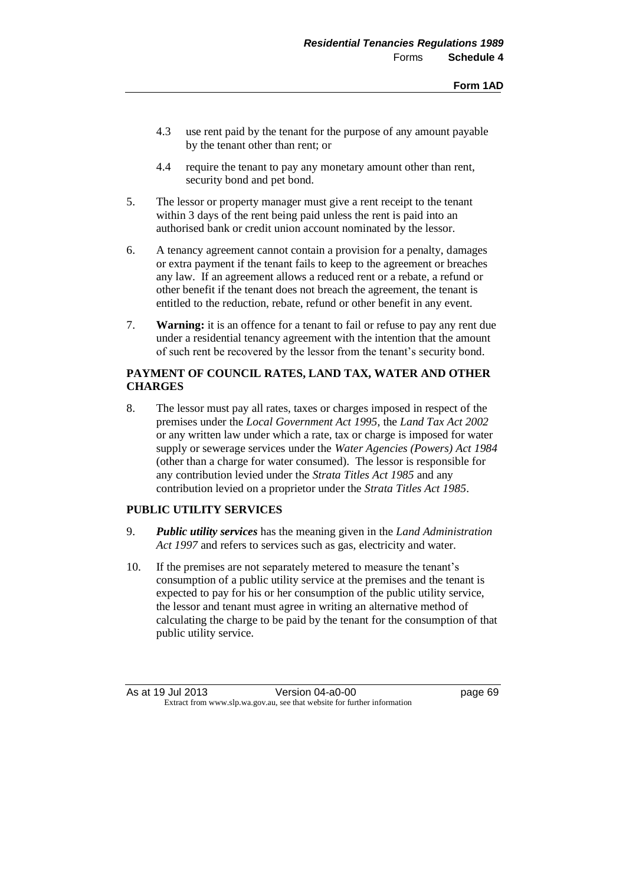- 4.3 use rent paid by the tenant for the purpose of any amount payable by the tenant other than rent; or
- 4.4 require the tenant to pay any monetary amount other than rent, security bond and pet bond.
- 5. The lessor or property manager must give a rent receipt to the tenant within 3 days of the rent being paid unless the rent is paid into an authorised bank or credit union account nominated by the lessor.
- 6. A tenancy agreement cannot contain a provision for a penalty, damages or extra payment if the tenant fails to keep to the agreement or breaches any law. If an agreement allows a reduced rent or a rebate, a refund or other benefit if the tenant does not breach the agreement, the tenant is entitled to the reduction, rebate, refund or other benefit in any event.
- 7. **Warning:** it is an offence for a tenant to fail or refuse to pay any rent due under a residential tenancy agreement with the intention that the amount of such rent be recovered by the lessor from the tenant's security bond.

# **PAYMENT OF COUNCIL RATES, LAND TAX, WATER AND OTHER CHARGES**

8. The lessor must pay all rates, taxes or charges imposed in respect of the premises under the *Local Government Act 1995*, the *Land Tax Act 2002* or any written law under which a rate, tax or charge is imposed for water supply or sewerage services under the *Water Agencies (Powers) Act 1984* (other than a charge for water consumed). The lessor is responsible for any contribution levied under the *Strata Titles Act 1985* and any contribution levied on a proprietor under the *Strata Titles Act 1985*.

# **PUBLIC UTILITY SERVICES**

- 9. *Public utility services* has the meaning given in the *Land Administration Act 1997* and refers to services such as gas, electricity and water.
- 10. If the premises are not separately metered to measure the tenant's consumption of a public utility service at the premises and the tenant is expected to pay for his or her consumption of the public utility service, the lessor and tenant must agree in writing an alternative method of calculating the charge to be paid by the tenant for the consumption of that public utility service.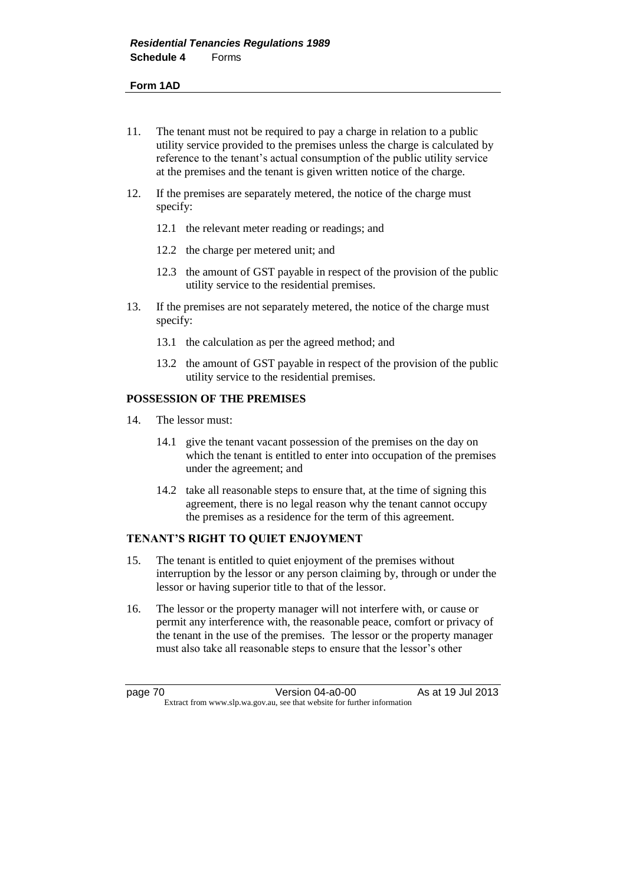#### **Form 1AD**

- 11. The tenant must not be required to pay a charge in relation to a public utility service provided to the premises unless the charge is calculated by reference to the tenant's actual consumption of the public utility service at the premises and the tenant is given written notice of the charge.
- 12. If the premises are separately metered, the notice of the charge must specify:
	- 12.1 the relevant meter reading or readings; and
	- 12.2 the charge per metered unit; and
	- 12.3 the amount of GST payable in respect of the provision of the public utility service to the residential premises.
- 13. If the premises are not separately metered, the notice of the charge must specify:
	- 13.1 the calculation as per the agreed method; and
	- 13.2 the amount of GST payable in respect of the provision of the public utility service to the residential premises.

## **POSSESSION OF THE PREMISES**

- 14. The lessor must:
	- 14.1 give the tenant vacant possession of the premises on the day on which the tenant is entitled to enter into occupation of the premises under the agreement; and
	- 14.2 take all reasonable steps to ensure that, at the time of signing this agreement, there is no legal reason why the tenant cannot occupy the premises as a residence for the term of this agreement.

## **TENANT'S RIGHT TO QUIET ENJOYMENT**

- 15. The tenant is entitled to quiet enjoyment of the premises without interruption by the lessor or any person claiming by, through or under the lessor or having superior title to that of the lessor.
- 16. The lessor or the property manager will not interfere with, or cause or permit any interference with, the reasonable peace, comfort or privacy of the tenant in the use of the premises. The lessor or the property manager must also take all reasonable steps to ensure that the lessor's other

page 70 **Version 04-a0-00** As at 19 Jul 2013 Extract from www.slp.wa.gov.au, see that website for further information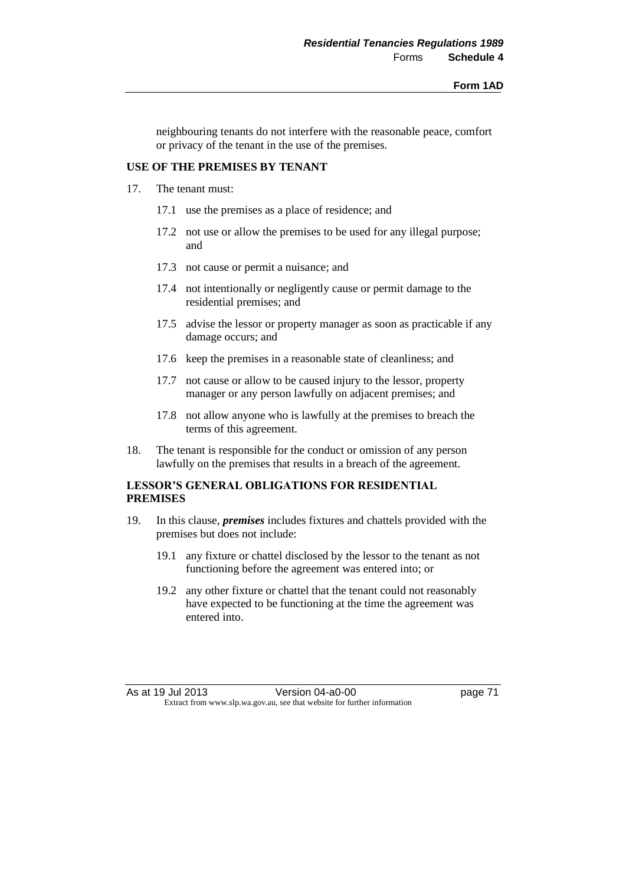neighbouring tenants do not interfere with the reasonable peace, comfort or privacy of the tenant in the use of the premises.

## **USE OF THE PREMISES BY TENANT**

- 17. The tenant must:
	- 17.1 use the premises as a place of residence; and
	- 17.2 not use or allow the premises to be used for any illegal purpose; and
	- 17.3 not cause or permit a nuisance; and
	- 17.4 not intentionally or negligently cause or permit damage to the residential premises; and
	- 17.5 advise the lessor or property manager as soon as practicable if any damage occurs; and
	- 17.6 keep the premises in a reasonable state of cleanliness; and
	- 17.7 not cause or allow to be caused injury to the lessor, property manager or any person lawfully on adjacent premises; and
	- 17.8 not allow anyone who is lawfully at the premises to breach the terms of this agreement.
- 18. The tenant is responsible for the conduct or omission of any person lawfully on the premises that results in a breach of the agreement.

# **LESSOR'S GENERAL OBLIGATIONS FOR RESIDENTIAL PREMISES**

- 19. In this clause, *premises* includes fixtures and chattels provided with the premises but does not include:
	- 19.1 any fixture or chattel disclosed by the lessor to the tenant as not functioning before the agreement was entered into; or
	- 19.2 any other fixture or chattel that the tenant could not reasonably have expected to be functioning at the time the agreement was entered into.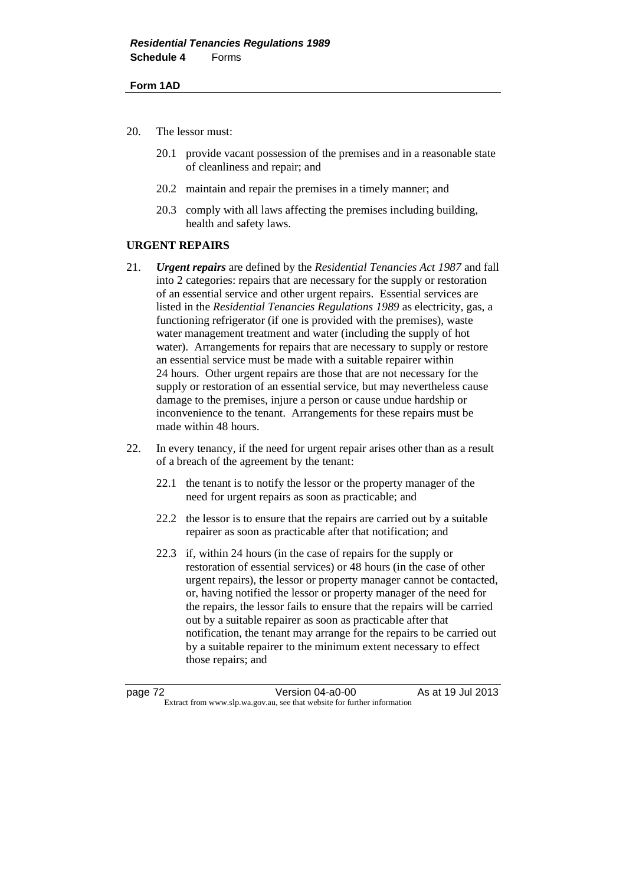#### **Form 1AD**

- 20. The lessor must:
	- 20.1 provide vacant possession of the premises and in a reasonable state of cleanliness and repair; and
	- 20.2 maintain and repair the premises in a timely manner; and
	- 20.3 comply with all laws affecting the premises including building, health and safety laws.

## **URGENT REPAIRS**

- 21. *Urgent repairs* are defined by the *Residential Tenancies Act 1987* and fall into 2 categories: repairs that are necessary for the supply or restoration of an essential service and other urgent repairs. Essential services are listed in the *Residential Tenancies Regulations 1989* as electricity, gas, a functioning refrigerator (if one is provided with the premises), waste water management treatment and water (including the supply of hot water). Arrangements for repairs that are necessary to supply or restore an essential service must be made with a suitable repairer within 24 hours.Other urgent repairs are those that are not necessary for the supply or restoration of an essential service, but may nevertheless cause damage to the premises, injure a person or cause undue hardship or inconvenience to the tenant. Arrangements for these repairs must be made within 48 hours.
- 22. In every tenancy, if the need for urgent repair arises other than as a result of a breach of the agreement by the tenant:
	- 22.1 the tenant is to notify the lessor or the property manager of the need for urgent repairs as soon as practicable; and
	- 22.2 the lessor is to ensure that the repairs are carried out by a suitable repairer as soon as practicable after that notification; and
	- 22.3 if, within 24 hours (in the case of repairs for the supply or restoration of essential services) or 48 hours (in the case of other urgent repairs), the lessor or property manager cannot be contacted, or, having notified the lessor or property manager of the need for the repairs, the lessor fails to ensure that the repairs will be carried out by a suitable repairer as soon as practicable after that notification, the tenant may arrange for the repairs to be carried out by a suitable repairer to the minimum extent necessary to effect those repairs; and

page 72 Version 04-a0-00 As at 19 Jul 2013 Extract from www.slp.wa.gov.au, see that website for further information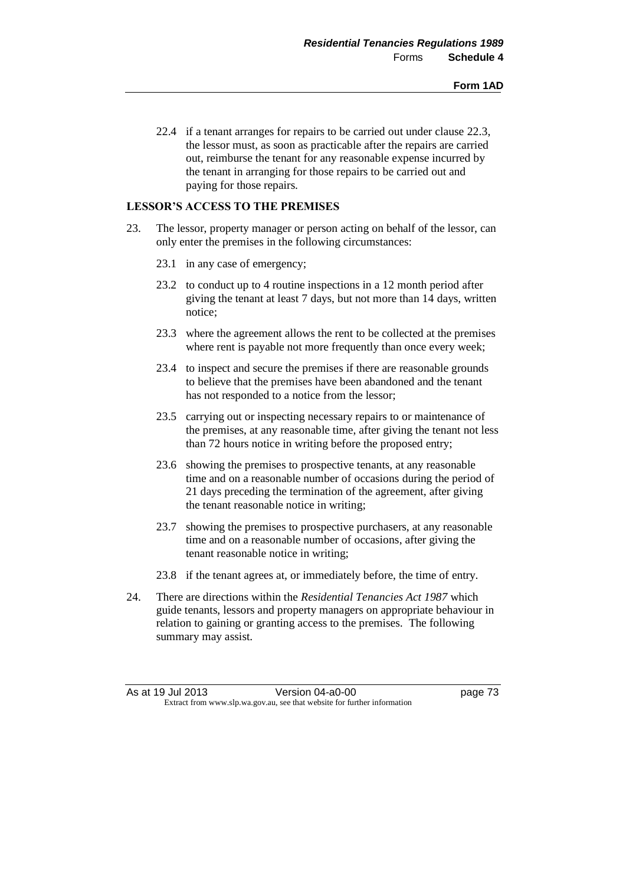22.4 if a tenant arranges for repairs to be carried out under clause 22.3, the lessor must, as soon as practicable after the repairs are carried out, reimburse the tenant for any reasonable expense incurred by the tenant in arranging for those repairs to be carried out and paying for those repairs.

## **LESSOR'S ACCESS TO THE PREMISES**

- 23. The lessor, property manager or person acting on behalf of the lessor, can only enter the premises in the following circumstances:
	- 23.1 in any case of emergency;
	- 23.2 to conduct up to 4 routine inspections in a 12 month period after giving the tenant at least 7 days, but not more than 14 days, written notice;
	- 23.3 where the agreement allows the rent to be collected at the premises where rent is payable not more frequently than once every week;
	- 23.4 to inspect and secure the premises if there are reasonable grounds to believe that the premises have been abandoned and the tenant has not responded to a notice from the lessor;
	- 23.5 carrying out or inspecting necessary repairs to or maintenance of the premises, at any reasonable time, after giving the tenant not less than 72 hours notice in writing before the proposed entry;
	- 23.6 showing the premises to prospective tenants, at any reasonable time and on a reasonable number of occasions during the period of 21 days preceding the termination of the agreement, after giving the tenant reasonable notice in writing;
	- 23.7 showing the premises to prospective purchasers, at any reasonable time and on a reasonable number of occasions, after giving the tenant reasonable notice in writing;
	- 23.8 if the tenant agrees at, or immediately before, the time of entry.
- 24. There are directions within the *Residential Tenancies Act 1987* which guide tenants, lessors and property managers on appropriate behaviour in relation to gaining or granting access to the premises. The following summary may assist.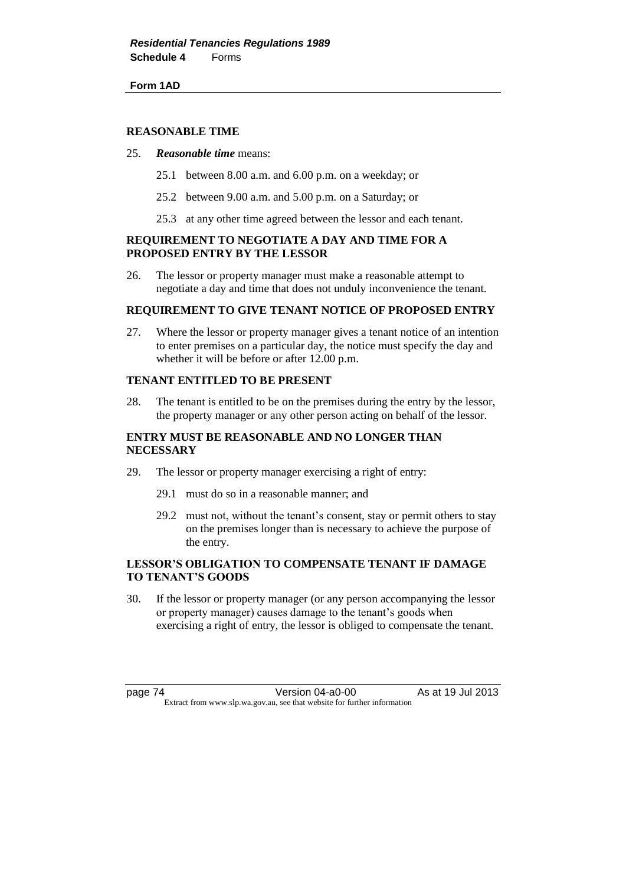**Form 1AD**

#### **REASONABLE TIME**

#### 25. *Reasonable time* means:

- 25.1 between 8.00 a.m. and 6.00 p.m. on a weekday; or
- 25.2 between 9.00 a.m. and 5.00 p.m. on a Saturday; or
- 25.3 at any other time agreed between the lessor and each tenant.

## **REQUIREMENT TO NEGOTIATE A DAY AND TIME FOR A PROPOSED ENTRY BY THE LESSOR**

26. The lessor or property manager must make a reasonable attempt to negotiate a day and time that does not unduly inconvenience the tenant.

#### **REQUIREMENT TO GIVE TENANT NOTICE OF PROPOSED ENTRY**

27. Where the lessor or property manager gives a tenant notice of an intention to enter premises on a particular day, the notice must specify the day and whether it will be before or after 12.00 p.m.

## **TENANT ENTITLED TO BE PRESENT**

28. The tenant is entitled to be on the premises during the entry by the lessor, the property manager or any other person acting on behalf of the lessor.

## **ENTRY MUST BE REASONABLE AND NO LONGER THAN NECESSARY**

- 29. The lessor or property manager exercising a right of entry:
	- 29.1 must do so in a reasonable manner; and
	- 29.2 must not, without the tenant's consent, stay or permit others to stay on the premises longer than is necessary to achieve the purpose of the entry.

## **LESSOR'S OBLIGATION TO COMPENSATE TENANT IF DAMAGE TO TENANT'S GOODS**

30. If the lessor or property manager (or any person accompanying the lessor or property manager) causes damage to the tenant's goods when exercising a right of entry, the lessor is obliged to compensate the tenant.

page 74 Version 04-a0-00 As at 19 Jul 2013 Extract from www.slp.wa.gov.au, see that website for further information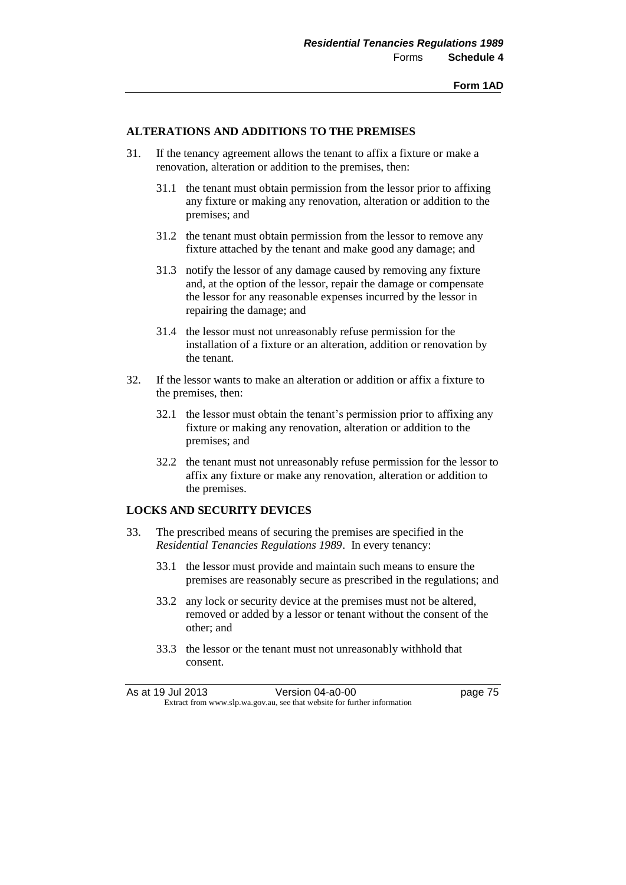#### **ALTERATIONS AND ADDITIONS TO THE PREMISES**

- 31. If the tenancy agreement allows the tenant to affix a fixture or make a renovation, alteration or addition to the premises, then:
	- 31.1 the tenant must obtain permission from the lessor prior to affixing any fixture or making any renovation, alteration or addition to the premises; and
	- 31.2 the tenant must obtain permission from the lessor to remove any fixture attached by the tenant and make good any damage; and
	- 31.3 notify the lessor of any damage caused by removing any fixture and, at the option of the lessor, repair the damage or compensate the lessor for any reasonable expenses incurred by the lessor in repairing the damage; and
	- 31.4 the lessor must not unreasonably refuse permission for the installation of a fixture or an alteration, addition or renovation by the tenant.
- 32. If the lessor wants to make an alteration or addition or affix a fixture to the premises, then:
	- 32.1 the lessor must obtain the tenant's permission prior to affixing any fixture or making any renovation, alteration or addition to the premises; and
	- 32.2 the tenant must not unreasonably refuse permission for the lessor to affix any fixture or make any renovation, alteration or addition to the premises.

## **LOCKS AND SECURITY DEVICES**

- 33. The prescribed means of securing the premises are specified in the *Residential Tenancies Regulations 1989*. In every tenancy:
	- 33.1 the lessor must provide and maintain such means to ensure the premises are reasonably secure as prescribed in the regulations; and
	- 33.2 any lock or security device at the premises must not be altered, removed or added by a lessor or tenant without the consent of the other; and
	- 33.3 the lessor or the tenant must not unreasonably withhold that consent.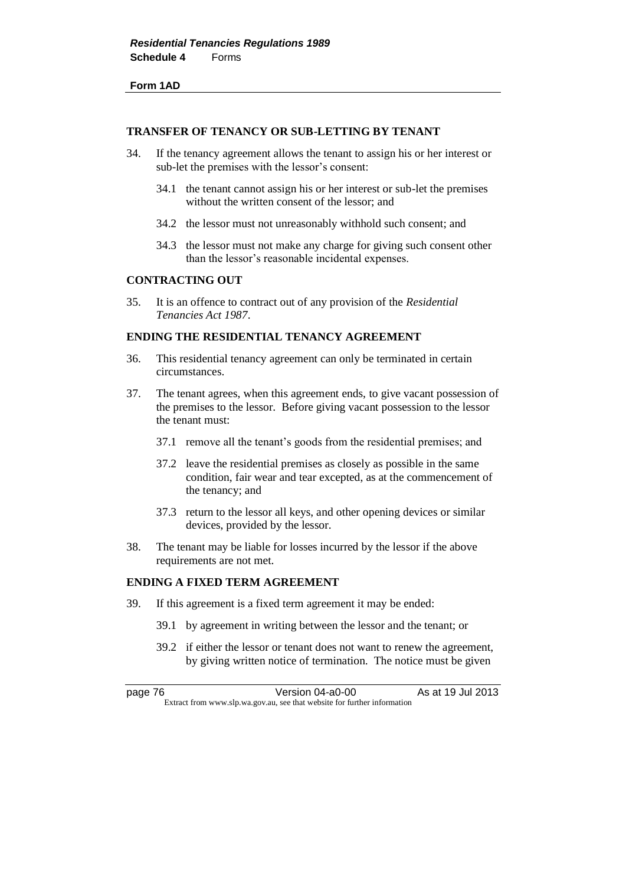#### **Form 1AD**

#### **TRANSFER OF TENANCY OR SUB-LETTING BY TENANT**

- 34. If the tenancy agreement allows the tenant to assign his or her interest or sub-let the premises with the lessor's consent:
	- 34.1 the tenant cannot assign his or her interest or sub-let the premises without the written consent of the lessor; and
	- 34.2 the lessor must not unreasonably withhold such consent; and
	- 34.3 the lessor must not make any charge for giving such consent other than the lessor's reasonable incidental expenses.

#### **CONTRACTING OUT**

35. It is an offence to contract out of any provision of the *Residential Tenancies Act 1987*.

#### **ENDING THE RESIDENTIAL TENANCY AGREEMENT**

- 36. This residential tenancy agreement can only be terminated in certain circumstances.
- 37. The tenant agrees, when this agreement ends, to give vacant possession of the premises to the lessor. Before giving vacant possession to the lessor the tenant must:
	- 37.1 remove all the tenant's goods from the residential premises; and
	- 37.2 leave the residential premises as closely as possible in the same condition, fair wear and tear excepted, as at the commencement of the tenancy; and
	- 37.3 return to the lessor all keys, and other opening devices or similar devices, provided by the lessor.
- 38. The tenant may be liable for losses incurred by the lessor if the above requirements are not met.

## **ENDING A FIXED TERM AGREEMENT**

- 39. If this agreement is a fixed term agreement it may be ended:
	- 39.1 by agreement in writing between the lessor and the tenant; or
	- 39.2 if either the lessor or tenant does not want to renew the agreement, by giving written notice of termination. The notice must be given

page 76 **Version 04-a0-00** As at 19 Jul 2013 Extract from www.slp.wa.gov.au, see that website for further information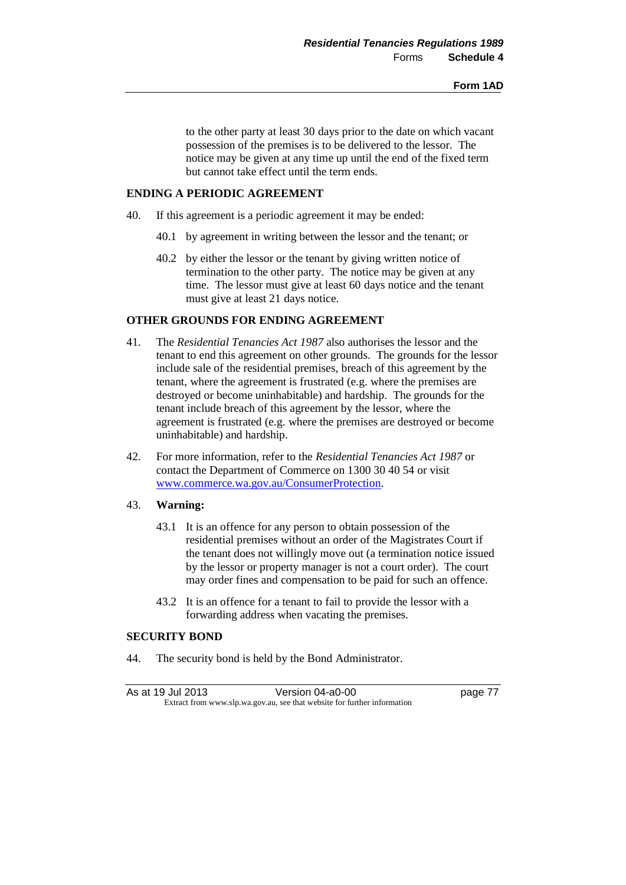to the other party at least 30 days prior to the date on which vacant possession of the premises is to be delivered to the lessor. The notice may be given at any time up until the end of the fixed term but cannot take effect until the term ends.

## **ENDING A PERIODIC AGREEMENT**

- 40. If this agreement is a periodic agreement it may be ended:
	- 40.1 by agreement in writing between the lessor and the tenant; or
	- 40.2 by either the lessor or the tenant by giving written notice of termination to the other party. The notice may be given at any time. The lessor must give at least 60 days notice and the tenant must give at least 21 days notice.

# **OTHER GROUNDS FOR ENDING AGREEMENT**

- 41. The *Residential Tenancies Act 1987* also authorises the lessor and the tenant to end this agreement on other grounds. The grounds for the lessor include sale of the residential premises, breach of this agreement by the tenant, where the agreement is frustrated (e.g. where the premises are destroyed or become uninhabitable) and hardship. The grounds for the tenant include breach of this agreement by the lessor, where the agreement is frustrated (e.g. where the premises are destroyed or become uninhabitable) and hardship.
- 42. For more information, refer to the *Residential Tenancies Act 1987* or contact the Department of Commerce on 1300 30 40 54 or visit [www.commerce.wa.gov.au/ConsumerProtection.](http://www.commerce.wa.gov.au/ConsumerProtection)

## 43. **Warning:**

- 43.1 It is an offence for any person to obtain possession of the residential premises without an order of the Magistrates Court if the tenant does not willingly move out (a termination notice issued by the lessor or property manager is not a court order). The court may order fines and compensation to be paid for such an offence.
- 43.2 It is an offence for a tenant to fail to provide the lessor with a forwarding address when vacating the premises.

#### **SECURITY BOND**

44. The security bond is held by the Bond Administrator.

As at 19 Jul 2013 Version 04-a0-00 page 77 Extract from www.slp.wa.gov.au, see that website for further information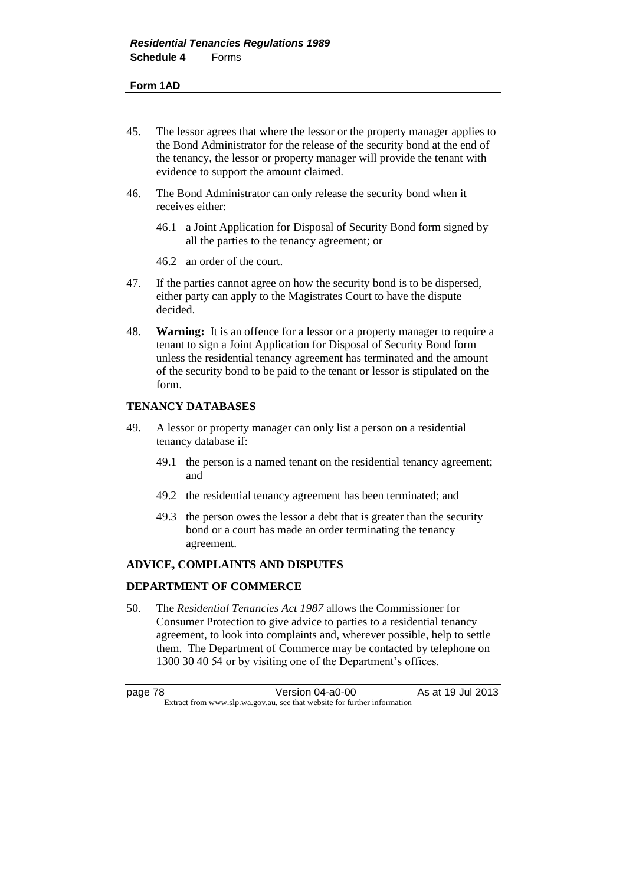#### **Form 1AD**

- 45. The lessor agrees that where the lessor or the property manager applies to the Bond Administrator for the release of the security bond at the end of the tenancy, the lessor or property manager will provide the tenant with evidence to support the amount claimed.
- 46. The Bond Administrator can only release the security bond when it receives either:
	- 46.1 a Joint Application for Disposal of Security Bond form signed by all the parties to the tenancy agreement; or
	- 46.2 an order of the court.
- 47. If the parties cannot agree on how the security bond is to be dispersed, either party can apply to the Magistrates Court to have the dispute decided.
- 48. **Warning:** It is an offence for a lessor or a property manager to require a tenant to sign a Joint Application for Disposal of Security Bond form unless the residential tenancy agreement has terminated and the amount of the security bond to be paid to the tenant or lessor is stipulated on the form.

## **TENANCY DATABASES**

- 49. A lessor or property manager can only list a person on a residential tenancy database if:
	- 49.1 the person is a named tenant on the residential tenancy agreement; and
	- 49.2 the residential tenancy agreement has been terminated; and
	- 49.3 the person owes the lessor a debt that is greater than the security bond or a court has made an order terminating the tenancy agreement.

# **ADVICE, COMPLAINTS AND DISPUTES**

## **DEPARTMENT OF COMMERCE**

50. The *Residential Tenancies Act 1987* allows the Commissioner for Consumer Protection to give advice to parties to a residential tenancy agreement, to look into complaints and, wherever possible, help to settle them. The Department of Commerce may be contacted by telephone on 1300 30 40 54 or by visiting one of the Department's offices.

page 78 **Version 04-a0-00** As at 19 Jul 2013 Extract from www.slp.wa.gov.au, see that website for further information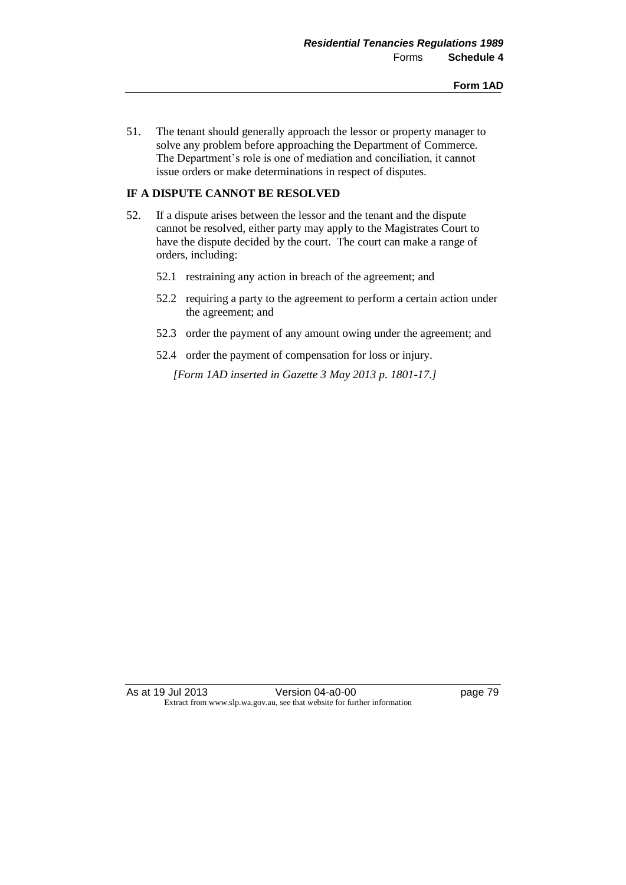51. The tenant should generally approach the lessor or property manager to solve any problem before approaching the Department of Commerce. The Department's role is one of mediation and conciliation, it cannot issue orders or make determinations in respect of disputes.

# **IF A DISPUTE CANNOT BE RESOLVED**

- 52. If a dispute arises between the lessor and the tenant and the dispute cannot be resolved, either party may apply to the Magistrates Court to have the dispute decided by the court. The court can make a range of orders, including:
	- 52.1 restraining any action in breach of the agreement; and
	- 52.2 requiring a party to the agreement to perform a certain action under the agreement; and
	- 52.3 order the payment of any amount owing under the agreement; and
	- 52.4 order the payment of compensation for loss or injury.

*[Form 1AD inserted in Gazette 3 May 2013 p. 1801-17.]*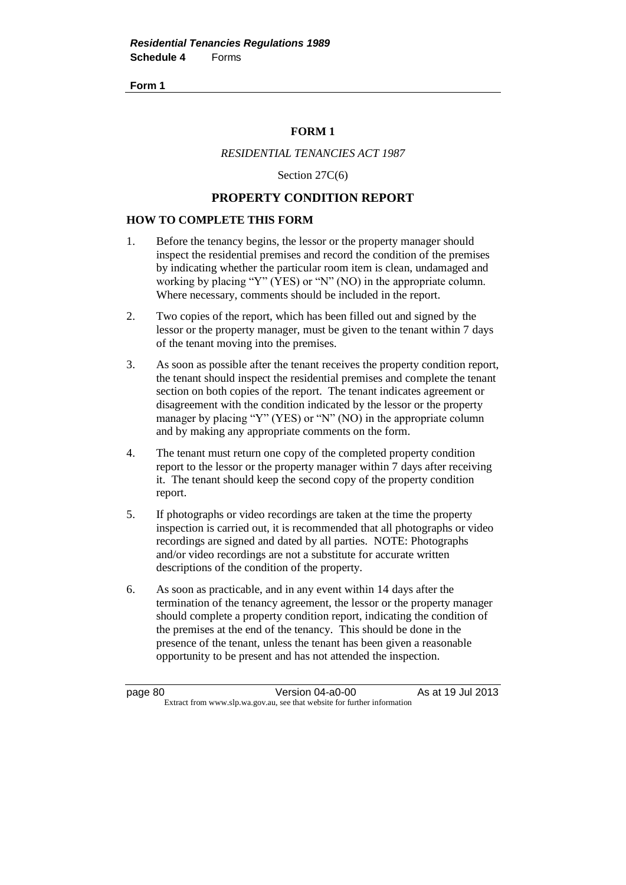## **FORM 1**

# *RESIDENTIAL TENANCIES ACT 1987*

Section 27C(6)

## **PROPERTY CONDITION REPORT**

## **HOW TO COMPLETE THIS FORM**

- 1. Before the tenancy begins, the lessor or the property manager should inspect the residential premises and record the condition of the premises by indicating whether the particular room item is clean, undamaged and working by placing "Y" (YES) or "N" (NO) in the appropriate column. Where necessary, comments should be included in the report.
- 2. Two copies of the report, which has been filled out and signed by the lessor or the property manager, must be given to the tenant within 7 days of the tenant moving into the premises.
- 3. As soon as possible after the tenant receives the property condition report, the tenant should inspect the residential premises and complete the tenant section on both copies of the report. The tenant indicates agreement or disagreement with the condition indicated by the lessor or the property manager by placing "Y" (YES) or "N" (NO) in the appropriate column and by making any appropriate comments on the form.
- 4. The tenant must return one copy of the completed property condition report to the lessor or the property manager within 7 days after receiving it. The tenant should keep the second copy of the property condition report.
- 5. If photographs or video recordings are taken at the time the property inspection is carried out, it is recommended that all photographs or video recordings are signed and dated by all parties. NOTE: Photographs and/or video recordings are not a substitute for accurate written descriptions of the condition of the property.
- 6. As soon as practicable, and in any event within 14 days after the termination of the tenancy agreement, the lessor or the property manager should complete a property condition report, indicating the condition of the premises at the end of the tenancy. This should be done in the presence of the tenant, unless the tenant has been given a reasonable opportunity to be present and has not attended the inspection.

page 80 Version 04-a0-00 As at 19 Jul 2013 Extract from www.slp.wa.gov.au, see that website for further information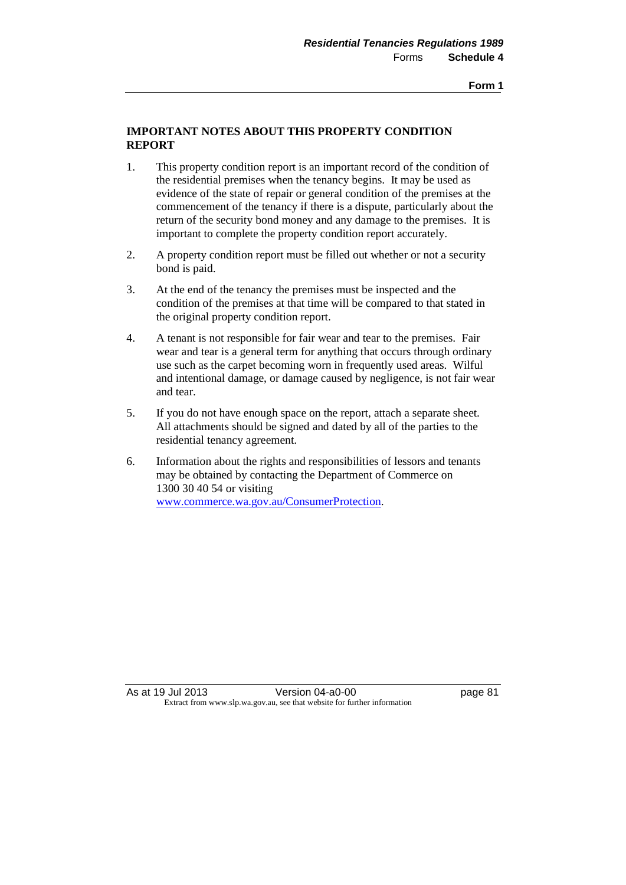## **IMPORTANT NOTES ABOUT THIS PROPERTY CONDITION REPORT**

- 1. This property condition report is an important record of the condition of the residential premises when the tenancy begins. It may be used as evidence of the state of repair or general condition of the premises at the commencement of the tenancy if there is a dispute, particularly about the return of the security bond money and any damage to the premises. It is important to complete the property condition report accurately.
- 2. A property condition report must be filled out whether or not a security bond is paid.
- 3. At the end of the tenancy the premises must be inspected and the condition of the premises at that time will be compared to that stated in the original property condition report.
- 4. A tenant is not responsible for fair wear and tear to the premises.Fair wear and tear is a general term for anything that occurs through ordinary use such as the carpet becoming worn in frequently used areas. Wilful and intentional damage, or damage caused by negligence, is not fair wear and tear.
- 5. If you do not have enough space on the report, attach a separate sheet. All attachments should be signed and dated by all of the parties to the residential tenancy agreement.
- 6. Information about the rights and responsibilities of lessors and tenants may be obtained by contacting the Department of Commerce on 1300 30 40 54 or visiting [www.commerce.wa.gov.au/ConsumerProtection.](http://www.commerce.wa.gov.au/ConsumerProtection)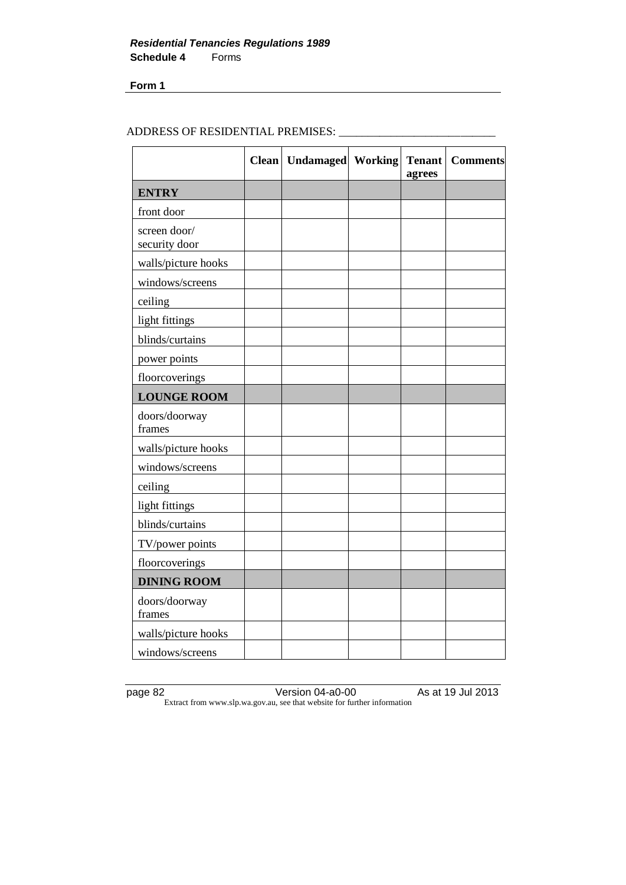# ADDRESS OF RESIDENTIAL PREMISES: \_\_\_\_\_\_\_\_\_\_\_\_\_\_\_\_\_\_\_\_\_\_\_\_\_\_\_

|                               | <b>Clean</b> | Undamaged Working | <b>Tenant</b><br>agrees | <b>Comments</b> |
|-------------------------------|--------------|-------------------|-------------------------|-----------------|
| <b>ENTRY</b>                  |              |                   |                         |                 |
| front door                    |              |                   |                         |                 |
| screen door/<br>security door |              |                   |                         |                 |
| walls/picture hooks           |              |                   |                         |                 |
| windows/screens               |              |                   |                         |                 |
| ceiling                       |              |                   |                         |                 |
| light fittings                |              |                   |                         |                 |
| blinds/curtains               |              |                   |                         |                 |
| power points                  |              |                   |                         |                 |
| floorcoverings                |              |                   |                         |                 |
| <b>LOUNGE ROOM</b>            |              |                   |                         |                 |
| doors/doorway<br>frames       |              |                   |                         |                 |
| walls/picture hooks           |              |                   |                         |                 |
| windows/screens               |              |                   |                         |                 |
| ceiling                       |              |                   |                         |                 |
| light fittings                |              |                   |                         |                 |
| blinds/curtains               |              |                   |                         |                 |
| TV/power points               |              |                   |                         |                 |
| floorcoverings                |              |                   |                         |                 |
| <b>DINING ROOM</b>            |              |                   |                         |                 |
| doors/doorway<br>frames       |              |                   |                         |                 |
| walls/picture hooks           |              |                   |                         |                 |
| windows/screens               |              |                   |                         |                 |

page 82 Version 04-a0-00 As at 19 Jul 2013 Extract from www.slp.wa.gov.au, see that website for further information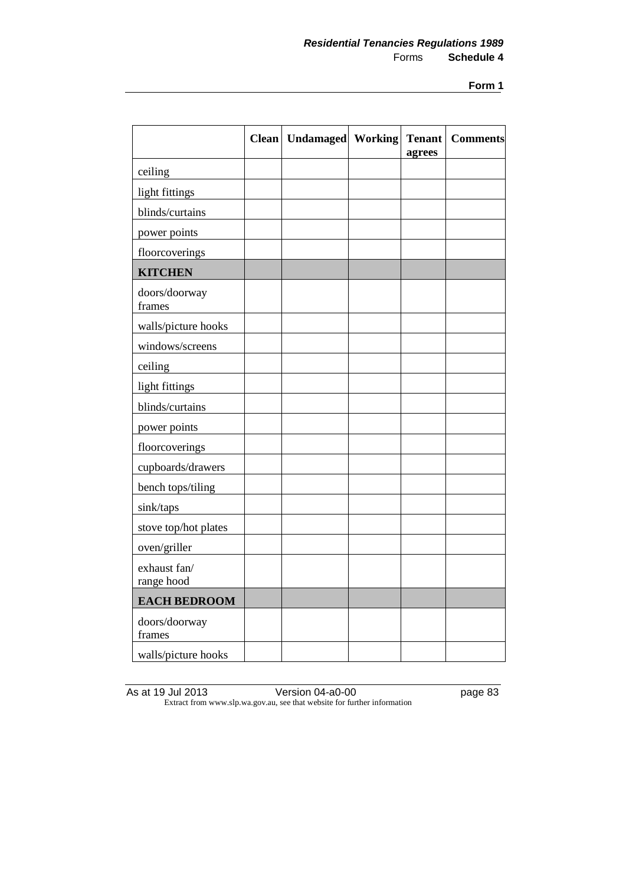|                            | <b>Clean</b> | <b>Undamaged</b> Working | <b>Tenant</b><br>agrees | <b>Comments</b> |
|----------------------------|--------------|--------------------------|-------------------------|-----------------|
| ceiling                    |              |                          |                         |                 |
| light fittings             |              |                          |                         |                 |
| blinds/curtains            |              |                          |                         |                 |
| power points               |              |                          |                         |                 |
| floorcoverings             |              |                          |                         |                 |
| <b>KITCHEN</b>             |              |                          |                         |                 |
| doors/doorway<br>frames    |              |                          |                         |                 |
| walls/picture hooks        |              |                          |                         |                 |
| windows/screens            |              |                          |                         |                 |
| ceiling                    |              |                          |                         |                 |
| light fittings             |              |                          |                         |                 |
| blinds/curtains            |              |                          |                         |                 |
| power points               |              |                          |                         |                 |
| floorcoverings             |              |                          |                         |                 |
| cupboards/drawers          |              |                          |                         |                 |
| bench tops/tiling          |              |                          |                         |                 |
| sink/taps                  |              |                          |                         |                 |
| stove top/hot plates       |              |                          |                         |                 |
| oven/griller               |              |                          |                         |                 |
| exhaust fan/<br>range hood |              |                          |                         |                 |
| <b>EACH BEDROOM</b>        |              |                          |                         |                 |
| doors/doorway<br>frames    |              |                          |                         |                 |
| walls/picture hooks        |              |                          |                         |                 |

As at 19 Jul 2013 Version 04-a0-00 page 83 Extract from www.slp.wa.gov.au, see that website for further information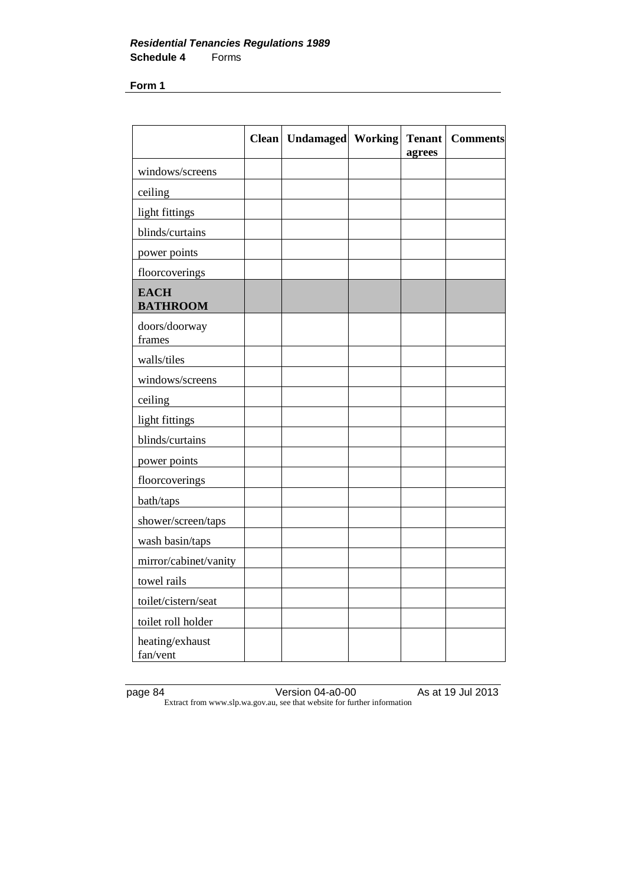|                                | <b>Clean</b> | <b>Undamaged</b> Working | <b>Tenant</b><br>agrees | <b>Comments</b> |
|--------------------------------|--------------|--------------------------|-------------------------|-----------------|
| windows/screens                |              |                          |                         |                 |
| ceiling                        |              |                          |                         |                 |
| light fittings                 |              |                          |                         |                 |
| blinds/curtains                |              |                          |                         |                 |
| power points                   |              |                          |                         |                 |
| floorcoverings                 |              |                          |                         |                 |
| <b>EACH</b><br><b>BATHROOM</b> |              |                          |                         |                 |
| doors/doorway<br>frames        |              |                          |                         |                 |
| walls/tiles                    |              |                          |                         |                 |
| windows/screens                |              |                          |                         |                 |
| ceiling                        |              |                          |                         |                 |
| light fittings                 |              |                          |                         |                 |
| blinds/curtains                |              |                          |                         |                 |
| power points                   |              |                          |                         |                 |
| floorcoverings                 |              |                          |                         |                 |
| bath/taps                      |              |                          |                         |                 |
| shower/screen/taps             |              |                          |                         |                 |
| wash basin/taps                |              |                          |                         |                 |
| mirror/cabinet/vanity          |              |                          |                         |                 |
| towel rails                    |              |                          |                         |                 |
| toilet/cistern/seat            |              |                          |                         |                 |
| toilet roll holder             |              |                          |                         |                 |
| heating/exhaust<br>fan/vent    |              |                          |                         |                 |

page 84 Version 04-a0-00 As at 19 Jul 2013 Extract from www.slp.wa.gov.au, see that website for further information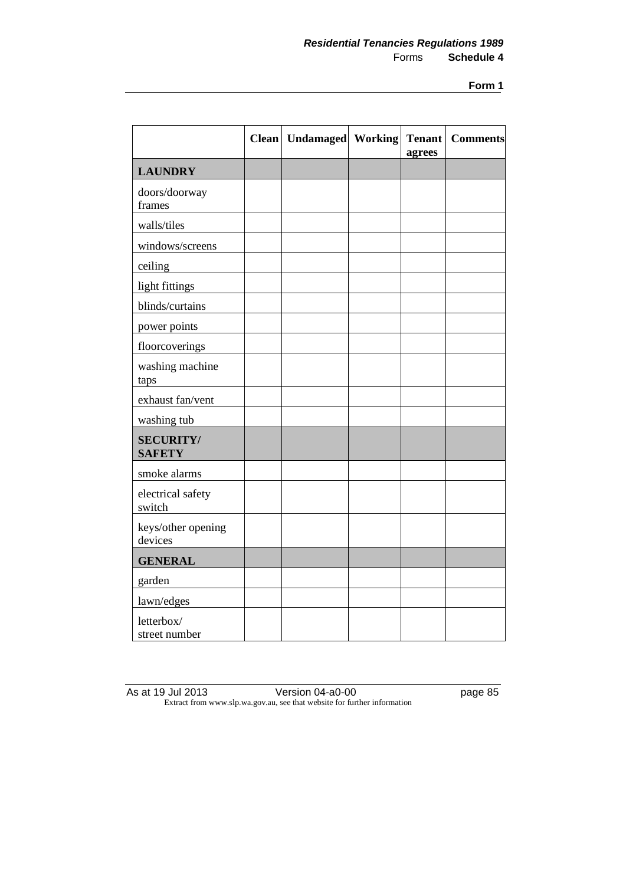|                                   | <b>Clean</b> | Undamaged Working | <b>Tenant</b><br>agrees | <b>Comments</b> |
|-----------------------------------|--------------|-------------------|-------------------------|-----------------|
| <b>LAUNDRY</b>                    |              |                   |                         |                 |
| doors/doorway<br>frames           |              |                   |                         |                 |
| walls/tiles                       |              |                   |                         |                 |
| windows/screens                   |              |                   |                         |                 |
| ceiling                           |              |                   |                         |                 |
| light fittings                    |              |                   |                         |                 |
| blinds/curtains                   |              |                   |                         |                 |
| power points                      |              |                   |                         |                 |
| floorcoverings                    |              |                   |                         |                 |
| washing machine<br>taps           |              |                   |                         |                 |
| exhaust fan/vent                  |              |                   |                         |                 |
| washing tub                       |              |                   |                         |                 |
| <b>SECURITY/</b><br><b>SAFETY</b> |              |                   |                         |                 |
| smoke alarms                      |              |                   |                         |                 |
| electrical safety<br>switch       |              |                   |                         |                 |
| keys/other opening<br>devices     |              |                   |                         |                 |
| <b>GENERAL</b>                    |              |                   |                         |                 |
| garden                            |              |                   |                         |                 |
| lawn/edges                        |              |                   |                         |                 |
| letterbox/<br>street number       |              |                   |                         |                 |

As at 19 Jul 2013 Version 04-a0-00 page 85 Extract from www.slp.wa.gov.au, see that website for further information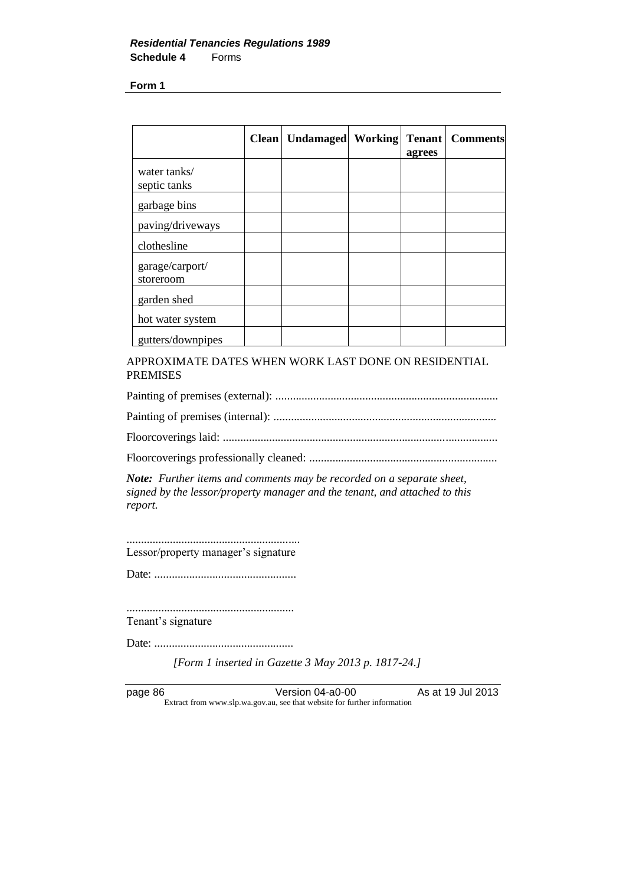|                              | <b>Clean</b> | <b>Undamaged</b> | <b>Working</b> | <b>Tenant</b><br>agrees | <b>Comments</b> |
|------------------------------|--------------|------------------|----------------|-------------------------|-----------------|
| water tanks/<br>septic tanks |              |                  |                |                         |                 |
| garbage bins                 |              |                  |                |                         |                 |
| paving/driveways             |              |                  |                |                         |                 |
| clothesline                  |              |                  |                |                         |                 |
| garage/carport/<br>storeroom |              |                  |                |                         |                 |
| garden shed                  |              |                  |                |                         |                 |
| hot water system             |              |                  |                |                         |                 |
| gutters/downpipes            |              |                  |                |                         |                 |

APPROXIMATE DATES WHEN WORK LAST DONE ON RESIDENTIAL PREMISES

Painting of premises (external): ............................................................................. Painting of premises (internal): ............................................................................. Floorcoverings laid: ...............................................................................................

Floorcoverings professionally cleaned: .................................................................

*Note: Further items and comments may be recorded on a separate sheet, signed by the lessor/property manager and the tenant, and attached to this report.*

............................................................ Lessor/property manager's signature

Date: .................................................

.......................................................... Tenant's signature

Date: ................................................

*[Form 1 inserted in Gazette 3 May 2013 p. 1817-24.]*

page 86 Version 04-a0-00 As at 19 Jul 2013 Extract from www.slp.wa.gov.au, see that website for further information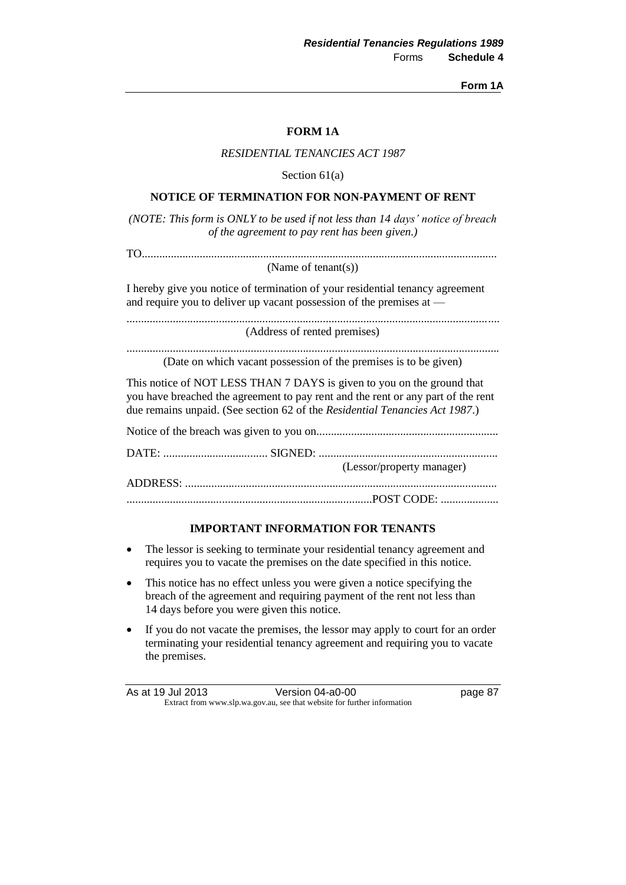**Form 1A**

| RESIDENTIAL TENANCIES ACT 1987                                                                                                                                                                                                            |
|-------------------------------------------------------------------------------------------------------------------------------------------------------------------------------------------------------------------------------------------|
| Section $61(a)$                                                                                                                                                                                                                           |
| NOTICE OF TERMINATION FOR NON-PAYMENT OF RENT                                                                                                                                                                                             |
| (NOTE: This form is ONLY to be used if not less than 14 days' notice of breach<br>of the agreement to pay rent has been given.)                                                                                                           |
|                                                                                                                                                                                                                                           |
| (Name of tenant(s))                                                                                                                                                                                                                       |
| I hereby give you notice of termination of your residential tenancy agreement<br>and require you to deliver up vacant possession of the premises at —                                                                                     |
| (Address of rented premises)                                                                                                                                                                                                              |
| (Date on which vacant possession of the premises is to be given)                                                                                                                                                                          |
| This notice of NOT LESS THAN 7 DAYS is given to you on the ground that<br>you have breached the agreement to pay rent and the rent or any part of the rent<br>due remains unpaid. (See section 62 of the Residential Tenancies Act 1987.) |
|                                                                                                                                                                                                                                           |
| (Lessor/property manager)                                                                                                                                                                                                                 |
|                                                                                                                                                                                                                                           |
|                                                                                                                                                                                                                                           |
| <b>IMPORTANT INFORMATION FOR TENANTS</b>                                                                                                                                                                                                  |
| The lessor is seeking to terminate your residential tenancy agreement and<br>$\bullet$<br>requires you to vacate the premises on the date specified in this notice.                                                                       |
| This notice has no effect unless you were given a notice specifying the                                                                                                                                                                   |

**FORM 1A**

- breach of the agreement and requiring payment of the rent not less than 14 days before you were given this notice.
- If you do not vacate the premises, the lessor may apply to court for an order terminating your residential tenancy agreement and requiring you to vacate the premises.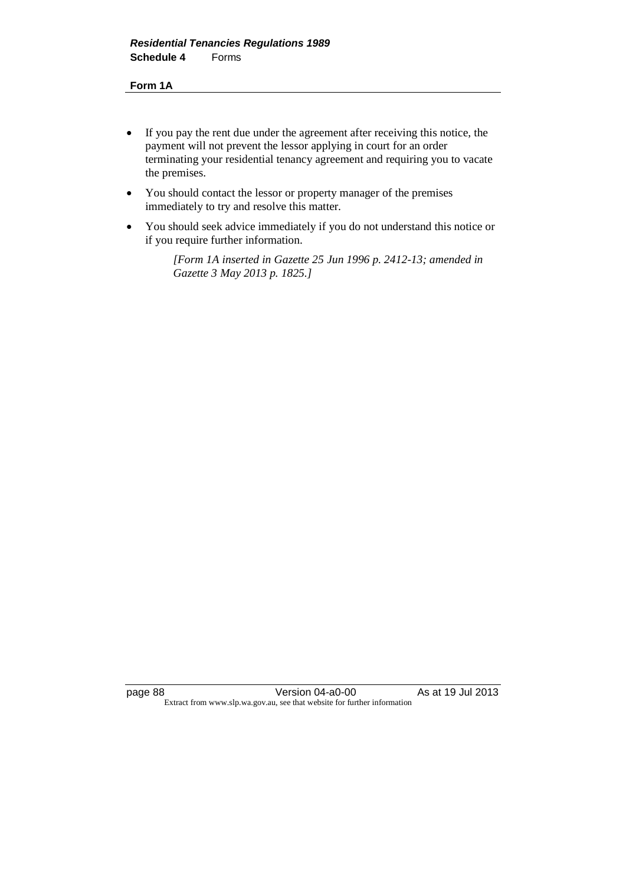#### **Form 1A**

- If you pay the rent due under the agreement after receiving this notice, the payment will not prevent the lessor applying in court for an order terminating your residential tenancy agreement and requiring you to vacate the premises.
- You should contact the lessor or property manager of the premises immediately to try and resolve this matter.
- You should seek advice immediately if you do not understand this notice or if you require further information.

*[Form 1A inserted in Gazette 25 Jun 1996 p. 2412-13; amended in Gazette 3 May 2013 p. 1825.]*

page 88 Version 04-a0-00 As at 19 Jul 2013 Extract from www.slp.wa.gov.au, see that website for further information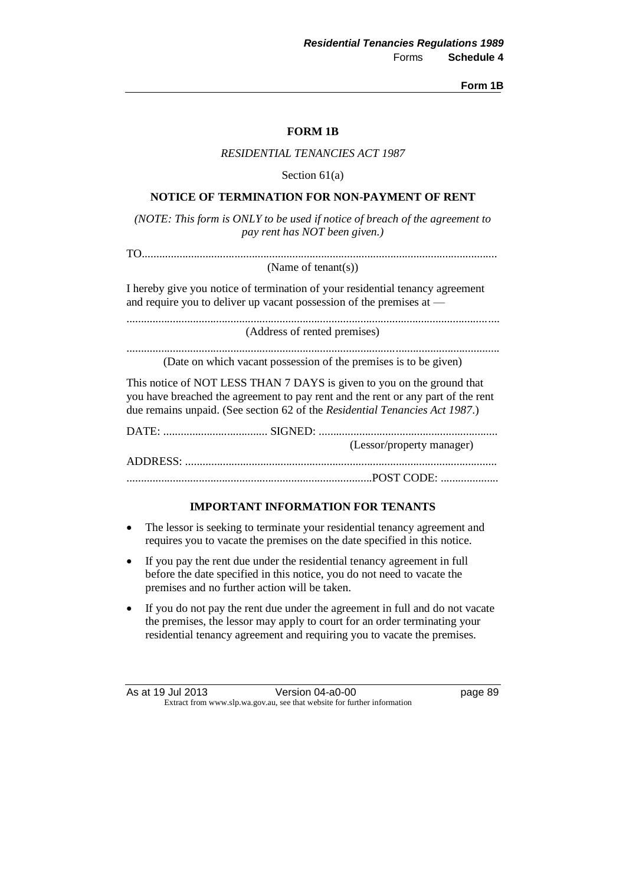**Form 1B**

| <b>FORM 1B</b>                                                                                                                                                                                                                            |
|-------------------------------------------------------------------------------------------------------------------------------------------------------------------------------------------------------------------------------------------|
| <b>RESIDENTIAL TENANCIES ACT 1987</b>                                                                                                                                                                                                     |
| Section $61(a)$                                                                                                                                                                                                                           |
| NOTICE OF TERMINATION FOR NON-PAYMENT OF RENT                                                                                                                                                                                             |
| (NOTE: This form is ONLY to be used if notice of breach of the agreement to<br>pay rent has NOT been given.)                                                                                                                              |
| (Name of tenant(s))                                                                                                                                                                                                                       |
| I hereby give you notice of termination of your residential tenancy agreement<br>and require you to deliver up vacant possession of the premises at —                                                                                     |
| (Address of rented premises)                                                                                                                                                                                                              |
| (Date on which vacant possession of the premises is to be given)                                                                                                                                                                          |
| This notice of NOT LESS THAN 7 DAYS is given to you on the ground that<br>you have breached the agreement to pay rent and the rent or any part of the rent<br>due remains unpaid. (See section 62 of the Residential Tenancies Act 1987.) |
|                                                                                                                                                                                                                                           |
| (Lessor/property manager)                                                                                                                                                                                                                 |
|                                                                                                                                                                                                                                           |
| <b>IMPORTANT INFORMATION FOR TENANTS</b>                                                                                                                                                                                                  |

- The lessor is seeking to terminate your residential tenancy agreement and requires you to vacate the premises on the date specified in this notice.
- If you pay the rent due under the residential tenancy agreement in full before the date specified in this notice, you do not need to vacate the premises and no further action will be taken.
- If you do not pay the rent due under the agreement in full and do not vacate the premises, the lessor may apply to court for an order terminating your residential tenancy agreement and requiring you to vacate the premises.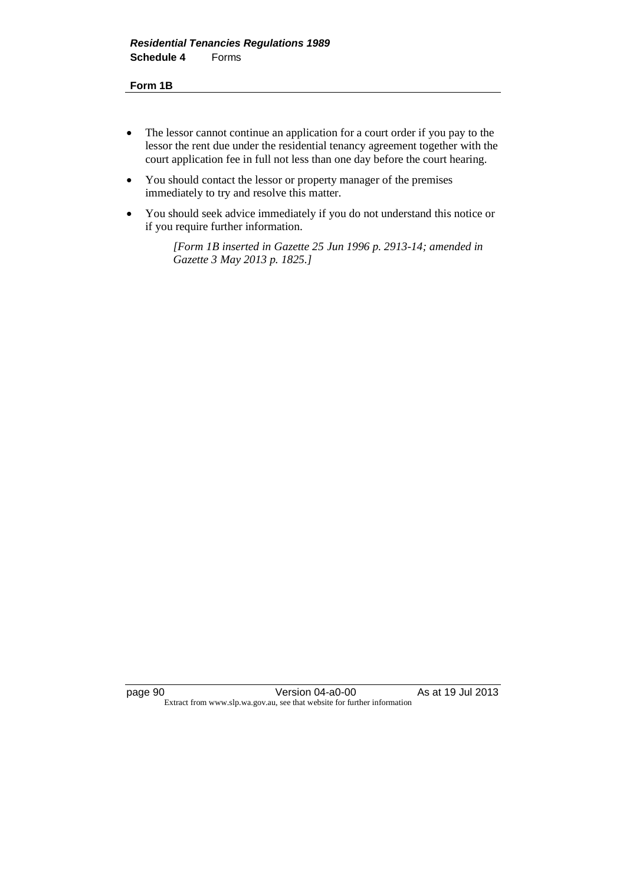#### **Form 1B**

- The lessor cannot continue an application for a court order if you pay to the lessor the rent due under the residential tenancy agreement together with the court application fee in full not less than one day before the court hearing.
- You should contact the lessor or property manager of the premises immediately to try and resolve this matter.
- You should seek advice immediately if you do not understand this notice or if you require further information.

*[Form 1B inserted in Gazette 25 Jun 1996 p. 2913-14; amended in Gazette 3 May 2013 p. 1825.]*

page 90 Version 04-a0-00 As at 19 Jul 2013 Extract from www.slp.wa.gov.au, see that website for further information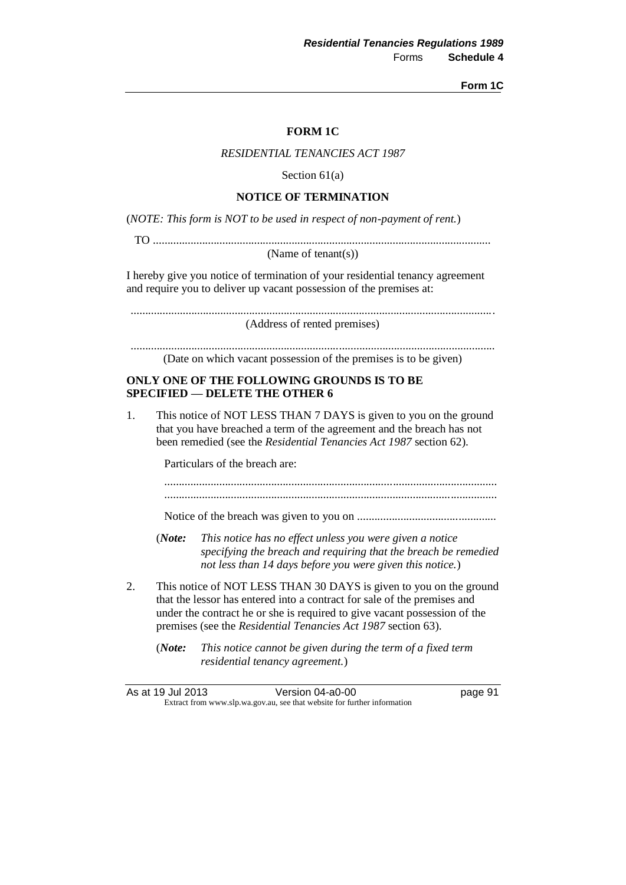**Form 1C**

## **FORM 1C**

#### *RESIDENTIAL TENANCIES ACT 1987*

Section 61(a)

### **NOTICE OF TERMINATION**

(*NOTE: This form is NOT to be used in respect of non-payment of rent.*)

TO .....................................................................................................................

(Name of tenant(s))

I hereby give you notice of termination of your residential tenancy agreement and require you to deliver up vacant possession of the premises at:

.............................................................................................................................. (Address of rented premises)

..............................................................................................................................

(Date on which vacant possession of the premises is to be given)

#### **ONLY ONE OF THE FOLLOWING GROUNDS IS TO BE SPECIFIED — DELETE THE OTHER 6**

1. This notice of NOT LESS THAN 7 DAYS is given to you on the ground that you have breached a term of the agreement and the breach has not been remedied (see the *Residential Tenancies Act 1987* section 62).

Particulars of the breach are:

................................................................................................................... ...................................................................................................................

Notice of the breach was given to you on ................................................

- (*Note: This notice has no effect unless you were given a notice specifying the breach and requiring that the breach be remedied not less than 14 days before you were given this notice.*)
- 2. This notice of NOT LESS THAN 30 DAYS is given to you on the ground that the lessor has entered into a contract for sale of the premises and under the contract he or she is required to give vacant possession of the premises (see the *Residential Tenancies Act 1987* section 63).

(*Note: This notice cannot be given during the term of a fixed term residential tenancy agreement.*)

| As at 19 Jul 2013 | Version 04-a0-00                                                         | page 91 |
|-------------------|--------------------------------------------------------------------------|---------|
|                   | Extract from www.slp.wa.gov.au, see that website for further information |         |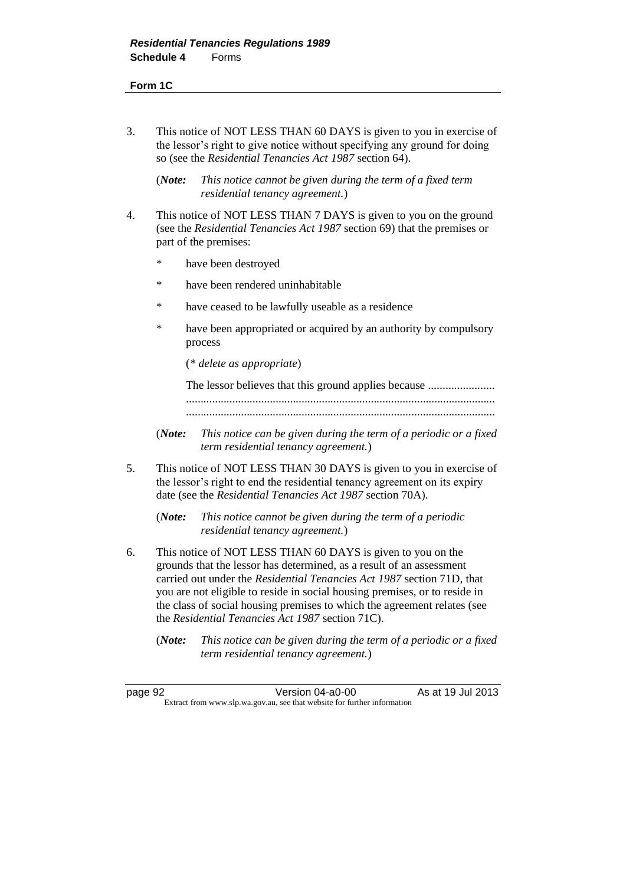## **Form 1C**

3. This notice of NOT LESS THAN 60 DAYS is given to you in exercise of the lessor's right to give notice without specifying any ground for doing so (see the *Residential Tenancies Act 1987* section 64).

(*Note: This notice cannot be given during the term of a fixed term residential tenancy agreement.*)

- 4. This notice of NOT LESS THAN 7 DAYS is given to you on the ground (see the *Residential Tenancies Act 1987* section 69) that the premises or part of the premises:
	- \* have been destroyed
	- \* have been rendered uninhabitable
	- \* have ceased to be lawfully useable as a residence
	- \* have been appropriated or acquired by an authority by compulsory process

(*\* delete as appropriate*)

The lessor believes that this ground applies because ....................... ........................................................................................................... ...........................................................................................................

- (*Note: This notice can be given during the term of a periodic or a fixed term residential tenancy agreement.*)
- 5. This notice of NOT LESS THAN 30 DAYS is given to you in exercise of the lessor's right to end the residential tenancy agreement on its expiry date (see the *Residential Tenancies Act 1987* section 70A).

(*Note: This notice cannot be given during the term of a periodic residential tenancy agreement.*)

- 6. This notice of NOT LESS THAN 60 DAYS is given to you on the grounds that the lessor has determined, as a result of an assessment carried out under the *Residential Tenancies Act 1987* section 71D, that you are not eligible to reside in social housing premises, or to reside in the class of social housing premises to which the agreement relates (see the *Residential Tenancies Act 1987* section 71C).
	- (*Note: This notice can be given during the term of a periodic or a fixed term residential tenancy agreement.*)

page 92 Version 04-a0-00 As at 19 Jul 2013 Extract from www.slp.wa.gov.au, see that website for further information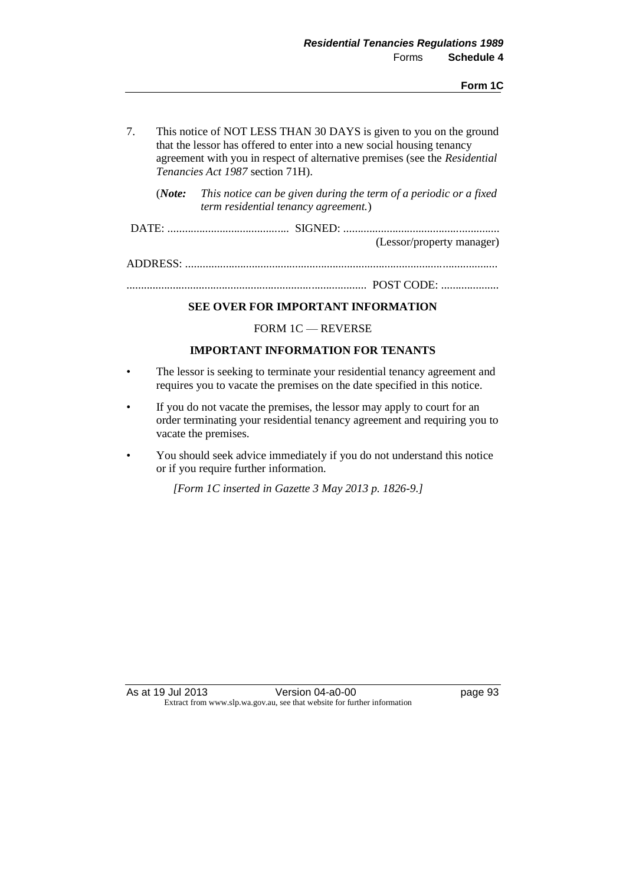- 7. This notice of NOT LESS THAN 30 DAYS is given to you on the ground that the lessor has offered to enter into a new social housing tenancy agreement with you in respect of alternative premises (see the *Residential Tenancies Act 1987* section 71H).
	- (*Note: This notice can be given during the term of a periodic or a fixed term residential tenancy agreement.*)
- DATE: .......................................... SIGNED: ...................................................... (Lessor/property manager)

ADDRESS: ............................................................................................................

................................................................................... POST CODE: ....................

## **SEE OVER FOR IMPORTANT INFORMATION**

FORM 1C — REVERSE

## **IMPORTANT INFORMATION FOR TENANTS**

- The lessor is seeking to terminate your residential tenancy agreement and requires you to vacate the premises on the date specified in this notice.
- If you do not vacate the premises, the lessor may apply to court for an order terminating your residential tenancy agreement and requiring you to vacate the premises.
- You should seek advice immediately if you do not understand this notice or if you require further information.

*[Form 1C inserted in Gazette 3 May 2013 p. 1826-9.]*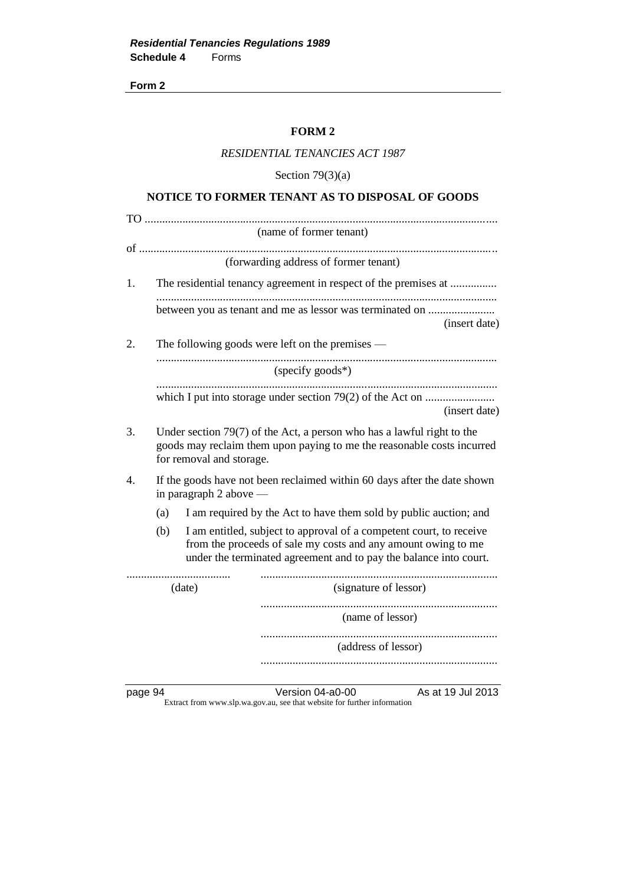#### **FORM 2**

## *RESIDENTIAL TENANCIES ACT 1987*

Section  $79(3)(a)$ 

## **NOTICE TO FORMER TENANT AS TO DISPOSAL OF GOODS**

|    |     |                          | (name of former tenant)                                                                                                                                                                                   |
|----|-----|--------------------------|-----------------------------------------------------------------------------------------------------------------------------------------------------------------------------------------------------------|
|    |     |                          | (forwarding address of former tenant)                                                                                                                                                                     |
| 1. |     |                          | The residential tenancy agreement in respect of the premises at                                                                                                                                           |
|    |     |                          | between you as tenant and me as lessor was terminated on<br>(insert date)                                                                                                                                 |
| 2. |     |                          | The following goods were left on the premises $-$                                                                                                                                                         |
|    |     |                          | (specify goods*)                                                                                                                                                                                          |
|    |     |                          | <br>(insert date)                                                                                                                                                                                         |
| 3. |     | for removal and storage. | Under section $79(7)$ of the Act, a person who has a lawful right to the<br>goods may reclaim them upon paying to me the reasonable costs incurred                                                        |
| 4. |     | in paragraph 2 above $-$ | If the goods have not been reclaimed within 60 days after the date shown                                                                                                                                  |
|    | (a) |                          | I am required by the Act to have them sold by public auction; and                                                                                                                                         |
|    | (b) |                          | I am entitled, subject to approval of a competent court, to receive<br>from the proceeds of sale my costs and any amount owing to me<br>under the terminated agreement and to pay the balance into court. |
|    |     | (date)                   | (signature of lessor)                                                                                                                                                                                     |
|    |     |                          | <br>(name of lessor)                                                                                                                                                                                      |
|    |     |                          | (address of lessor)                                                                                                                                                                                       |
|    |     |                          |                                                                                                                                                                                                           |

page 94 Version 04-a0-00 As at 19 Jul 2013 Extract from www.slp.wa.gov.au, see that website for further information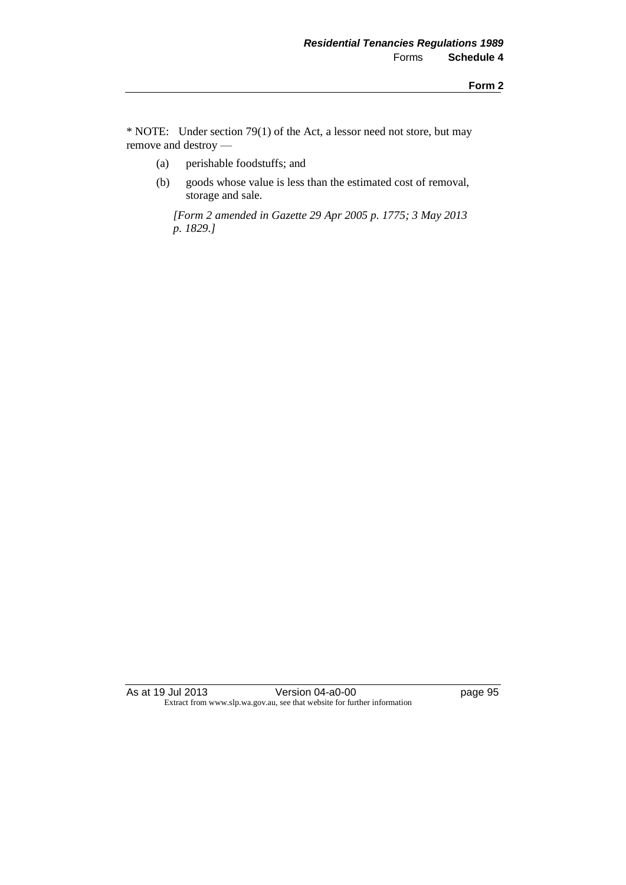\* NOTE: Under section 79(1) of the Act, a lessor need not store, but may remove and destroy —

- (a) perishable foodstuffs; and
- (b) goods whose value is less than the estimated cost of removal, storage and sale.

*[Form 2 amended in Gazette 29 Apr 2005 p. 1775; 3 May 2013 p. 1829.]*

As at 19 Jul 2013 Version 04-a0-00 page 95 Extract from www.slp.wa.gov.au, see that website for further information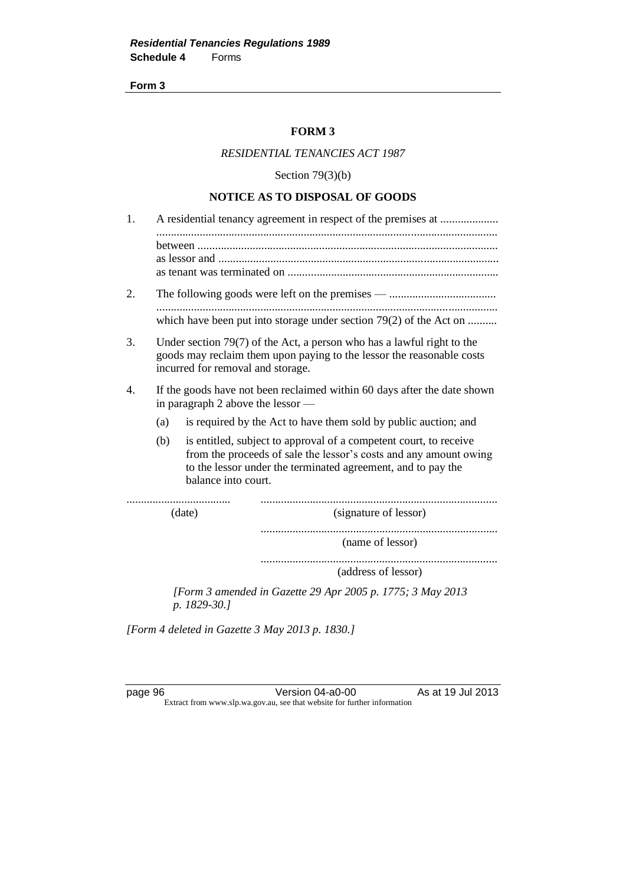#### **FORM 3**

## *RESIDENTIAL TENANCIES ACT 1987*

Section  $79(3)(b)$ 

## **NOTICE AS TO DISPOSAL OF GOODS**

| 1. |                                                                                                                                                                                                                                      |  |  |  |
|----|--------------------------------------------------------------------------------------------------------------------------------------------------------------------------------------------------------------------------------------|--|--|--|
|    |                                                                                                                                                                                                                                      |  |  |  |
| 2. |                                                                                                                                                                                                                                      |  |  |  |
|    | which have been put into storage under section $79(2)$ of the Act on                                                                                                                                                                 |  |  |  |
| 3. | Under section $79(7)$ of the Act, a person who has a lawful right to the<br>goods may reclaim them upon paying to the lessor the reasonable costs<br>incurred for removal and storage.                                               |  |  |  |
| 4. | If the goods have not been reclaimed within 60 days after the date shown<br>in paragraph 2 above the lessor —                                                                                                                        |  |  |  |
|    | is required by the Act to have them sold by public auction; and<br>(a)                                                                                                                                                               |  |  |  |
|    | (b)<br>is entitled, subject to approval of a competent court, to receive<br>from the proceeds of sale the lessor's costs and any amount owing<br>to the lessor under the terminated agreement, and to pay the<br>balance into court. |  |  |  |
|    | (date)<br>(signature of lessor)                                                                                                                                                                                                      |  |  |  |
|    | (name of lessor)                                                                                                                                                                                                                     |  |  |  |
|    | (address of lessor)                                                                                                                                                                                                                  |  |  |  |
|    | [Form 3 amended in Gazette 29 Apr 2005 p. 1775; 3 May 2013<br>p. 1829-30.]                                                                                                                                                           |  |  |  |

*[Form 4 deleted in Gazette 3 May 2013 p. 1830.]*

page 96 **Version 04-a0-00** As at 19 Jul 2013 Extract from www.slp.wa.gov.au, see that website for further information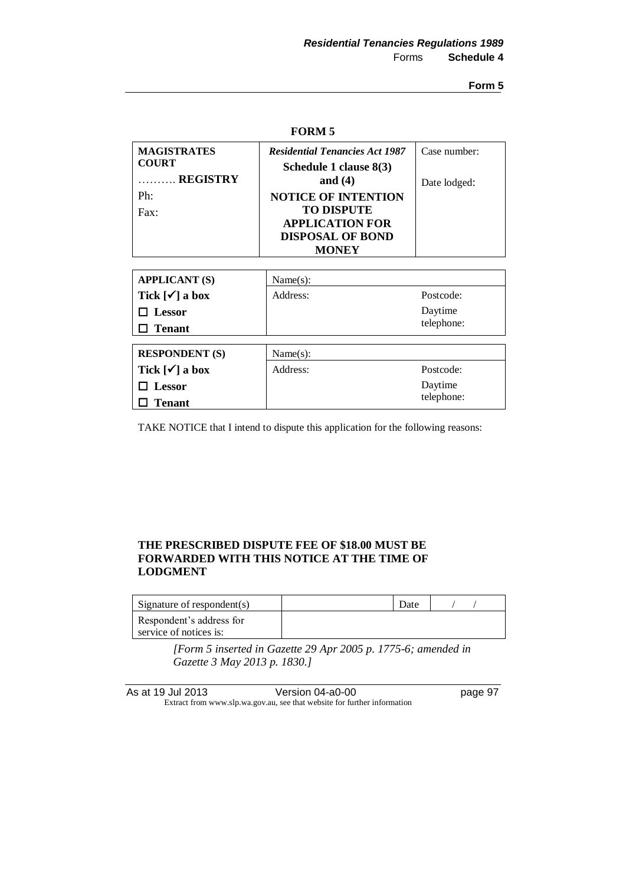| <b>FORM 5</b>                                  |                                                                                                                      |              |  |
|------------------------------------------------|----------------------------------------------------------------------------------------------------------------------|--------------|--|
| <b>MAGISTRATES</b><br><b>COURT</b><br>REGISTRY | <b>Residential Tenancies Act 1987</b><br>Schedule 1 clause 8(3)<br>and $(4)$                                         | Case number: |  |
| Ph:<br>Fax:                                    | <b>NOTICE OF INTENTION</b><br><b>TO DISPUTE</b><br><b>APPLICATION FOR</b><br><b>DISPOSAL OF BOND</b><br><b>MONEY</b> | Date lodged: |  |
|                                                |                                                                                                                      |              |  |
| <b>APPLICANT (S)</b>                           | Name(s):                                                                                                             |              |  |
| Tick $\lceil \checkmark \rceil$ a box          | Address:                                                                                                             | Postcode:    |  |
| Lessor                                         |                                                                                                                      | Daytime      |  |
| <b>Tenant</b>                                  |                                                                                                                      | telephone:   |  |
|                                                |                                                                                                                      |              |  |
| <b>RESPONDENT</b> (S)                          | Name(s):                                                                                                             |              |  |
| Tick $\lceil \checkmark \rceil$ a box          | Address:                                                                                                             | Postcode:    |  |
| Lessor                                         |                                                                                                                      | Daytime      |  |
| <b>Tenant</b>                                  |                                                                                                                      | telephone:   |  |

TAKE NOTICE that I intend to dispute this application for the following reasons:

## **THE PRESCRIBED DISPUTE FEE OF \$18.00 MUST BE FORWARDED WITH THIS NOTICE AT THE TIME OF LODGMENT**

| Signature of respondent(s) | Date |  |
|----------------------------|------|--|
| Respondent's address for   |      |  |
| service of notices is:     |      |  |

*[Form 5 inserted in Gazette 29 Apr 2005 p. 1775-6; amended in Gazette 3 May 2013 p. 1830.]*

| As at 19 Jul 2013 | Version 04-a0-00                                                         | page 97 |
|-------------------|--------------------------------------------------------------------------|---------|
|                   | Extract from www.slp.wa.gov.au, see that website for further information |         |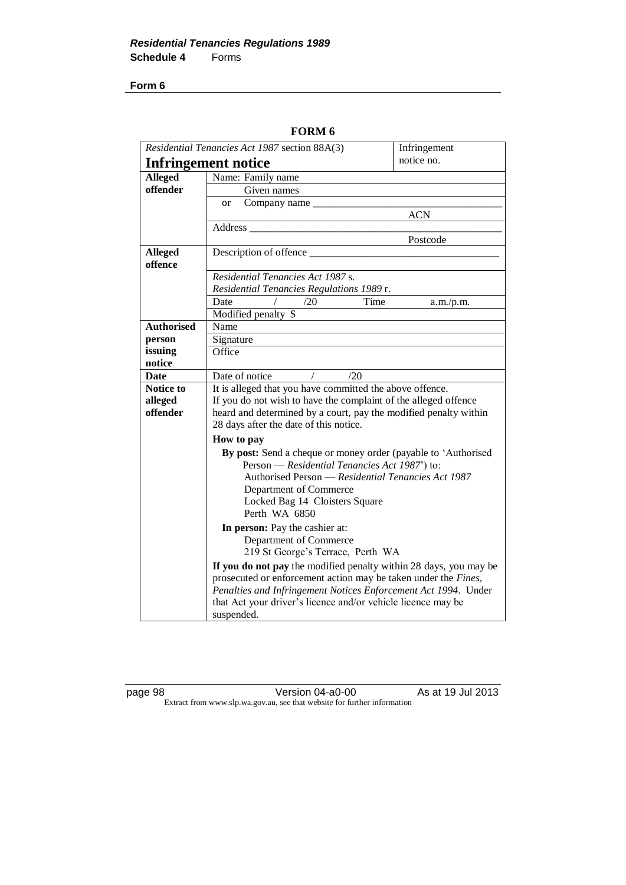| Residential Tenancies Act 1987 section 88A(3) |                                                                                                                                  | Infringement |  |
|-----------------------------------------------|----------------------------------------------------------------------------------------------------------------------------------|--------------|--|
| Infringement notice                           |                                                                                                                                  | notice no.   |  |
| <b>Alleged</b>                                | Name: Family name                                                                                                                |              |  |
| offender                                      | Given names                                                                                                                      |              |  |
|                                               | Company name _____<br><sub>or</sub>                                                                                              |              |  |
|                                               |                                                                                                                                  | <b>ACN</b>   |  |
|                                               | Address                                                                                                                          |              |  |
|                                               |                                                                                                                                  | Postcode     |  |
| <b>Alleged</b>                                | Description of offence                                                                                                           |              |  |
| offence                                       |                                                                                                                                  |              |  |
|                                               | Residential Tenancies Act 1987 s.                                                                                                |              |  |
|                                               | Residential Tenancies Regulations 1989 r.                                                                                        |              |  |
|                                               | /20<br>Time<br>Date                                                                                                              | a.m./p.m.    |  |
|                                               | Modified penalty \$                                                                                                              |              |  |
| <b>Authorised</b>                             | Name                                                                                                                             |              |  |
| person                                        | Signature                                                                                                                        |              |  |
| issuing                                       | Office                                                                                                                           |              |  |
| notice                                        |                                                                                                                                  |              |  |
| Date                                          | Date of notice<br>$\sqrt{2}$<br>/20                                                                                              |              |  |
| <b>Notice to</b>                              | It is alleged that you have committed the above offence.                                                                         |              |  |
| alleged                                       | If you do not wish to have the complaint of the alleged offence                                                                  |              |  |
| offender                                      | heard and determined by a court, pay the modified penalty within                                                                 |              |  |
|                                               | 28 days after the date of this notice.                                                                                           |              |  |
|                                               | How to pay                                                                                                                       |              |  |
|                                               | By post: Send a cheque or money order (payable to 'Authorised                                                                    |              |  |
|                                               | Person - Residential Tenancies Act 1987') to:                                                                                    |              |  |
|                                               | Authorised Person - Residential Tenancies Act 1987                                                                               |              |  |
|                                               | Department of Commerce<br>Locked Bag 14 Cloisters Square                                                                         |              |  |
|                                               | Perth WA 6850                                                                                                                    |              |  |
|                                               |                                                                                                                                  |              |  |
|                                               | In person: Pay the cashier at:                                                                                                   |              |  |
|                                               | Department of Commerce<br>219 St George's Terrace, Perth WA                                                                      |              |  |
|                                               |                                                                                                                                  |              |  |
|                                               | If you do not pay the modified penalty within 28 days, you may be                                                                |              |  |
|                                               | prosecuted or enforcement action may be taken under the Fines,<br>Penalties and Infringement Notices Enforcement Act 1994. Under |              |  |
|                                               | that Act your driver's licence and/or vehicle licence may be                                                                     |              |  |
|                                               | suspended.                                                                                                                       |              |  |
|                                               |                                                                                                                                  |              |  |

**FORM 6**

page 98 Version 04-a0-00 As at 19 Jul 2013 Extract from www.slp.wa.gov.au, see that website for further information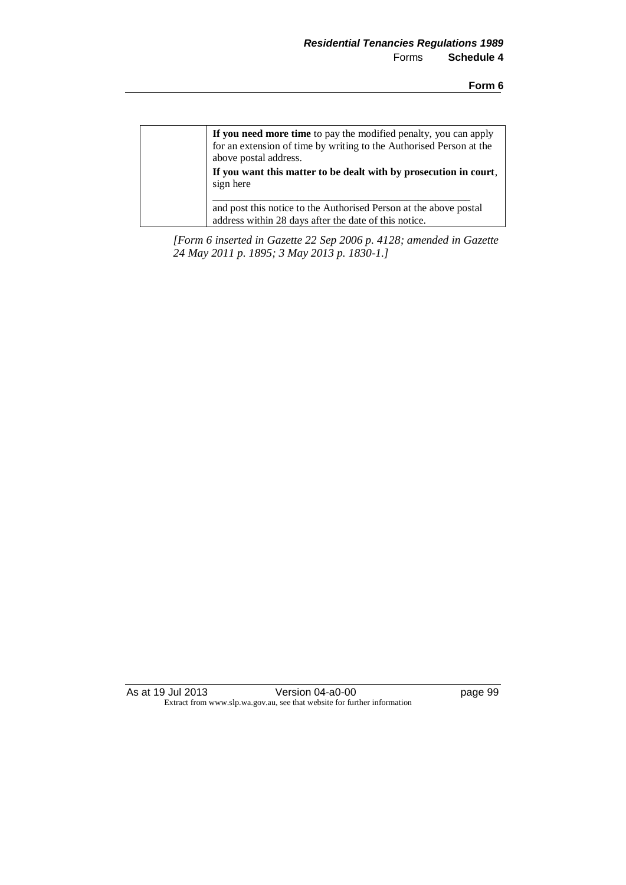| If you need more time to pay the modified penalty, you can apply<br>for an extension of time by writing to the Authorised Person at the<br>above postal address. |
|------------------------------------------------------------------------------------------------------------------------------------------------------------------|
| If you want this matter to be dealt with by prosecution in court,<br>sign here                                                                                   |
| and post this notice to the Authorised Person at the above postal<br>address within 28 days after the date of this notice.                                       |

*[Form 6 inserted in Gazette 22 Sep 2006 p. 4128; amended in Gazette 24 May 2011 p. 1895; 3 May 2013 p. 1830-1.]*

As at 19 Jul 2013 Version 04-a0-00 Page 99 Extract from www.slp.wa.gov.au, see that website for further information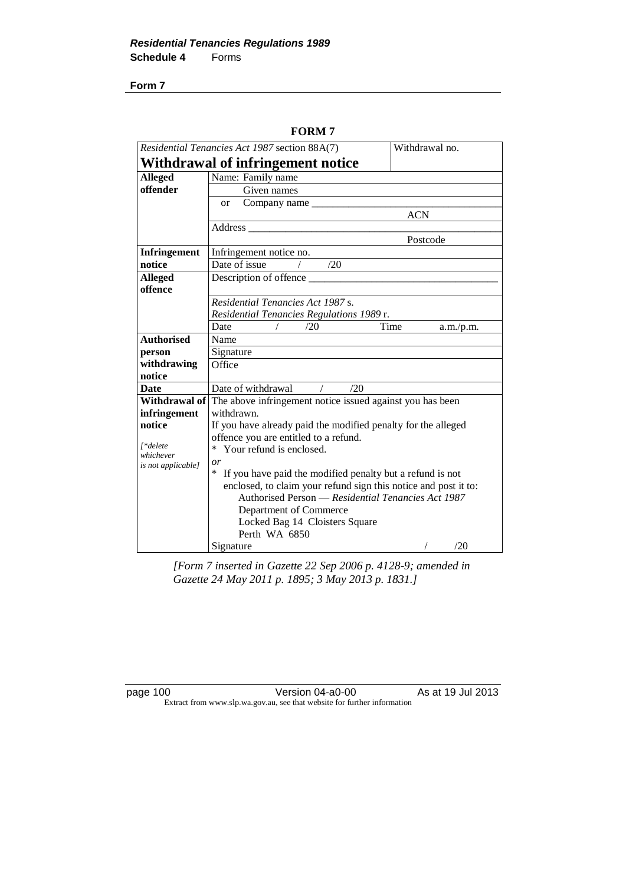| Residential Tenancies Act 1987 section 88A(7) | Withdrawal no.                                                                 |                   |  |
|-----------------------------------------------|--------------------------------------------------------------------------------|-------------------|--|
|                                               | Withdrawal of infringement notice                                              |                   |  |
| <b>Alleged</b>                                | Name: Family name                                                              |                   |  |
| offender                                      | Given names                                                                    |                   |  |
|                                               | Company name<br>or                                                             |                   |  |
|                                               |                                                                                | <b>ACN</b>        |  |
|                                               | Address                                                                        |                   |  |
|                                               |                                                                                | Postcode          |  |
| <b>Infringement</b>                           | Infringement notice no.                                                        |                   |  |
| notice                                        | Date of issue<br>/20                                                           |                   |  |
| <b>Alleged</b>                                | Description of offence                                                         |                   |  |
| offence                                       |                                                                                |                   |  |
|                                               | Residential Tenancies Act 1987 s.                                              |                   |  |
|                                               | Residential Tenancies Regulations 1989 r.                                      |                   |  |
|                                               | /20<br>Date                                                                    | Time<br>a.m./p.m. |  |
| <b>Authorised</b>                             | Name                                                                           |                   |  |
| person                                        | Signature                                                                      |                   |  |
| withdrawing                                   | Office                                                                         |                   |  |
| notice                                        |                                                                                |                   |  |
| <b>Date</b>                                   | Date of withdrawal<br>/20                                                      |                   |  |
|                                               | <b>Withdrawal of</b> The above infringement notice issued against you has been |                   |  |
| infringement                                  | withdrawn.                                                                     |                   |  |
| notice                                        | If you have already paid the modified penalty for the alleged                  |                   |  |
| [*delete                                      | offence you are entitled to a refund.                                          |                   |  |
| whichever                                     | * Your refund is enclosed.                                                     |                   |  |
| is not applicable]                            | or                                                                             |                   |  |
|                                               | If you have paid the modified penalty but a refund is not<br>∗                 |                   |  |
|                                               | enclosed, to claim your refund sign this notice and post it to:                |                   |  |
|                                               | Authorised Person — Residential Tenancies Act 1987                             |                   |  |
|                                               | Department of Commerce                                                         |                   |  |
|                                               | Locked Bag 14 Cloisters Square                                                 |                   |  |
|                                               | Perth WA 6850                                                                  |                   |  |
|                                               | Signature                                                                      | /20               |  |

**FORM 7**

*[Form 7 inserted in Gazette 22 Sep 2006 p. 4128-9; amended in Gazette 24 May 2011 p. 1895; 3 May 2013 p. 1831.]*

page 100 Version 04-a0-00 As at 19 Jul 2013 Extract from www.slp.wa.gov.au, see that website for further information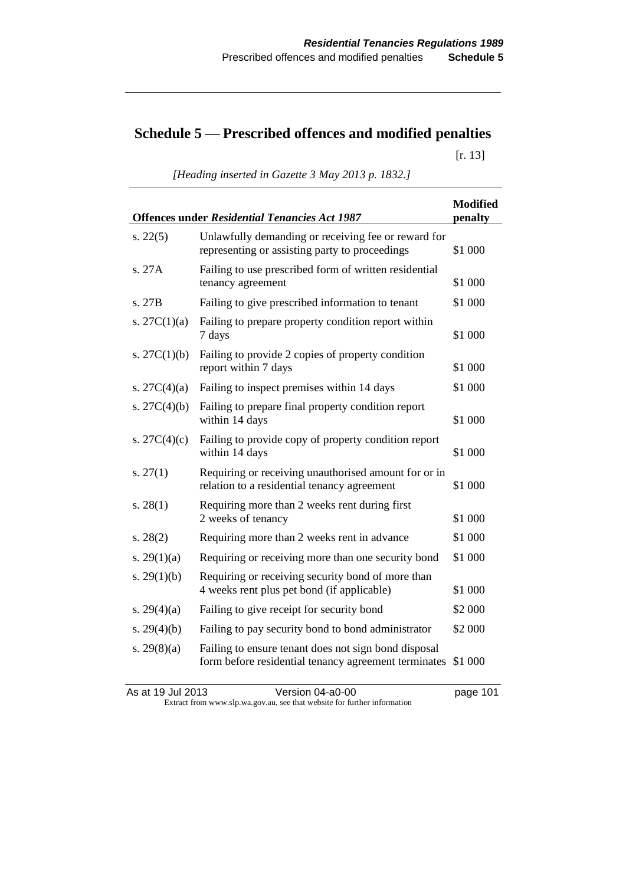# **Schedule 5 — Prescribed offences and modified penalties**

[r. 13]

*[Heading inserted in Gazette 3 May 2013 p. 1832.]*

| <b>Offences under Residential Tenancies Act 1987</b> |                                                                                                                      |         |
|------------------------------------------------------|----------------------------------------------------------------------------------------------------------------------|---------|
| s. $22(5)$                                           | Unlawfully demanding or receiving fee or reward for<br>representing or assisting party to proceedings                | \$1 000 |
| s. 27A                                               | Failing to use prescribed form of written residential<br>tenancy agreement                                           | \$1 000 |
| s. 27B                                               | Failing to give prescribed information to tenant                                                                     | \$1 000 |
| s. $27C(1)(a)$                                       | Failing to prepare property condition report within<br>7 days                                                        | \$1 000 |
| s. $27C(1)(b)$                                       | Failing to provide 2 copies of property condition<br>report within 7 days                                            | \$1 000 |
| s. $27C(4)(a)$                                       | Failing to inspect premises within 14 days                                                                           | \$1 000 |
| s. $27C(4)(b)$                                       | Failing to prepare final property condition report<br>within 14 days                                                 | \$1 000 |
| s. $27C(4)(c)$                                       | Failing to provide copy of property condition report<br>within 14 days                                               | \$1 000 |
| s. $27(1)$                                           | Requiring or receiving unauthorised amount for or in<br>relation to a residential tenancy agreement                  | \$1 000 |
| s. $28(1)$                                           | Requiring more than 2 weeks rent during first<br>2 weeks of tenancy                                                  | \$1 000 |
| s. $28(2)$                                           | Requiring more than 2 weeks rent in advance                                                                          | \$1 000 |
| s. $29(1)(a)$                                        | Requiring or receiving more than one security bond                                                                   | \$1 000 |
| s. $29(1)(b)$                                        | Requiring or receiving security bond of more than<br>4 weeks rent plus pet bond (if applicable)                      | \$1 000 |
| s. $29(4)(a)$                                        | Failing to give receipt for security bond                                                                            | \$2 000 |
| s. $29(4)(b)$                                        | Failing to pay security bond to bond administrator                                                                   | \$2 000 |
| s. $29(8)(a)$                                        | Failing to ensure tenant does not sign bond disposal<br>form before residential tenancy agreement terminates \$1 000 |         |

As at 19 Jul 2013 Version 04-a0-00 Page 101 Extract from www.slp.wa.gov.au, see that website for further information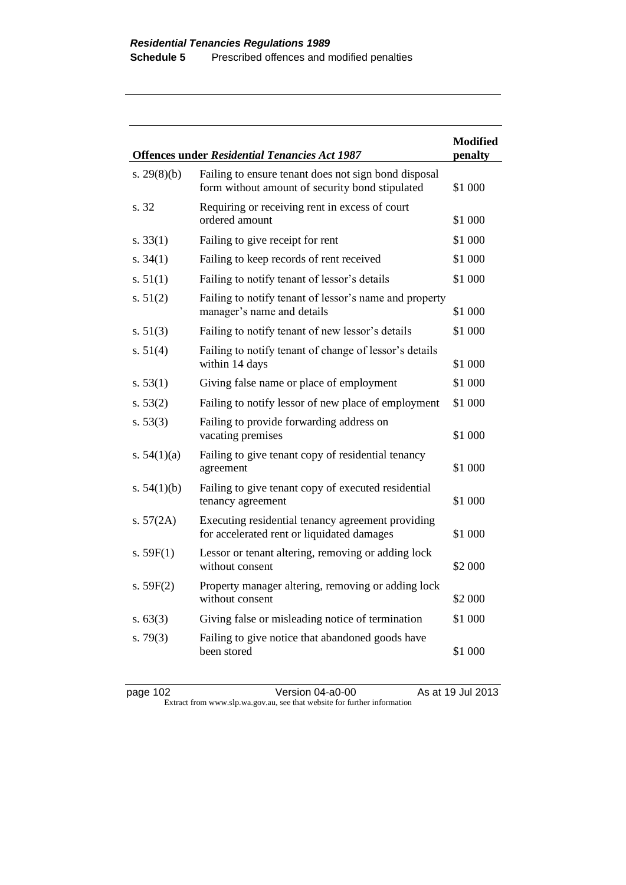|               | <b>Offences under Residential Tenancies Act 1987</b>                                                    | <b>Modified</b><br>penalty |
|---------------|---------------------------------------------------------------------------------------------------------|----------------------------|
| s. $29(8)(b)$ | Failing to ensure tenant does not sign bond disposal<br>form without amount of security bond stipulated | \$1 000                    |
| s. 32         | Requiring or receiving rent in excess of court<br>ordered amount                                        | \$1 000                    |
| s. $33(1)$    | Failing to give receipt for rent                                                                        | \$1 000                    |
| s. $34(1)$    | Failing to keep records of rent received                                                                | \$1 000                    |
| s. $51(1)$    | Failing to notify tenant of lessor's details                                                            | \$1 000                    |
| s. $51(2)$    | Failing to notify tenant of lessor's name and property<br>manager's name and details                    | \$1 000                    |
| s. $51(3)$    | Failing to notify tenant of new lessor's details                                                        | \$1 000                    |
| s. $51(4)$    | Failing to notify tenant of change of lessor's details<br>within 14 days                                | \$1 000                    |
| s. $53(1)$    | Giving false name or place of employment                                                                | \$1 000                    |
| s. $53(2)$    | Failing to notify lessor of new place of employment                                                     | \$1 000                    |
| s. $53(3)$    | Failing to provide forwarding address on<br>vacating premises                                           | \$1 000                    |
| s. $54(1)(a)$ | Failing to give tenant copy of residential tenancy<br>agreement                                         | \$1 000                    |
| s. $54(1)(b)$ | Failing to give tenant copy of executed residential<br>tenancy agreement                                | \$1 000                    |
| s. $57(2A)$   | Executing residential tenancy agreement providing<br>for accelerated rent or liquidated damages         | \$1 000                    |
| s. $59F(1)$   | Lessor or tenant altering, removing or adding lock<br>without consent                                   | \$2 000                    |
| s. $59F(2)$   | Property manager altering, removing or adding lock<br>without consent                                   | \$2 000                    |
| s. $63(3)$    | Giving false or misleading notice of termination                                                        | \$1 000                    |
| s. $79(3)$    | Failing to give notice that abandoned goods have<br>been stored                                         | \$1 000                    |

| page 102 | Version 04-a0-00                                                         | As at 19 Jul 2013 |
|----------|--------------------------------------------------------------------------|-------------------|
|          | Extract from www.slp.wa.gov.au, see that website for further information |                   |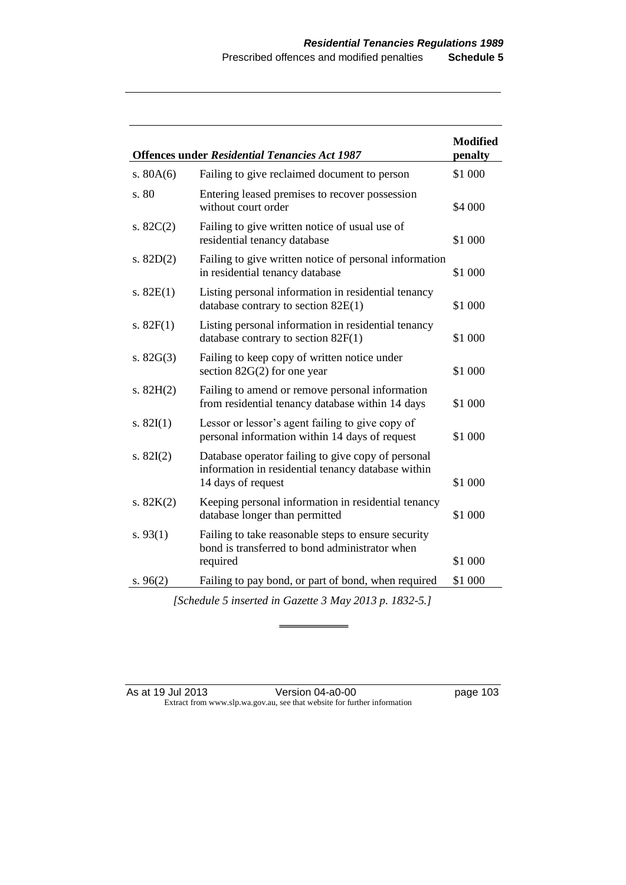|                                                        | <b>Offences under Residential Tenancies Act 1987</b>                                                     | <b>Modified</b><br>penalty |  |  |
|--------------------------------------------------------|----------------------------------------------------------------------------------------------------------|----------------------------|--|--|
| s. $80A(6)$                                            | Failing to give reclaimed document to person                                                             | \$1 000                    |  |  |
| s. 80                                                  | Entering leased premises to recover possession<br>without court order                                    | \$4 000                    |  |  |
| s. $82C(2)$                                            | Failing to give written notice of usual use of<br>residential tenancy database                           | \$1 000                    |  |  |
| s. $82D(2)$                                            | Failing to give written notice of personal information<br>in residential tenancy database                | \$1 000                    |  |  |
| s. $82E(1)$                                            | Listing personal information in residential tenancy<br>database contrary to section $82E(1)$             | \$1 000                    |  |  |
| s. $82F(1)$                                            | Listing personal information in residential tenancy<br>database contrary to section $82F(1)$             | \$1 000                    |  |  |
| s. $82G(3)$                                            | Failing to keep copy of written notice under<br>section $82G(2)$ for one year                            | \$1 000                    |  |  |
| s. $82H(2)$                                            | Failing to amend or remove personal information<br>from residential tenancy database within 14 days      | \$1 000                    |  |  |
| s. $82I(1)$                                            | Lessor or lessor's agent failing to give copy of<br>personal information within 14 days of request       | \$1 000                    |  |  |
| s. $82I(2)$                                            | Database operator failing to give copy of personal<br>information in residential tenancy database within |                            |  |  |
|                                                        | 14 days of request                                                                                       | \$1 000                    |  |  |
| s. $82K(2)$                                            | Keeping personal information in residential tenancy<br>database longer than permitted                    | \$1 000                    |  |  |
| s. $93(1)$                                             | Failing to take reasonable steps to ensure security<br>bond is transferred to bond administrator when    |                            |  |  |
|                                                        | required                                                                                                 | \$1 000                    |  |  |
| s. 96(2)                                               | Failing to pay bond, or part of bond, when required                                                      | \$1 000                    |  |  |
| [Schedule 5 inserted in Gazette 3 May 2013 p. 1832-5.] |                                                                                                          |                            |  |  |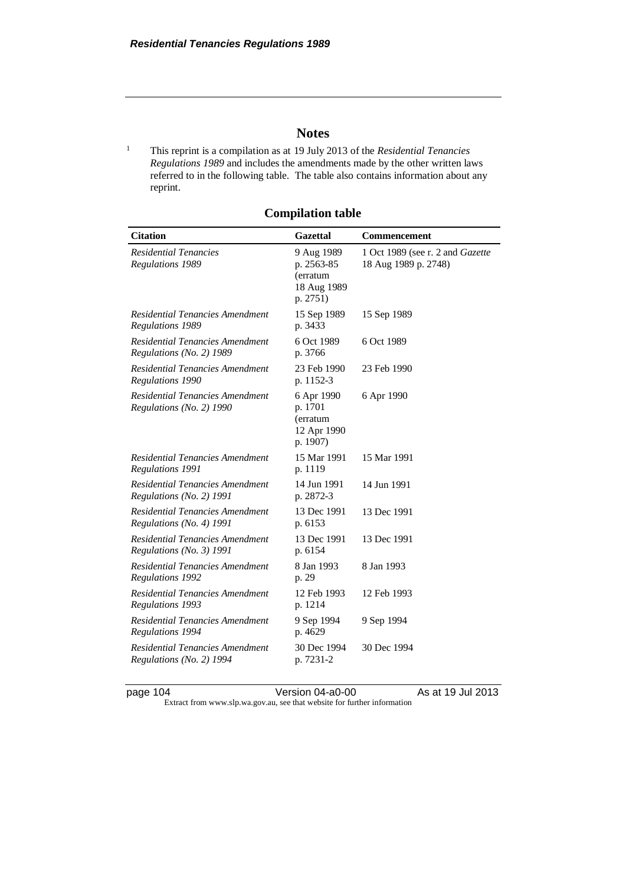## **Notes**

<sup>1</sup> This reprint is a compilation as at 19 July 2013 of the *Residential Tenancies Regulations 1989* and includes the amendments made by the other written laws referred to in the following table. The table also contains information about any reprint.

| <b>Citation</b>                                                    | <b>Gazettal</b>                                                 | Commencement                                             |
|--------------------------------------------------------------------|-----------------------------------------------------------------|----------------------------------------------------------|
| <b>Residential Tenancies</b><br><b>Regulations 1989</b>            | 9 Aug 1989<br>p. 2563-85<br>(erratum<br>18 Aug 1989<br>p. 2751) | 1 Oct 1989 (see r. 2 and Gazette<br>18 Aug 1989 p. 2748) |
| Residential Tenancies Amendment<br>Regulations 1989                | 15 Sep 1989<br>p. 3433                                          | 15 Sep 1989                                              |
| Residential Tenancies Amendment<br>Regulations (No. 2) 1989        | 6 Oct 1989<br>p. 3766                                           | 6 Oct 1989                                               |
| Residential Tenancies Amendment<br>Regulations 1990                | 23 Feb 1990<br>p. 1152-3                                        | 23 Feb 1990                                              |
| Residential Tenancies Amendment<br>Regulations (No. 2) 1990        | 6 Apr 1990<br>p. 1701<br>(erratum<br>12 Apr 1990<br>p. 1907)    | 6 Apr 1990                                               |
| Residential Tenancies Amendment<br>Regulations 1991                | 15 Mar 1991<br>p. 1119                                          | 15 Mar 1991                                              |
| Residential Tenancies Amendment<br>Regulations (No. 2) 1991        | 14 Jun 1991<br>p. 2872-3                                        | 14 Jun 1991                                              |
| Residential Tenancies Amendment<br>Regulations (No. 4) 1991        | 13 Dec 1991<br>p. 6153                                          | 13 Dec 1991                                              |
| <b>Residential Tenancies Amendment</b><br>Regulations (No. 3) 1991 | 13 Dec 1991<br>p. 6154                                          | 13 Dec 1991                                              |
| Residential Tenancies Amendment<br>Regulations 1992                | 8 Jan 1993<br>p. 29                                             | 8 Jan 1993                                               |
| Residential Tenancies Amendment<br><b>Regulations 1993</b>         | 12 Feb 1993<br>p. 1214                                          | 12 Feb 1993                                              |
| Residential Tenancies Amendment<br>Regulations 1994                | 9 Sep 1994<br>p. 4629                                           | 9 Sep 1994                                               |
| <b>Residential Tenancies Amendment</b><br>Regulations (No. 2) 1994 | 30 Dec 1994<br>p. 7231-2                                        | 30 Dec 1994                                              |

**Compilation table**

page 104 Version 04-a0-00 As at 19 Jul 2013

Extract from www.slp.wa.gov.au, see that website for further information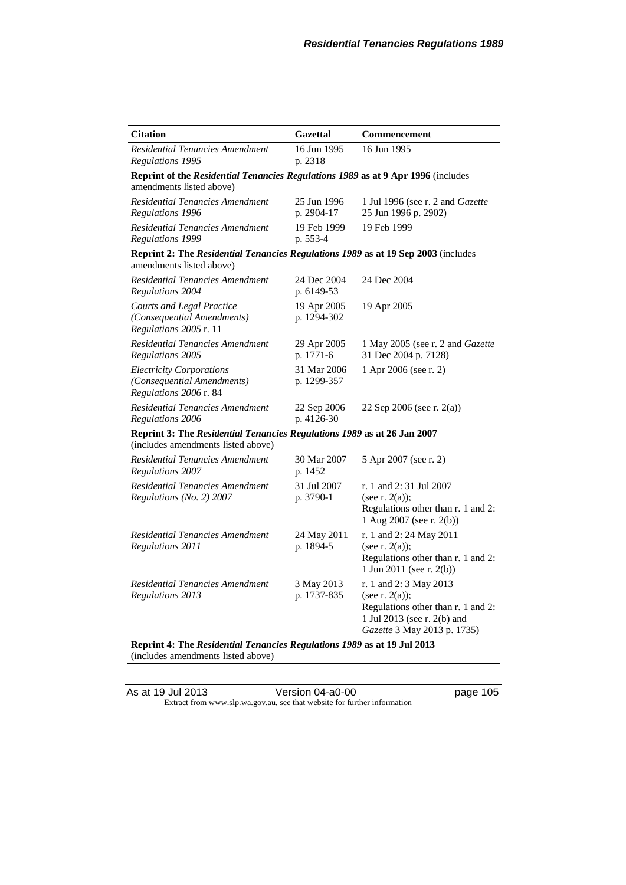| <b>Citation</b>                                                                                               | <b>Gazettal</b>            | Commencement                                                                                                                                 |  |  |  |
|---------------------------------------------------------------------------------------------------------------|----------------------------|----------------------------------------------------------------------------------------------------------------------------------------------|--|--|--|
| Residential Tenancies Amendment<br>Regulations 1995                                                           | 16 Jun 1995<br>p. 2318     | 16 Jun 1995                                                                                                                                  |  |  |  |
| Reprint of the Residential Tenancies Regulations 1989 as at 9 Apr 1996 (includes<br>amendments listed above)  |                            |                                                                                                                                              |  |  |  |
| Residential Tenancies Amendment<br>Regulations 1996                                                           | 25 Jun 1996<br>p. 2904-17  | 1 Jul 1996 (see r. 2 and Gazette<br>25 Jun 1996 p. 2902)                                                                                     |  |  |  |
| <b>Residential Tenancies Amendment</b><br>Regulations 1999                                                    | 19 Feb 1999<br>p. 553-4    | 19 Feb 1999                                                                                                                                  |  |  |  |
| Reprint 2: The Residential Tenancies Regulations 1989 as at 19 Sep 2003 (includes<br>amendments listed above) |                            |                                                                                                                                              |  |  |  |
| Residential Tenancies Amendment<br>Regulations 2004                                                           | 24 Dec 2004<br>p. 6149-53  | 24 Dec 2004                                                                                                                                  |  |  |  |
| Courts and Legal Practice<br>(Consequential Amendments)<br>Regulations 2005 r. 11                             | 19 Apr 2005<br>p. 1294-302 | 19 Apr 2005                                                                                                                                  |  |  |  |
| Residential Tenancies Amendment<br>Regulations 2005                                                           | 29 Apr 2005<br>p. 1771-6   | 1 May 2005 (see r. 2 and <i>Gazette</i><br>31 Dec 2004 p. 7128)                                                                              |  |  |  |
| <b>Electricity Corporations</b><br>(Consequential Amendments)<br>Regulations 2006 r. 84                       | 31 Mar 2006<br>p. 1299-357 | 1 Apr 2006 (see r. 2)                                                                                                                        |  |  |  |
| Residential Tenancies Amendment<br>Regulations 2006                                                           | 22 Sep 2006<br>p. 4126-30  | 22 Sep 2006 (see r. 2(a))                                                                                                                    |  |  |  |
| Reprint 3: The Residential Tenancies Regulations 1989 as at 26 Jan 2007<br>(includes amendments listed above) |                            |                                                                                                                                              |  |  |  |
| Residential Tenancies Amendment<br>Regulations 2007                                                           | 30 Mar 2007<br>p. 1452     | 5 Apr 2007 (see r. 2)                                                                                                                        |  |  |  |
| Residential Tenancies Amendment<br>Regulations (No. 2) 2007                                                   | 31 Jul 2007<br>p. 3790-1   | r. 1 and 2:31 Jul 2007<br>(see r. $2(a)$ );<br>Regulations other than r. 1 and 2:<br>1 Aug 2007 (see r. 2(b))                                |  |  |  |
| Residential Tenancies Amendment<br>Regulations 2011                                                           | 24 May 2011<br>p. 1894-5   | r. 1 and 2: 24 May 2011<br>(see r. $2(a)$ );<br>Regulations other than r. 1 and 2:<br>1 Jun 2011 (see r. 2(b))                               |  |  |  |
| Residential Tenancies Amendment<br>Regulations 2013                                                           | 3 May 2013<br>p. 1737-835  | r. 1 and 2: 3 May 2013<br>(see r. 2(a));<br>Regulations other than r. 1 and 2:<br>1 Jul 2013 (see r. 2(b) and<br>Gazette 3 May 2013 p. 1735) |  |  |  |
| Reprint 4: The Residential Tenancies Regulations 1989 as at 19 Jul 2013                                       |                            |                                                                                                                                              |  |  |  |

(includes amendments listed above)

As at 19 Jul 2013 Version 04-a0-00 page 105 Extract from www.slp.wa.gov.au, see that website for further information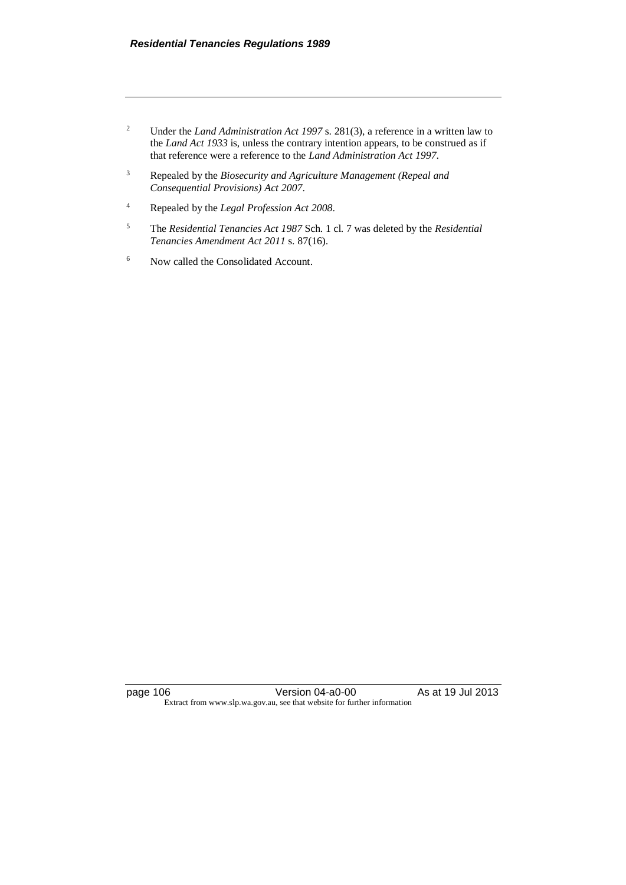- <sup>2</sup> Under the *Land Administration Act 1997* s. 281(3), a reference in a written law to the *Land Act 1933* is, unless the contrary intention appears, to be construed as if that reference were a reference to the *Land Administration Act 1997*.
- <sup>3</sup> Repealed by the *Biosecurity and Agriculture Management (Repeal and Consequential Provisions) Act 2007*.
- <sup>4</sup> Repealed by the *Legal Profession Act 2008*.
- <sup>5</sup> The *Residential Tenancies Act 1987* Sch. 1 cl. 7 was deleted by the *Residential Tenancies Amendment Act 2011* s. 87(16).
- <sup>6</sup> Now called the Consolidated Account.

page 106 Version 04-a0-00 As at 19 Jul 2013 Extract from www.slp.wa.gov.au, see that website for further information